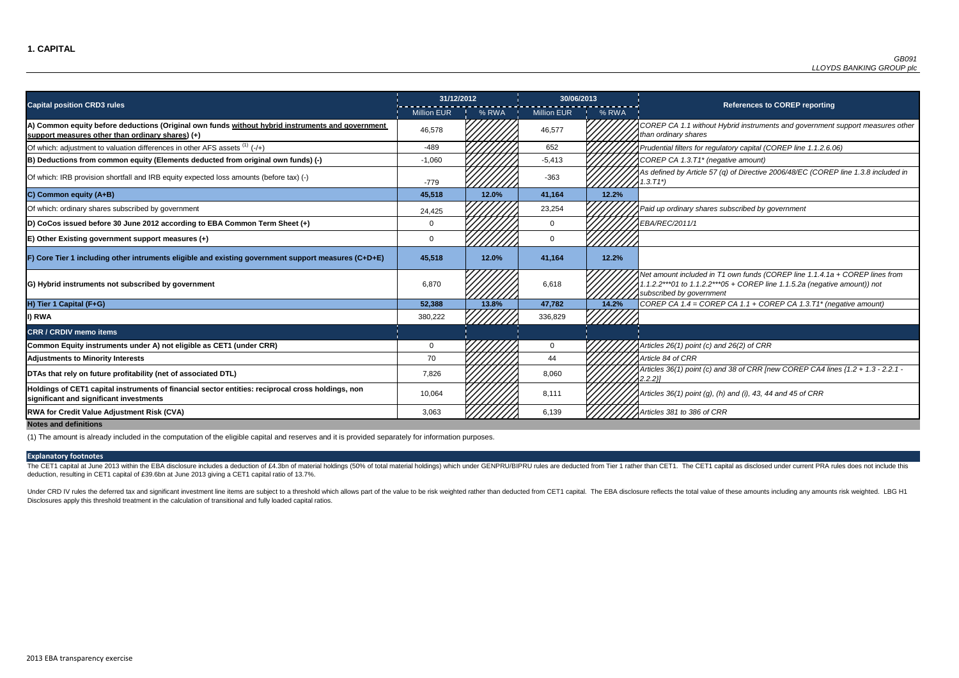FP CA 1.1 without Hybrid instruments and government support measures other *than ordinary shares*

of which: adjustment in this differential differences in this differences in this differences the time in this t<br>in this filters for regulatory capital (COREP line 1.1.2.6.06)

 $BP$  CA 1.3.T1<sup>\*</sup> (negative amount)

fined by Article 57 (q) of Directive 2006/48/EC (COREP line 1.3.8 included in

Of which: ordinary shares subscribed by government 24,425 23,254 *Paid up ordinary shares subscribed by government*

The CET1 capital at June 2013 within the EBA disclosure includes a deduction of £4.3bn of material holdings (50% of total material holdings) which under GENPRU/BIPRU rules are deducted from Tier 1 rather than CET1. The CET deduction, resulting in CET1 capital of £39.6bn at June 2013 giving a CET1 capital ratio of 13.7%.

*Net amount included in T1 own funds (COREP line 1.1.4.1a + COREP lines from 1.1.2.2\*\*\*01 to 1.1.2.2\*\*\*05 + COREP line 1.1.5.2a (negative amount)) not subscribed by government*

Under CRD IV rules the deferred tax and significant investment line items are subject to a threshold which allows part of the value to be risk weighted rather than deducted from CET1 capital. The EBA disclosure reflects th Disclosures apply this threshold treatment in the calculation of transitional and fully loaded capital ratios.

**H) Tier 1 Capital (F+G) 52,388 13.8% 47,782 14.2%** *COREP CA 1.4 = COREP CA 1.1 + COREP CA 1.3.T1\* (negative amount)*

|                                                                                                                                                      | 31/12/2012         |       | 30/06/2013         |       |                                                                                       |
|------------------------------------------------------------------------------------------------------------------------------------------------------|--------------------|-------|--------------------|-------|---------------------------------------------------------------------------------------|
| <b>Capital position CRD3 rules</b>                                                                                                                   | <b>Million EUR</b> | % RWA | <b>Million EUR</b> | % RWA |                                                                                       |
| A) Common equity before deductions (Original own funds without hybrid instruments and government<br>support measures other than ordinary shares) (+) | 46,578             |       | 46,577             |       | COREP CA 1.1 without Hy<br>than ordinary shares                                       |
| Of which: adjustment to valuation differences in other AFS assets $(1)$ (-/+)                                                                        | $-489$             |       | 652                |       | Prudential filters for regulat                                                        |
| B) Deductions from common equity (Elements deducted from original own funds) (-)                                                                     | $-1,060$           |       | $-5,413$           |       | COREP CA 1.3.T1* (negati                                                              |
| Of which: IRB provision shortfall and IRB equity expected loss amounts (before tax) (-)                                                              | $-779$             |       | $-363$             |       | As defined by Article 57 (q)<br>$1.3.71^{*}$                                          |
| C) Common equity (A+B)                                                                                                                               | 45,518             | 12.0% | 41,164             | 12.2% |                                                                                       |
| Of which: ordinary shares subscribed by government                                                                                                   | 24,425             |       | 23,254             |       | Paid up ordinary shares su                                                            |
| (D) CoCos issued before 30 June 2012 according to EBA Common Term Sheet (+)                                                                          | $\mathbf 0$        |       | $\mathbf{0}$       |       | <b>EBA/REC/2011/1</b>                                                                 |
| $E$ ) Other Existing government support measures $(+)$                                                                                               | 0                  |       | $\mathbf 0$        |       |                                                                                       |
| F) Core Tier 1 including other intruments eligible and existing government support measures (C+D+E)                                                  | 45,518             | 12.0% | 41,164             | 12.2% |                                                                                       |
| G) Hybrid instruments not subscribed by government                                                                                                   | 6,870              |       | 6,618              |       | Net amount included in T1<br>1.1.2.2***01 to 1.1.2.2***05<br>subscribed by government |
| H) Tier 1 Capital (F+G)                                                                                                                              | 52,388             | 13.8% | 47,782             | 14.2% | COREP CA $1.4 = COREP$                                                                |
| I) RWA                                                                                                                                               | 380,222            |       | 336,829            |       |                                                                                       |
| <b>CRR / CRDIV memo items</b>                                                                                                                        |                    |       |                    |       |                                                                                       |
| Common Equity instruments under A) not eligible as CET1 (under CRR)                                                                                  | 0                  |       | $\mathbf 0$        |       | Articles 26(1) point (c) and                                                          |
| <b>Adjustments to Minority Interests</b>                                                                                                             | 70                 |       | 44                 |       | Article 84 of CRR                                                                     |
| DTAs that rely on future profitability (net of associated DTL)                                                                                       | 7,826              |       | 8,060              |       | Articles 36(1) point (c) and<br>$2.2.2$ }                                             |
| Holdings of CET1 capital instruments of financial sector entities: reciprocal cross holdings, non<br>significant and significant investments         | 10,064             |       | 8,111              |       | Articles 36(1) point (g), (h)                                                         |
| <b>RWA for Credit Value Adjustment Risk (CVA)</b>                                                                                                    | 3,063              |       | 6,139              |       | Articles 381 to 386 of CRR                                                            |
| <b>Notes and definitions</b>                                                                                                                         |                    |       |                    |       |                                                                                       |

**Common Equity instruments under A) not eligible as CET1 (under CRR)** 0 0 *Articles 26(1) point (c) and 26(2) of CRR*

**S 36(1) point (c) and 38 of CRR [new COREP CA4 lines {1.2 + 1.3 - 2.2.1 -**

**significant and significant investments** 10,064 8,111 *Articles 36(1) point (g), (h) and (i), 43, 44 and 45 of CRR*

(1) The amount is already included in the computation of the eligible capital and reserves and it is provided separately for information purposes.

#### **References to COREP reporting**

#### **Explanatory footnotes**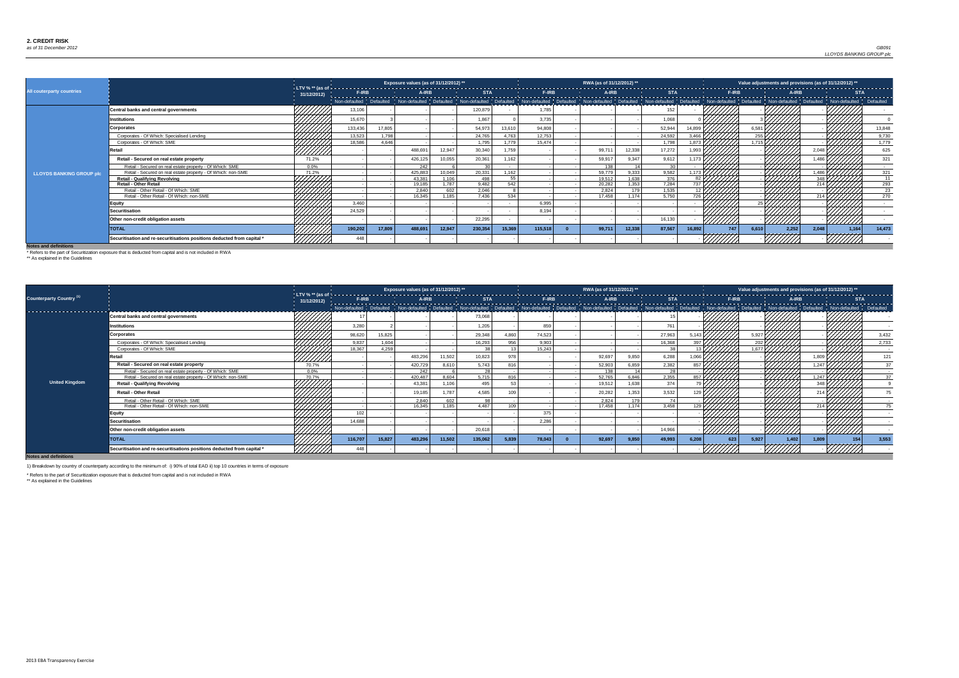### *as of 31 December 2012* Dec-12 Country 0 Exposure 0 *GB091 LLOYDS BANKING GROUP plc*

**Notes and definitions**

|                                 |                                                                         |            |         |        | Exposure values (as of 31/12/2012) ** |        |         |        |         | RWA (as of 31/12/2012) ** |        |        |        |                |     |                     |       | Value adjustments and provisions (as of 31/12/2012) ** |         |                 |
|---------------------------------|-------------------------------------------------------------------------|------------|---------|--------|---------------------------------------|--------|---------|--------|---------|---------------------------|--------|--------|--------|----------------|-----|---------------------|-------|--------------------------------------------------------|---------|-----------------|
| All couterparty countries       |                                                                         | 31/12/2012 |         |        |                                       |        |         |        |         |                           |        |        |        |                |     |                     |       |                                                        |         |                 |
|                                 |                                                                         |            |         |        |                                       |        |         |        |         |                           |        |        |        |                |     |                     |       |                                                        |         |                 |
|                                 | <b>Central banks and central governments</b>                            | 7777777.   | 13,106  |        |                                       |        | 120,879 |        | 1,785   |                           |        | 152    |        |                |     |                     |       |                                                        |         |                 |
|                                 | Institutions                                                            |            | 15,670  |        |                                       |        | 1,867   |        | 3,735   |                           |        | 1,068  |        |                |     |                     |       |                                                        |         |                 |
|                                 | <b>Corporates</b>                                                       |            | 133,436 | 17,805 |                                       |        | 54,973  | 13,610 | 94,808  |                           |        | 52,944 | 14,89  |                |     | $6,58^{\circ}$      |       |                                                        |         | 13,848          |
|                                 | Corporates - Of Which: Specialised Lending                              |            | 13,523  | 1,798  |                                       |        | 24,765  | 4,763  | 12,753  |                           |        | 24,592 | 3.466  |                |     |                     |       |                                                        |         | 9,730           |
|                                 | Corporates - Of Which: SME                                              |            | 18,586  | 4.646  |                                       |        | 1,795   | 1,779  | 15,474  |                           |        | 1,798  | 1,873  |                |     | 1,715 $\frac{1}{2}$ |       |                                                        |         | 1,779           |
|                                 | रetail                                                                  | ///////    |         |        | 488,69                                | 12,947 | 30,340  | 1,759  |         | 99,71                     | 12,338 | 17,272 | 1,993  |                |     |                     |       | 2,048                                                  |         | 625             |
|                                 | Retail - Secured on real estate property                                | 71.2%      |         |        | 426,125                               | 10,055 | 20,361  | 1,162  |         | 59,917                    | 9,347  | 9,612  |        |                |     |                     |       | .486                                                   |         | 321             |
|                                 | Retail - Secured on real estate property - Of Which: SME                | $0.0\%$    |         |        | 242                                   |        |         |        |         | 138                       |        |        |        |                |     |                     |       |                                                        |         |                 |
| <b>LLOYDS BANKING GROUP plc</b> | Retail - Secured on real estate property - Of Which: non-SME            | 71.2%      |         |        | 425,883                               | 10,049 | 20,331  | 1,162  |         | 59,779                    | 9,333  | 9,582  | 1,173  |                |     |                     |       | .486                                                   |         | 321             |
|                                 | <b>Retail - Qualifying Revolving</b>                                    |            |         |        | 43.381                                | 1.106  | 498     |        |         | 19.512                    | 1.638  | 376    | 82 L   |                |     |                     |       | 3AB                                                    |         | 11              |
|                                 | <b>Retail - Other Retail</b>                                            |            |         |        | 19,185                                | 1,787  | 9,482   | 542    |         | 20,282                    | 1,353  | 7,284  | 737    |                |     |                     |       |                                                        |         | 293             |
|                                 | Retail - Other Retail - Of Which: SME                                   |            |         |        | 2,840                                 | 602    | 2,046   |        |         | 2,824                     | 179    | 1,535  |        |                |     |                     |       |                                                        |         | $\overline{23}$ |
|                                 | Retail - Other Retail - Of Which: non-SME                               |            |         |        | 16,345                                | 1,185  | 7,436   | 534    |         | 17.458                    | 1,174  | 5,750  |        |                |     |                     |       | 214                                                    |         | 270             |
|                                 | <b>Equity</b>                                                           |            | 3,460   |        |                                       |        |         |        | 6,995   |                           |        |        |        |                |     |                     |       |                                                        |         |                 |
|                                 | <b>Securitisation</b>                                                   |            | 24,529  |        |                                       |        |         |        | 8,194   |                           |        |        |        |                |     |                     |       |                                                        |         |                 |
|                                 | Other non-credit obligation assets                                      |            |         |        |                                       |        | 22,295  |        |         |                           |        | 16,130 |        | <u>///////</u> |     |                     |       |                                                        | /////// |                 |
|                                 | <b>TOTAL</b>                                                            |            | 190,202 | 17,809 | 488,691                               | 12,947 | 230,354 | 15,369 | 115,518 | 99,711                    | 12,338 | 87,567 | 16,892 |                | 747 | 6,610               | 2,252 | 2,048                                                  | 1,164   | 14,473          |
|                                 | Securitisation and re-securitisations positions deducted from capital * |            | 448     |        |                                       |        |         |        |         |                           |        |        |        |                |     |                     |       |                                                        |         |                 |

|                                     |                                                                         |             |         |        | Exposure values (as of 31/12/2012) ** |        |          |       |        | RWA (as of 31/12/2012) ** |       |        |                  |                     |              |                     |                | Value adjustments and provisions (as of 31/12/2012) ** |       |
|-------------------------------------|-------------------------------------------------------------------------|-------------|---------|--------|---------------------------------------|--------|----------|-------|--------|---------------------------|-------|--------|------------------|---------------------|--------------|---------------------|----------------|--------------------------------------------------------|-------|
| Counterparty Country <sup>(1)</sup> |                                                                         | 31/12/2012) |         |        |                                       |        |          |       |        |                           |       |        |                  |                     |              |                     |                |                                                        |       |
|                                     |                                                                         |             |         |        |                                       |        |          |       |        |                           |       |        |                  |                     |              |                     |                |                                                        |       |
|                                     | <b>Central banks and central governments</b>                            |             |         |        |                                       |        | 73,068   |       |        |                           |       |        |                  |                     |              |                     |                |                                                        |       |
|                                     | <b>Institutions</b>                                                     |             | 3,280   |        |                                       |        | 1,205    |       | 859    |                           |       | 761    |                  |                     |              |                     |                |                                                        |       |
|                                     | <b>Corporates</b>                                                       |             | 98,620  | 15,825 |                                       |        | 29,348   | 4,860 | 74,523 |                           |       | 27,963 | 5.143 k          |                     | 5,927        |                     |                |                                                        | 3,432 |
|                                     | Corporates - Of Which: Specialised Lending                              |             | 9,837   | 1,604  |                                       |        | 16,293   | 956   | 9,903  |                           |       | 16,368 | 307 K            |                     |              | $202$ $\frac{1}{2}$ |                |                                                        | 2,733 |
|                                     | Corporates - Of Which: SME                                              |             | 18,367  | 4,259  |                                       |        | ิวต      |       | 15,243 |                           |       | -38    |                  |                     |              | 1.677 <b>[</b>      |                |                                                        |       |
|                                     | Retail                                                                  | ///////     |         |        | 483,29                                | 11,502 | 10,823   | 978   |        | 92,697                    | 9,850 | 6,288  | 1.066 I          |                     |              |                     |                |                                                        | 121   |
|                                     | Retail - Secured on real estate property                                | 70.7%       |         |        | 420,729                               | 8,610  | 5,743    | 816   |        | 52,903                    | 6,859 | 2,382  |                  | $857$ $\frac{1}{2}$ |              |                     |                | 1,247                                                  | 37    |
|                                     | Retail - Secured on real estate property - Of Which: SME                | $0.0\%$     |         |        | 242                                   |        | ാ        |       |        | 138                       |       |        |                  |                     |              |                     |                |                                                        |       |
|                                     | Retail - Secured on real estate property - Of Which: non-SME            | 70.7%       |         |        | 420,487                               | 8,604  | 5,715    | R16   |        | 52.765                    | 6,846 | 2,355  |                  |                     |              |                     |                |                                                        |       |
| <b>United Kingdom</b>               | <b>Retail - Qualifying Revolving</b>                                    | *44,44+     |         |        | 43,381                                | 1,106  | 495      |       |        | 19,512                    | 1,638 | 374    |                  |                     |              |                     |                |                                                        |       |
|                                     | <b>Retail - Other Retail</b>                                            |             |         |        | 19,185                                | 1,787  | 4,585    | 109   |        | 20,282                    | 1,353 | 3,532  |                  |                     |              |                     |                |                                                        |       |
|                                     | Retail - Other Retail - Of Which: SME                                   | ////////    |         |        | 2,840                                 | 602    | $\Omega$ |       |        | 2,824                     | 179   | 74     |                  |                     |              |                     |                |                                                        |       |
|                                     | Retail - Other Retail - Of Which: non-SME                               |             |         |        | 16.345                                | 1.185  | 4.487    | 109   |        | 17.458                    | 1.174 | 3,458  | 129 $\mathsf{L}$ |                     |              |                     |                |                                                        |       |
|                                     | <b>Equity</b>                                                           |             | 102     |        |                                       |        |          |       | 375    |                           |       |        |                  |                     |              |                     |                |                                                        |       |
|                                     | <b>Securitisation</b>                                                   |             | 14,688  |        |                                       |        |          |       | 2,286  |                           |       |        |                  |                     |              |                     |                |                                                        |       |
|                                     | Other non-credit obligation assets                                      |             |         |        |                                       |        | 20,618   |       |        |                           |       | 14,966 |                  |                     |              |                     |                |                                                        |       |
|                                     | <b>TOTAL</b>                                                            |             | 116,707 | 15,827 | 483,296                               | 11,502 | 135,062  | 5,839 | 78,043 | 92,697                    | 9,850 | 49,993 | 6,208            |                     | 623<br>5,927 |                     | 1,809<br>1,402 | 154                                                    | 3,553 |
| Notes and definitions               | Securitisation and re-securitisations positions deducted from capital * |             |         |        |                                       |        |          |       |        |                           |       |        |                  |                     |              |                     |                |                                                        |       |

**Notes and definitions**

\* Refers to the part of Securitization exposure that is deducted from capital and is not included in RWA

\*\* As explained in the Guidelines

1) Breakdown by country of counterparty according to the minimum of: i) 90% of total EAD ii) top 10 countries in terms of exposure

\* Refers to the part of Securitization exposure that is deducted from capital and is not included in RWA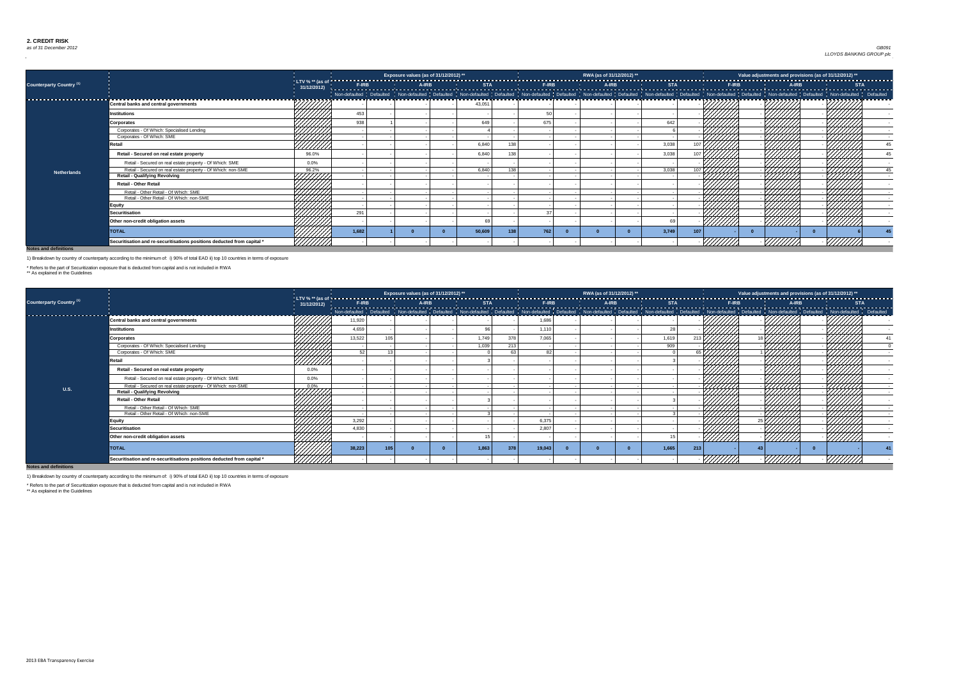### *as of 31 December 2012* Dec-12 Country 0 Exposure 0 *GB091 LLOYDS BANKING GROUP plc*

**Notes and definitions**

|                                     |                                                                         |             |       | Exposure values (as of 31/12/2012) ** |        |     |     | RWA (as of 31/12/2012) ** |              |                  |     | Value adjustments and provisions (as of 31/12/2012) ** |  |
|-------------------------------------|-------------------------------------------------------------------------|-------------|-------|---------------------------------------|--------|-----|-----|---------------------------|--------------|------------------|-----|--------------------------------------------------------|--|
| Counterparty Country <sup>(1)</sup> |                                                                         | 31/12/2012) |       |                                       |        |     |     |                           |              |                  |     |                                                        |  |
|                                     |                                                                         |             |       |                                       |        |     |     |                           |              |                  |     |                                                        |  |
|                                     | <b>Central banks and central governments</b>                            |             |       |                                       | 43,051 |     |     |                           |              |                  |     |                                                        |  |
|                                     | <b>Institutions</b>                                                     |             | 453   |                                       |        |     |     |                           |              |                  |     |                                                        |  |
|                                     | <b>Corporates</b>                                                       |             | 938   |                                       | 64     |     | 675 |                           | 642          |                  |     |                                                        |  |
|                                     | Corporates - Of Which: Specialised Lending                              |             |       |                                       |        |     |     |                           |              |                  |     |                                                        |  |
|                                     | Corporates - Of Which: SME                                              | 7777777     |       |                                       |        |     |     |                           |              |                  |     |                                                        |  |
|                                     | रेetail                                                                 |             |       |                                       | 6,840  | 138 |     |                           | 3,038        |                  |     |                                                        |  |
|                                     | Retail - Secured on real estate property                                | 96.0%       |       |                                       | 6,840  | 138 |     |                           | 3,038        |                  |     |                                                        |  |
|                                     | Retail - Secured on real estate property - Of Which: SME                | $0.0\%$     |       |                                       |        |     |     |                           |              |                  |     |                                                        |  |
| <b>Netherlands</b>                  | Retail - Secured on real estate property - Of Which: non-SME            | 96.2%       |       |                                       | 6.840  | 138 |     |                           | 3.038        | 107 $\mathsf{L}$ |     |                                                        |  |
|                                     | <b>Retail - Qualifying Revolving</b>                                    | 4444        |       |                                       |        |     |     |                           |              |                  |     |                                                        |  |
|                                     | <b>Retail - Other Retail</b>                                            |             |       |                                       |        |     |     |                           |              |                  |     |                                                        |  |
|                                     | Retail - Other Retail - Of Which: SME                                   |             |       |                                       |        |     |     |                           |              |                  |     |                                                        |  |
|                                     | Retail - Other Retail - Of Which: non-SME                               |             |       |                                       |        |     |     |                           |              |                  |     |                                                        |  |
|                                     | <b>Equity</b>                                                           |             |       |                                       |        |     |     |                           |              |                  |     |                                                        |  |
|                                     | <b>Securitisation</b>                                                   |             | 291   |                                       |        |     |     |                           |              |                  |     |                                                        |  |
|                                     | Other non-credit obligation assets                                      |             |       |                                       |        |     |     |                           |              |                  |     |                                                        |  |
|                                     | <b>TOTAL</b>                                                            |             | 1,682 |                                       | 50,609 | 13R | 762 |                           | 3,749<br>107 |                  |     |                                                        |  |
|                                     | Securitisation and re-securitisations positions deducted from capital * |             |       |                                       |        |     |     |                           |              |                  | VM, |                                                        |  |

|                                     |                                                                         |                |        |            | Exposure values (as of 31/12/2012) ** |            |     |        | RWA (as of 31/12/2012) ** |            |     |               |              |                | Value adjustments and provisions (as of 31/12/2012) ** |               |  |
|-------------------------------------|-------------------------------------------------------------------------|----------------|--------|------------|---------------------------------------|------------|-----|--------|---------------------------|------------|-----|---------------|--------------|----------------|--------------------------------------------------------|---------------|--|
| Counterparty Country <sup>(1)</sup> |                                                                         | 31/12/2012     | F-IRB  |            | A-IRB                                 | <b>STA</b> |     | F-IRB  | A-IRB                     | <b>STA</b> |     |               | <b>F-IRB</b> |                | A-IRB                                                  |               |  |
|                                     |                                                                         |                |        |            |                                       |            |     |        |                           |            |     |               |              |                |                                                        |               |  |
|                                     | <b>Central banks and central governments</b>                            |                | 11,920 |            |                                       |            |     | 1,686  |                           |            |     |               |              |                |                                                        |               |  |
|                                     | Institutions                                                            |                | 4,659  |            |                                       |            |     | 1,110  |                           |            |     |               |              |                |                                                        |               |  |
|                                     | Corporates                                                              |                | 13,522 |            |                                       | 1,749      | 378 | 7,065  |                           | 1,619      |     |               |              |                |                                                        |               |  |
|                                     | Corporates - Of Which: Specialised Lending                              |                |        |            |                                       | 1,039      | 213 |        |                           | 909        |     |               |              |                |                                                        |               |  |
|                                     | Corporates - Of Which: SME                                              | HHH,           | 501    | $\sqrt{2}$ |                                       |            | 63  | 82     |                           |            |     |               |              |                |                                                        |               |  |
|                                     | <b>Retail</b>                                                           | <u>///////</u> |        |            |                                       |            |     |        |                           |            |     |               |              |                |                                                        |               |  |
|                                     | Retail - Secured on real estate property                                | $0.0\%$        |        |            |                                       |            |     |        |                           |            |     |               |              |                |                                                        |               |  |
|                                     | Retail - Secured on real estate property - Of Which: SME                | 0.0%           |        |            |                                       |            |     |        |                           |            |     |               |              |                |                                                        |               |  |
| <b>U.S.</b>                         | Retail - Secured on real estate property - Of Which: non-SME            | $0.0\%$        |        |            |                                       |            |     |        |                           |            |     |               |              |                |                                                        |               |  |
|                                     | <b>Retail - Qualifying Revolving</b>                                    | HHHH           |        |            |                                       |            |     |        |                           |            |     |               |              |                |                                                        | VIII.         |  |
|                                     | <b>Retail - Other Retail</b>                                            |                |        |            |                                       |            |     |        |                           |            |     |               |              |                |                                                        |               |  |
|                                     | Retail - Other Retail - Of Which: SME                                   | HAHA<br>MATA   |        |            |                                       |            |     |        |                           |            |     |               |              |                |                                                        |               |  |
|                                     | Retail - Other Retail - Of Which: non-SME                               |                |        |            |                                       |            |     |        |                           |            |     |               |              |                |                                                        |               |  |
|                                     | Equity                                                                  |                | 3,292  |            |                                       |            |     | 6,375  |                           |            |     |               |              |                |                                                        |               |  |
|                                     | <b>Securitisation</b>                                                   |                | 4,830  |            |                                       |            |     | 2,807  |                           |            |     |               |              |                |                                                        |               |  |
|                                     | Other non-credit obligation assets                                      |                |        |            |                                       |            |     |        |                           |            |     | <u>//////</u> |              | <u>///////</u> |                                                        | <u>//////</u> |  |
|                                     | <b>TOTAL</b>                                                            |                | 38,223 |            |                                       | 1,863      |     | 19,043 |                           | 1,665      | 213 |               |              |                |                                                        |               |  |
| Noton and definitions               | Securitisation and re-securitisations positions deducted from capital * |                |        |            |                                       |            |     |        |                           |            |     |               |              |                |                                                        |               |  |

**Notes and defi** 

1) Breakdown by country of counterparty according to the minimum of: i) 90% of total EAD ii) top 10 countries in terms of exposure

\* Refers to the part of Securitization exposure that is deducted from capital and is not included in RWA

\*\* As explained in the Guidelines

1) Breakdown by country of counterparty according to the minimum of: i) 90% of total EAD ii) top 10 countries in terms of exposure

\* Refers to the part of Securitization exposure that is deducted from capital and is not included in RWA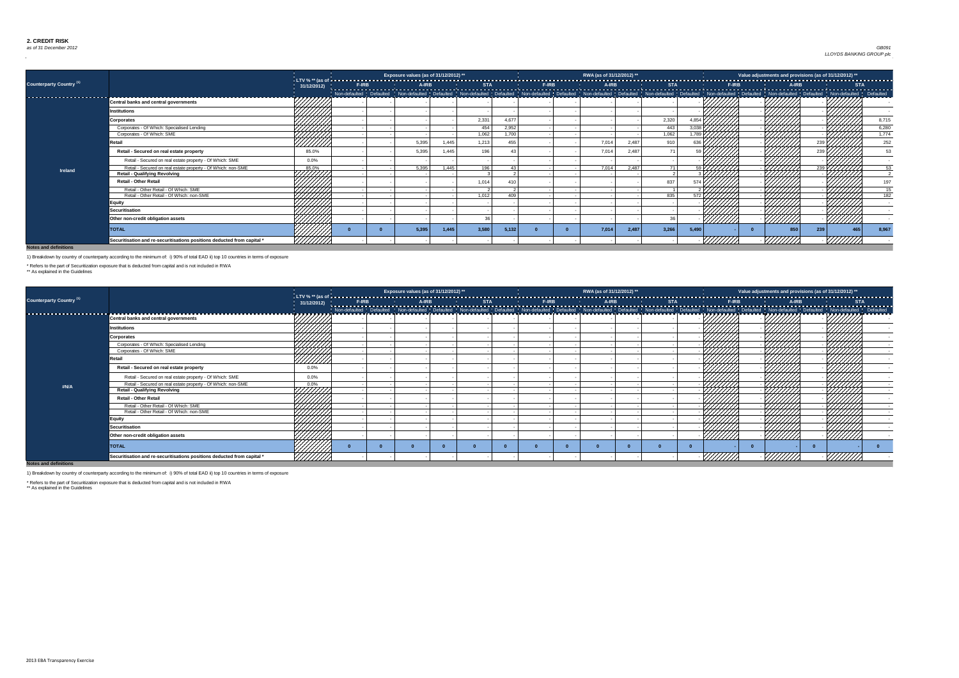### *as of 31 December 2012* Dec-12 Country 0 Exposure 0 *GB091 LLOYDS BANKING GROUP plc*

**Notes and definitions**

|                                 |                                                                         |                    |              | Exposure values (as of 31/12/2012) ** |       |            |       |              | RWA (as of 31/12/2012) ** |       |            |       |               |              | Value adjustments and provisions (as of 31/12/2012) ** |            |       |
|---------------------------------|-------------------------------------------------------------------------|--------------------|--------------|---------------------------------------|-------|------------|-------|--------------|---------------------------|-------|------------|-------|---------------|--------------|--------------------------------------------------------|------------|-------|
| <b>Counterparty Country (1)</b> |                                                                         | 31/12/2012)        | <b>F-IRB</b> | A-IRB                                 |       | <b>STA</b> |       | <b>F-IRB</b> | A-IRB                     |       | <b>STA</b> |       |               | <b>F-IRB</b> | A-IRB                                                  | <b>STA</b> |       |
| --------------------------      |                                                                         |                    |              |                                       |       |            |       |              |                           |       |            |       |               |              |                                                        |            |       |
|                                 | <b>Central banks and central governments</b>                            | <b>A BARA BARA</b> |              |                                       |       |            |       |              |                           |       |            |       |               |              |                                                        |            |       |
|                                 | <b>Institutions</b>                                                     | '44444             |              |                                       |       |            |       |              |                           |       |            |       |               |              |                                                        |            |       |
|                                 | <b>Corporates</b>                                                       |                    |              |                                       |       | 2,331      | 4.677 |              |                           |       | 2,320      |       |               |              |                                                        |            | 8,715 |
|                                 | Corporates - Of Which: Specialised Lending                              |                    |              |                                       |       | 454        | 2,952 |              |                           |       | 443        | 3.038 |               |              |                                                        |            | 6,280 |
|                                 | Corporates - Of Which: SME                                              | 444441             |              |                                       |       | 1,062      | 1.700 |              |                           |       | 1,062      | 17891 |               |              |                                                        |            | 1,774 |
|                                 | रेetail                                                                 | 777777             |              | 5,395                                 | 1,445 | 1,213      | 455   |              | 7,014                     | 2,487 | 910        |       |               |              |                                                        |            | 252   |
|                                 | Retail - Secured on real estate property                                | 85.0%              |              | 5,395                                 | 1,445 | 196        |       |              | 7,014                     | 2,487 |            |       |               |              |                                                        |            |       |
|                                 | Retail - Secured on real estate property - Of Which: SME                | $0.0\%$            |              |                                       |       |            |       |              |                           |       |            |       |               |              |                                                        |            |       |
| <b>Ireland</b>                  | Retail - Secured on real estate property - Of Which: non-SME            | $85.0\%$           |              | 5,395                                 | 1,445 | 196        |       |              | 7,014                     | 2,487 |            |       |               |              |                                                        |            |       |
|                                 | <b>Retail - Qualifying Revolving</b>                                    | HHH I              |              |                                       |       |            |       |              |                           |       |            |       |               |              |                                                        |            |       |
|                                 | <b>Retail - Other Retail</b>                                            |                    |              |                                       |       | 1,014      |       |              |                           |       | 837        |       |               |              |                                                        |            |       |
|                                 | Retail - Other Retail - Of Which: SME                                   |                    |              |                                       |       |            |       |              |                           |       |            |       |               |              |                                                        |            |       |
|                                 | Retail - Other Retail - Of Which: non-SME                               |                    |              |                                       |       | 1.012      | 409   |              |                           |       | 835        |       |               |              |                                                        |            | 182   |
|                                 | <b>Equity</b>                                                           |                    |              |                                       |       |            |       |              |                           |       |            |       |               |              |                                                        |            |       |
|                                 | <b>Securitisation</b>                                                   |                    |              |                                       |       |            |       |              |                           |       |            |       |               |              |                                                        |            |       |
|                                 | Other non-credit obligation assets                                      |                    |              |                                       |       |            |       |              |                           |       |            |       | <u>//////</u> |              |                                                        |            |       |
|                                 | <b>TOTAL</b>                                                            |                    |              | 5,395                                 | 1,445 | 3,580      | 5,132 |              | 7,014                     | 2,487 | 3,266      | 5,490 |               |              | 239<br>850                                             | 465        | 8,967 |
|                                 | Securitisation and re-securitisations positions deducted from capital * |                    |              |                                       |       |            |       |              |                           |       |            |       |               |              |                                                        |            |       |

|                                 |                                                                                                      |                 |  | Exposure values (as of 31/12/2012) ** |  | RWA (as of 31/12/2012) ** |  |                |              | Value adjustments and provisions (as of 31/12/2012) ** |  |
|---------------------------------|------------------------------------------------------------------------------------------------------|-----------------|--|---------------------------------------|--|---------------------------|--|----------------|--------------|--------------------------------------------------------|--|
| <b>Counterparty Country (1)</b> |                                                                                                      | 31/12/2012)     |  |                                       |  |                           |  |                |              |                                                        |  |
|                                 | <b>Central banks and central governments</b>                                                         | フフフフフフフン        |  |                                       |  |                           |  |                |              |                                                        |  |
|                                 | <b>Institutions</b>                                                                                  |                 |  |                                       |  |                           |  |                |              |                                                        |  |
|                                 | <b>Corporates</b>                                                                                    |                 |  |                                       |  |                           |  |                |              |                                                        |  |
|                                 | Corporates - Of Which: Specialised Lending<br>Corporates - Of Which: SME                             |                 |  |                                       |  |                           |  |                |              |                                                        |  |
|                                 | <b>Retail</b>                                                                                        | HIII<br>HIIID   |  |                                       |  |                           |  |                |              |                                                        |  |
|                                 | Retail - Secured on real estate property                                                             | $0.0\%$         |  |                                       |  |                           |  |                |              | 7777.                                                  |  |
|                                 | Retail - Secured on real estate property - Of Which: SME                                             | $0.0\%$         |  |                                       |  |                           |  |                |              |                                                        |  |
| #N/A                            | Retail - Secured on real estate property - Of Which: non-SME<br><b>Retail - Qualifying Revolving</b> | 0.0%<br>777777. |  |                                       |  |                           |  |                |              |                                                        |  |
|                                 | <b>Retail - Other Retail</b>                                                                         |                 |  |                                       |  |                           |  |                |              |                                                        |  |
|                                 | Retail - Other Retail - Of Which: SME<br>Retail - Other Retail - Of Which: non-SME                   | HHHH<br>MMM     |  |                                       |  |                           |  |                |              |                                                        |  |
|                                 | <b>Equity</b>                                                                                        | 44444           |  |                                       |  |                           |  |                |              |                                                        |  |
|                                 | <b>Securitisation</b>                                                                                | 44444           |  |                                       |  |                           |  |                |              |                                                        |  |
|                                 | Other non-credit obligation assets                                                                   |                 |  |                                       |  |                           |  | <u>///////</u> | ////////     | <u>//////</u>                                          |  |
|                                 | <b>TOTAL</b>                                                                                         |                 |  |                                       |  |                           |  |                |              |                                                        |  |
| Notes and definitions           | Securitisation and re-securitisations positions deducted from capital *                              | <u> УНИН</u>    |  |                                       |  |                           |  | VIIIIIA        | $\sqrt{III}$ | 77777777                                               |  |

**Notes** 

1) Breakdown by country of counterparty according to the minimum of: i) 90% of total EAD ii) top 10 countries in terms of exposure

\* Refers to the part of Securitization exposure that is deducted from capital and is not included in RWA

\*\* As explained in the Guidelines

1) Breakdown by country of counterparty according to the minimum of: i) 90% of total EAD ii) top 10 countries in terms of exposure

\* Refers to the part of Securitization exposure that is deducted from capital and is not included in RWA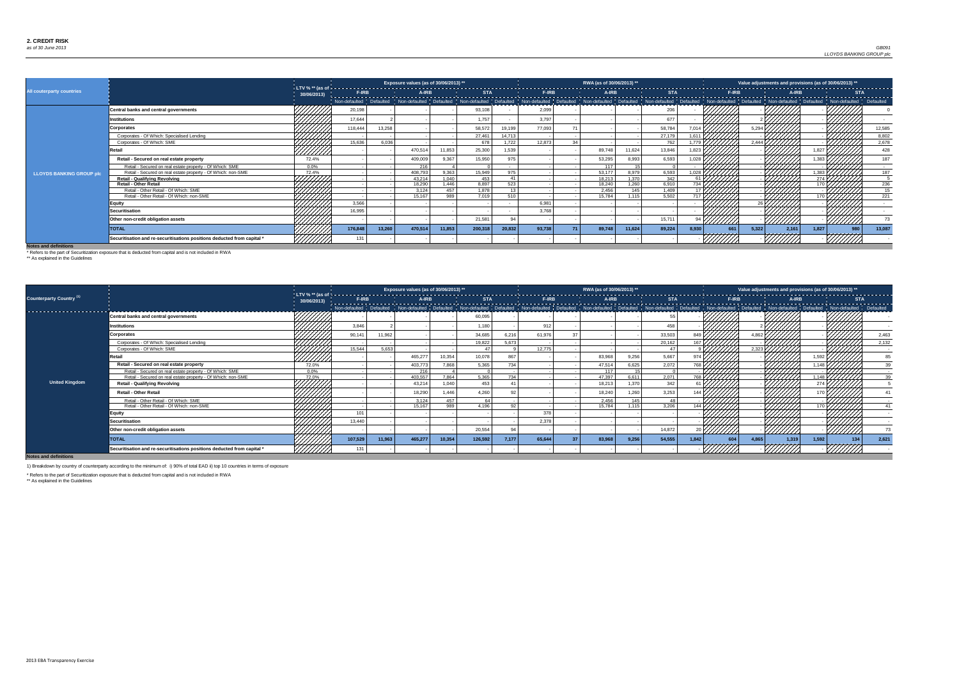### *as of 30 June 2013* Jun-13 Country 0 Exposure 0 *GB091 LLOYDS BANKING GROUP plc*

**Notes and definitions**

|                                 |                                                                         |                 |         |        | Exposure values (as of 30/06/2013) ** |        |         |                 |                                                                                                                                                                                                                                 | RWA (as of 30/06/2013) ** |        |        |                    |        |     | Value adjustments and provisions (as of 30/06/2013) ** |       |       |               |     |
|---------------------------------|-------------------------------------------------------------------------|-----------------|---------|--------|---------------------------------------|--------|---------|-----------------|---------------------------------------------------------------------------------------------------------------------------------------------------------------------------------------------------------------------------------|---------------------------|--------|--------|--------------------|--------|-----|--------------------------------------------------------|-------|-------|---------------|-----|
| All couterparty countries       |                                                                         | 30/06/2013)     |         |        |                                       |        |         |                 | F-RE F-RE F-RE A-RE STA   STA   F-RE A-RE   A-RE   STA   STA   STA   STA   STA   F-RE F-RE F-RE   STA   F-RE<br>  Non-defaulted   Defaulted   Non-defaulted   Non-defaulted   Defaulted   Defaulted   Non-defaulted   Defaulted |                           |        |        |                    |        |     |                                                        |       |       |               |     |
|                                 |                                                                         |                 |         |        |                                       |        |         |                 |                                                                                                                                                                                                                                 |                           |        |        |                    |        |     |                                                        |       |       |               |     |
|                                 | Central banks and central governments                                   |                 | 20,198  |        |                                       |        | 93,108  |                 | 2,099                                                                                                                                                                                                                           |                           |        | 206    |                    |        |     |                                                        |       |       |               |     |
|                                 | <b>Institutions</b>                                                     |                 | 17,644  |        |                                       |        | 1,757   |                 | 3,797                                                                                                                                                                                                                           |                           |        | 677    |                    |        |     |                                                        |       |       |               |     |
|                                 | Corporates                                                              |                 | 118,444 | 13,258 |                                       |        | 58,572  | 19,199          | 77,093                                                                                                                                                                                                                          |                           |        | 58,784 |                    |        |     | 5,294                                                  |       |       | 12,585        |     |
|                                 | Corporates - Of Which: Specialised Lending                              |                 |         |        |                                       |        | 27,461  | 14,713          |                                                                                                                                                                                                                                 |                           |        | 27,179 |                    |        |     |                                                        |       |       | 8,802         |     |
|                                 | Corporates - Of Which: SME                                              |                 | 15,636  | 6,036  |                                       |        | 678     | 1,722           | 12,873                                                                                                                                                                                                                          |                           |        | 762    |                    |        |     | 2,444                                                  |       |       | 2,678         |     |
|                                 | ≀etail                                                                  | <u>////////</u> |         |        | 470,514                               | 11,853 | 25,300  | 539.            |                                                                                                                                                                                                                                 | 89,748                    | 11,624 | 13,846 | .823               |        |     |                                                        |       |       | 428           |     |
|                                 | Retail - Secured on real estate property                                | 72.4%           |         |        | 409,009                               | 9.367  | 15,950  | 975             |                                                                                                                                                                                                                                 | 53,295                    | 8,993  | 6,593  |                    |        |     |                                                        |       |       |               | 187 |
|                                 | Retail - Secured on real estate property - Of Which: SME                | $0.0\%$         |         |        | 216                                   |        |         |                 |                                                                                                                                                                                                                                 | 117                       |        |        |                    |        |     |                                                        |       |       |               |     |
| <b>LLOYDS BANKING GROUP plc</b> | Retail - Secured on real estate property - Of Which: non-SME            | 72.4%           |         |        | 408,793                               | 9,363  | 15,949  | 975             |                                                                                                                                                                                                                                 | 53,177                    | 8,979  | 6,593  | $\frac{1028}{7}$ . |        |     |                                                        |       | 1.383 |               | 187 |
|                                 | <b>Retail - Qualifying Revolving</b>                                    |                 |         |        | 43.214                                | 1,040  | 453     | 41              |                                                                                                                                                                                                                                 | 18.213                    | 1.370  | 342    |                    |        |     |                                                        |       |       |               |     |
|                                 | <b>Retail - Other Retail</b>                                            |                 |         |        | 18,290                                | 1,446  | 8,897   | 523             |                                                                                                                                                                                                                                 | 18,240                    | 1,260  | 6,910  | 734 K              |        |     |                                                        |       |       | 236           |     |
|                                 | Retail - Other Retail - Of Which: SME                                   |                 |         |        | 3,124                                 | 457    | 1,878   | 13 <sup>7</sup> |                                                                                                                                                                                                                                 | 2,456                     | 145    | 1,409  | 17 $\overline{V}$  |        |     |                                                        |       |       |               | 15  |
|                                 | Retail - Other Retail - Of Which: non-SME                               |                 |         |        | 15.167                                | 989    | 7,019   | 510             |                                                                                                                                                                                                                                 | 15,784                    | 1,115  | 5,502  | 717 l              |        |     |                                                        |       |       | 221           |     |
|                                 | <b>Equity</b>                                                           |                 | 3,566   |        |                                       |        |         |                 | 6,981                                                                                                                                                                                                                           |                           |        |        |                    |        |     |                                                        |       |       |               |     |
|                                 | <b>Securitisation</b>                                                   |                 | 16,995  |        |                                       |        |         |                 | 3,768                                                                                                                                                                                                                           |                           |        |        |                    |        |     |                                                        |       |       |               |     |
|                                 | Other non-credit obligation assets                                      |                 |         |        |                                       |        | 21,581  | 94              |                                                                                                                                                                                                                                 |                           |        | 15,711 |                    | ////// |     |                                                        |       |       |               |     |
|                                 | <b>TOTAL</b>                                                            |                 | 176,848 | 13,260 | 470,514                               | 11,853 | 200,318 | 20,832          | 93,738                                                                                                                                                                                                                          | 89,748                    | 11,624 | 89,224 | 8,930              |        | 661 | 5,322                                                  | 2,161 | 1,827 | 13,087<br>980 |     |
|                                 | Securitisation and re-securitisations positions deducted from capital * |                 |         |        |                                       |        |         |                 |                                                                                                                                                                                                                                 |                           |        |        |                    |        |     |                                                        |       |       |               |     |

|                                     |                                                                         |                |         |        | Exposure values (as of 30/06/2013) ** |        |         |       |        | RWA (as of 30/06/2013) ** |       |                                                                                                                                                                                                                                  |                                |     | Value adjustments and provisions (as of 30/06/2013) ** |       |                   |     |       |
|-------------------------------------|-------------------------------------------------------------------------|----------------|---------|--------|---------------------------------------|--------|---------|-------|--------|---------------------------|-------|----------------------------------------------------------------------------------------------------------------------------------------------------------------------------------------------------------------------------------|--------------------------------|-----|--------------------------------------------------------|-------|-------------------|-----|-------|
| Counterparty Country <sup>(1)</sup> |                                                                         | 30/06/2013)    |         |        |                                       |        |         |       |        |                           |       | │ F-IRB   A-IRB   A-IRB   STA   F-IRB   A-IRB   A-IRB   STA   F-IRB   STA   F-IRB   F-IRB   A-IRB   A-IRB   A-IRB<br>│ Non-defaulted Defaulted   Non-defaulted   Defaulted   Non-defaulted   Nefaulted   Defaulted   Non-default |                                |     |                                                        |       |                   |     |       |
|                                     |                                                                         |                |         |        |                                       |        |         |       |        |                           |       |                                                                                                                                                                                                                                  |                                |     |                                                        |       |                   |     |       |
|                                     | <b>Central banks and central governments</b>                            |                |         |        |                                       |        | 60,095  |       |        |                           |       |                                                                                                                                                                                                                                  |                                |     |                                                        |       |                   |     |       |
|                                     | <b>Institutions</b>                                                     |                | 3,846   |        |                                       |        | 1,180   |       | 912    |                           |       | 458                                                                                                                                                                                                                              |                                |     |                                                        |       |                   |     |       |
|                                     | <b>Corporates</b>                                                       |                | 90,14'  | 11,962 |                                       |        | 34,685  | 6,216 | 61,976 |                           |       | 33,503                                                                                                                                                                                                                           | 849 <b>F</b>                   |     | 4.862                                                  |       |                   |     | 2,463 |
|                                     | Corporates - Of Which: Specialised Lending                              |                |         |        |                                       |        | 19,822  | 5,673 |        |                           |       | 20,162                                                                                                                                                                                                                           | 167 L                          |     |                                                        |       |                   |     | 2,132 |
|                                     | Corporates - Of Which: SME                                              |                | 15,544  | 5,653  |                                       |        | 47      |       | 12.775 |                           |       | 47                                                                                                                                                                                                                               |                                |     | 2,323                                                  |       |                   |     |       |
|                                     | Retail                                                                  | <u> //////</u> |         |        | 465,27                                | 10,354 | 10,078  | 867   |        | 83,968                    | 9,256 | 5,667                                                                                                                                                                                                                            |                                |     |                                                        |       |                   |     |       |
|                                     | Retail - Secured on real estate property                                | 72.0%          |         |        | 403,773                               | 7,868  | 5,365   | 734   |        | 47,514                    | 6,625 | 2,072                                                                                                                                                                                                                            | 768                            |     |                                                        |       |                   |     |       |
|                                     | Retail - Secured on real estate property - Of Which: SME                | $0.0\%$        |         |        | 216                                   |        |         |       |        | 117                       |       |                                                                                                                                                                                                                                  |                                |     |                                                        |       |                   |     |       |
|                                     | Retail - Secured on real estate property - Of Which: non-SME            | 72.0%          |         |        | 403,557                               | 7,864  | 5,365   | 734 l |        | 47.397                    | 6,611 | 2,071                                                                                                                                                                                                                            | $768$ $\overline{\phantom{1}}$ |     |                                                        |       | $1,148$ ///////// |     |       |
| <b>United Kingdom</b>               | <b>Retail - Qualifying Revolving</b>                                    |                |         |        | 43,214                                | 1,040  | 453     |       |        | 18,213                    | 1,370 | 342                                                                                                                                                                                                                              |                                |     |                                                        |       |                   |     |       |
|                                     | <b>Retail - Other Retail</b>                                            |                |         |        | 18,290                                | 1,446  | 4,260   |       |        | 18,240                    | 1,260 | 3,253                                                                                                                                                                                                                            |                                |     |                                                        |       |                   |     |       |
|                                     | Retail - Other Retail - Of Which: SME                                   | 4444           |         |        | 3,124                                 | 457    | - 64    |       |        | 2,456                     | 145   | 48                                                                                                                                                                                                                               |                                |     |                                                        | ₩₩    |                   |     |       |
|                                     | Retail - Other Retail - Of Which: non-SME                               |                |         |        | 15,167                                | 989    | 4,196   | 92    |        | 15,784                    | 1,115 | 3,206                                                                                                                                                                                                                            |                                |     |                                                        |       |                   |     |       |
|                                     | <b>Equity</b>                                                           |                | 101     |        |                                       |        |         |       | 378    |                           |       |                                                                                                                                                                                                                                  |                                |     |                                                        |       |                   |     |       |
|                                     | <b>Securitisation</b>                                                   |                | 13,440  |        |                                       |        |         |       | 2,378  |                           |       |                                                                                                                                                                                                                                  |                                |     |                                                        |       |                   |     |       |
|                                     | Other non-credit obligation assets                                      |                |         |        |                                       |        | 20,554  |       |        |                           |       | 14,872                                                                                                                                                                                                                           |                                |     |                                                        |       |                   |     | 73    |
|                                     | <b>TOTAL</b>                                                            |                | 107,529 | 11,963 | 465,277                               | 10,354 | 126,592 | 7,177 | 65,644 | 83,968                    | 9,256 | 54,555                                                                                                                                                                                                                           | 1.842                          | 604 | 4.865                                                  | 1,31! | 1,592             | 134 | 2,621 |
|                                     | Securitisation and re-securitisations positions deducted from capital * |                | 13'     |        |                                       |        |         |       |        |                           |       |                                                                                                                                                                                                                                  |                                |     |                                                        |       |                   |     |       |

**Notes and definitions**

\* Refers to the part of Securitization exposure that is deducted from capital and is not included in RWA

\*\* As explained in the Guidelines

1) Breakdown by country of counterparty according to the minimum of: i) 90% of total EAD ii) top 10 countries in terms of exposure

\* Refers to the part of Securitization exposure that is deducted from capital and is not included in RWA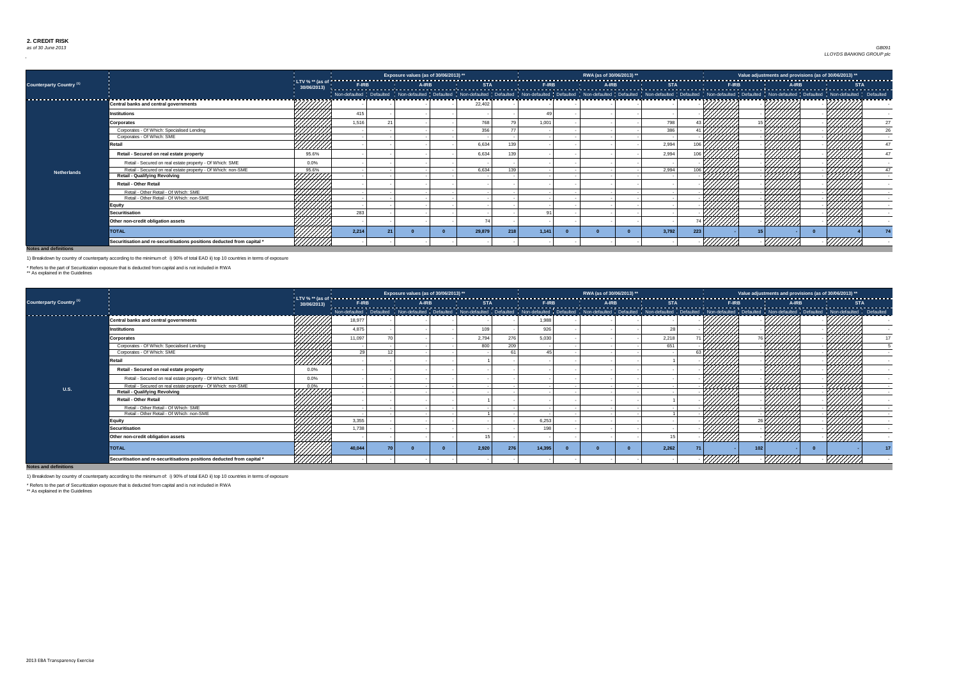### *as of 30 June 2013* Jun-13 Country 0 Exposure 0 *GB091 LLOYDS BANKING GROUP plc*

**Notes and definitions**

|                                   |                                                                         |                |       | Exposure values (as of 30/06/2013) ** |        |     |       | RWA (as of 30/06/2013) ** |                                                                                                                                                                                                                                   |                  |  |                | Value adjustments and provisions (as of 30/06/2013) ** |  |
|-----------------------------------|-------------------------------------------------------------------------|----------------|-------|---------------------------------------|--------|-----|-------|---------------------------|-----------------------------------------------------------------------------------------------------------------------------------------------------------------------------------------------------------------------------------|------------------|--|----------------|--------------------------------------------------------|--|
| <b>Counterparty Country (1)</b>   |                                                                         | 30/06/2013)    |       |                                       |        |     |       |                           | "   F-IRB   A-IRB   A-IRB   STA   F-IRB   A-IRB   A-IRB   STA   A-IRB   STA   F-IRB   A-IRB   A-IRB   A-IRB   A-IRB<br>  Non-defaulted   Defaulted   Non-defaulted   Non-defaulted   Defaulted   Defaulted   Non-defaulted   Defa |                  |  |                |                                                        |  |
|                                   |                                                                         |                |       |                                       |        |     |       |                           |                                                                                                                                                                                                                                   |                  |  |                |                                                        |  |
| --------------------------------- | <b>Central banks and central governments</b>                            |                |       |                                       | 22,402 |     |       |                           |                                                                                                                                                                                                                                   |                  |  |                |                                                        |  |
|                                   | <b>Institutions</b>                                                     |                | 415   |                                       |        |     |       |                           |                                                                                                                                                                                                                                   |                  |  |                |                                                        |  |
|                                   | <b>Corporates</b>                                                       |                | 1,516 |                                       | 768    |     | 1,001 |                           | 798                                                                                                                                                                                                                               |                  |  |                |                                                        |  |
|                                   | Corporates - Of Which: Specialised Lending                              |                |       |                                       | 356    | 77  |       |                           | 386                                                                                                                                                                                                                               |                  |  |                |                                                        |  |
|                                   | Corporates - Of Which: SME                                              |                |       |                                       |        |     |       |                           |                                                                                                                                                                                                                                   |                  |  |                |                                                        |  |
|                                   | ∖etail                                                                  |                |       |                                       | 6,634  | 130 |       |                           | 2,994                                                                                                                                                                                                                             |                  |  |                |                                                        |  |
|                                   | Retail - Secured on real estate property                                | 95.6%          |       |                                       | 6,634  |     |       |                           | 2,994                                                                                                                                                                                                                             |                  |  |                |                                                        |  |
|                                   | Retail - Secured on real estate property - Of Which: SME                | $0.0\%$        |       |                                       |        |     |       |                           |                                                                                                                                                                                                                                   |                  |  |                |                                                        |  |
| <b>Netherlands</b>                | Retail - Secured on real estate property - Of Which: non-SME            | 95.6%          |       |                                       | 6,634  | 139 |       |                           | 2,994                                                                                                                                                                                                                             | 106 <sup>2</sup> |  | UHH.           |                                                        |  |
|                                   | <b>Retail - Qualifying Revolving</b>                                    | 7777777        |       |                                       |        |     |       |                           |                                                                                                                                                                                                                                   |                  |  |                |                                                        |  |
|                                   | <b>Retail - Other Retail</b>                                            |                |       |                                       |        |     |       |                           |                                                                                                                                                                                                                                   |                  |  |                |                                                        |  |
|                                   | Retail - Other Retail - Of Which: SME                                   | HAHHH<br>HAHHH |       |                                       |        |     |       |                           |                                                                                                                                                                                                                                   |                  |  |                |                                                        |  |
|                                   | Retail - Other Retail - Of Which: non-SME                               |                |       |                                       |        |     |       |                           |                                                                                                                                                                                                                                   |                  |  |                |                                                        |  |
|                                   | <b>Equity</b>                                                           |                |       |                                       |        |     |       |                           |                                                                                                                                                                                                                                   |                  |  |                |                                                        |  |
|                                   | <b>Securitisation</b>                                                   |                | 283   |                                       |        |     |       |                           |                                                                                                                                                                                                                                   |                  |  |                |                                                        |  |
|                                   | Other non-credit obligation assets                                      |                |       |                                       |        |     |       |                           |                                                                                                                                                                                                                                   |                  |  | <u>///////</u> | //////                                                 |  |
|                                   | <b>TOTAL</b>                                                            |                | 2,214 |                                       | 29,879 | 218 | 1,141 |                           | 3,792                                                                                                                                                                                                                             | 223              |  |                |                                                        |  |
|                                   | Securitisation and re-securitisations positions deducted from capital * |                |       |                                       |        |     |       |                           |                                                                                                                                                                                                                                   |                  |  |                |                                                        |  |

|                                     |                                                                         |                  |        |                 | Exposure values (as of 30/06/2013) ** |       |     |        | RWA (as of 30/06/2013) ** |                                                                                                                                                                                                                                  |        |                  | Value adjustments and provisions (as of $30/06/2013)$ ** |  |    |
|-------------------------------------|-------------------------------------------------------------------------|------------------|--------|-----------------|---------------------------------------|-------|-----|--------|---------------------------|----------------------------------------------------------------------------------------------------------------------------------------------------------------------------------------------------------------------------------|--------|------------------|----------------------------------------------------------|--|----|
| Counterparty Country <sup>(1)</sup> |                                                                         | 30/06/2013       |        |                 |                                       |       |     |        |                           | E-IRB F-IRB STA STA F-IRB A-IRB STA F-IRB A-IRB STA F-IRB STA F-IRB STA F-IRB STA STA STA STA STA STA STA STA<br>I Non-defaulted Defaulted Non-defaulted Defaulted Non-defaulted Non-defaulted Defaulted Non-defaulted Defaulted |        |                  |                                                          |  |    |
|                                     |                                                                         |                  |        |                 |                                       |       |     |        |                           |                                                                                                                                                                                                                                  |        |                  |                                                          |  |    |
|                                     | Central banks and central governments                                   |                  | 18,977 |                 |                                       |       |     | 1,988  |                           |                                                                                                                                                                                                                                  |        |                  |                                                          |  |    |
|                                     | <b>Institutions</b>                                                     |                  | 4,875  |                 |                                       | 109   |     | 926    |                           |                                                                                                                                                                                                                                  |        |                  |                                                          |  |    |
|                                     | <b>Corporates</b>                                                       |                  | 11,097 |                 |                                       | 2,794 | 276 | 5,030  |                           | 2,218                                                                                                                                                                                                                            |        |                  |                                                          |  |    |
|                                     | Corporates - Of Which: Specialised Lending                              |                  |        |                 |                                       | 800   | 209 |        |                           | 651                                                                                                                                                                                                                              |        |                  |                                                          |  |    |
|                                     | Corporates - Of Which: SME                                              | ,,,,,,,,,,,      | 29     | $\overline{10}$ |                                       |       | 61  | 45     |                           |                                                                                                                                                                                                                                  |        |                  | <i>ЧЩЩ</i>                                               |  |    |
|                                     | रेetail                                                                 | <u>//////</u> // |        |                 |                                       |       |     |        |                           |                                                                                                                                                                                                                                  |        |                  |                                                          |  |    |
|                                     | Retail - Secured on real estate property                                | $0.0\%$          |        |                 |                                       |       |     |        |                           |                                                                                                                                                                                                                                  |        |                  | ******                                                   |  |    |
|                                     | Retail - Secured on real estate property - Of Which: SME                | 0.0%             |        |                 |                                       |       |     |        |                           |                                                                                                                                                                                                                                  |        |                  |                                                          |  |    |
|                                     | Retail - Secured on real estate property - Of Which: non-SME            | 0.0%             |        |                 |                                       |       |     |        |                           |                                                                                                                                                                                                                                  |        |                  | UMT.                                                     |  |    |
| <b>U.S.</b>                         | <b>Retail - Qualifying Revolving</b>                                    | HMM.             |        |                 |                                       |       |     |        |                           |                                                                                                                                                                                                                                  |        |                  |                                                          |  |    |
|                                     | <b>Retail - Other Retail</b>                                            |                  |        |                 |                                       |       |     |        |                           |                                                                                                                                                                                                                                  |        |                  |                                                          |  |    |
|                                     | Retail - Other Retail - Of Which: SME                                   | ШША.             |        |                 |                                       |       |     |        |                           |                                                                                                                                                                                                                                  |        |                  | 7777777                                                  |  |    |
|                                     | Retail - Other Retail - Of Which: non-SME                               |                  |        |                 |                                       |       |     |        |                           |                                                                                                                                                                                                                                  |        |                  |                                                          |  |    |
|                                     | <b>Equity</b>                                                           |                  | 3,355  |                 |                                       |       |     | 6,253  |                           |                                                                                                                                                                                                                                  |        |                  |                                                          |  |    |
|                                     | <b>Securitisation</b>                                                   |                  | 1,738  |                 |                                       |       |     | 198    |                           |                                                                                                                                                                                                                                  |        |                  |                                                          |  |    |
|                                     | Other non-credit obligation assets                                      |                  |        |                 |                                       |       |     |        |                           |                                                                                                                                                                                                                                  | ////// |                  |                                                          |  |    |
|                                     | <b>TOTAL</b>                                                            |                  | 40,044 |                 |                                       | 2,920 | 276 | 14,395 |                           | 2,262                                                                                                                                                                                                                            |        | 102 <sub>1</sub> |                                                          |  | 17 |
|                                     | Securitisation and re-securitisations positions deducted from capital * |                  |        |                 |                                       |       |     |        |                           |                                                                                                                                                                                                                                  |        |                  |                                                          |  |    |

**Notes and definitions**

1) Breakdown by country of counterparty according to the minimum of: i) 90% of total EAD ii) top 10 countries in terms of exposure

\* Refers to the part of Securitization exposure that is deducted from capital and is not included in RWA

\*\* As explained in the Guidelines

1) Breakdown by country of counterparty according to the minimum of: i) 90% of total EAD ii) top 10 countries in terms of exposure

\* Refers to the part of Securitization exposure that is deducted from capital and is not included in RWA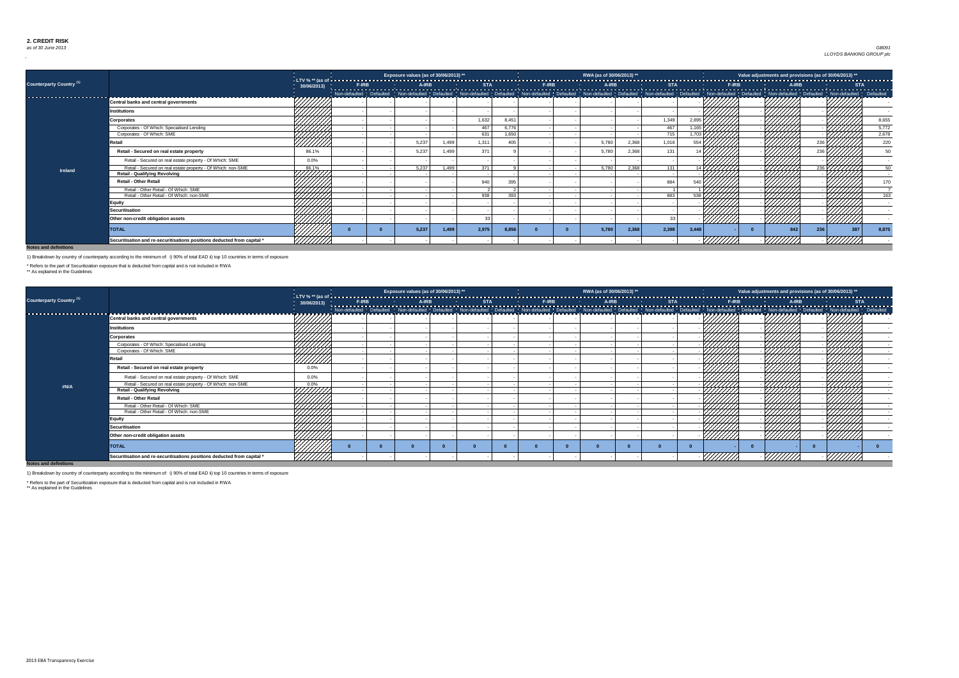### *as of 30 June 2013* Jun-13 Country 0 Exposure 0 *GB091 LLOYDS BANKING GROUP plc*

**Notes and definitions**

|                                     |                                                                         |                  |  | Exposure values (as of 30/06/2013) ** |       |       |       |  | RWA (as of 30/06/2013) ** |       |                                                                                                                                                                                                                                |                    |                  | Value adjustments and provisions (as of 30/06/2013) ** |     |     |     |       |
|-------------------------------------|-------------------------------------------------------------------------|------------------|--|---------------------------------------|-------|-------|-------|--|---------------------------|-------|--------------------------------------------------------------------------------------------------------------------------------------------------------------------------------------------------------------------------------|--------------------|------------------|--------------------------------------------------------|-----|-----|-----|-------|
| Counterparty Country <sup>(1)</sup> |                                                                         | 30/06/2013)      |  |                                       |       |       |       |  |                           |       | The Condition of the Condition of the Condition of the Condition of the Condition of the Condition of the Condition of the Condition of the Condition of the Condition of the Condition of the Condition of the Condition of t |                    |                  |                                                        |     |     |     |       |
|                                     |                                                                         |                  |  |                                       |       |       |       |  |                           |       |                                                                                                                                                                                                                                |                    |                  |                                                        |     |     |     |       |
|                                     | <b>Central banks and central governments</b>                            | a za za za za za |  |                                       |       |       |       |  |                           |       |                                                                                                                                                                                                                                |                    |                  |                                                        |     |     |     |       |
|                                     | <b>Institutions</b>                                                     |                  |  |                                       |       |       |       |  |                           |       |                                                                                                                                                                                                                                |                    |                  |                                                        |     |     |     |       |
|                                     | <b>Corporates</b>                                                       |                  |  |                                       |       | 1,632 | 8,451 |  |                           |       | 1,349                                                                                                                                                                                                                          |                    |                  |                                                        |     |     |     | 8,655 |
|                                     | Corporates - Of Which: Specialised Lending                              | 44444            |  |                                       |       | 467   | 6,776 |  |                           |       | 467                                                                                                                                                                                                                            | 1.165              |                  |                                                        |     |     |     | 5,772 |
|                                     | Corporates - Of Which: SME                                              |                  |  |                                       |       | 631   | 1.650 |  |                           |       | 715                                                                                                                                                                                                                            | 1.703 <sub>l</sub> |                  |                                                        |     |     |     | 2,678 |
|                                     | रेetail                                                                 | 77777            |  | 5,237                                 | 1,499 | 1,311 | 405   |  | 5,780                     | 2,368 | 1,016                                                                                                                                                                                                                          | 554 h              |                  |                                                        |     |     |     | 220   |
|                                     | Retail - Secured on real estate property                                | 86.1%            |  | 5,237                                 | 1,499 | 371   |       |  | 5,780                     | 2,368 | 131                                                                                                                                                                                                                            |                    |                  |                                                        |     |     |     |       |
|                                     | Retail - Secured on real estate property - Of Which: SME                | $0.0\%$          |  |                                       |       |       |       |  |                           |       |                                                                                                                                                                                                                                |                    |                  |                                                        |     |     |     |       |
| <b>Ireland</b>                      | Retail - Secured on real estate property - Of Which: non-SME            | 86.1%            |  | 5,237                                 | 1,499 | 371   |       |  | 5,780                     | 2,368 | 131                                                                                                                                                                                                                            |                    | $14\overline{V}$ |                                                        |     |     |     |       |
|                                     | <b>Retail - Qualifying Revolving</b>                                    |                  |  |                                       |       |       |       |  |                           |       |                                                                                                                                                                                                                                |                    |                  |                                                        |     |     |     |       |
|                                     | <b>Retail - Other Retail</b>                                            |                  |  |                                       |       | 940   | 395   |  |                           |       | 884                                                                                                                                                                                                                            |                    |                  |                                                        |     |     |     |       |
|                                     | Retail - Other Retail - Of Which: SME                                   |                  |  |                                       |       |       |       |  |                           |       |                                                                                                                                                                                                                                |                    |                  |                                                        |     |     |     |       |
|                                     | Retail - Other Retail - Of Which: non-SME                               |                  |  |                                       |       | 938   | 393   |  |                           |       | 883                                                                                                                                                                                                                            |                    |                  |                                                        |     |     |     | 163   |
|                                     | <b>Equity</b>                                                           |                  |  |                                       |       |       |       |  |                           |       |                                                                                                                                                                                                                                |                    |                  |                                                        |     |     |     |       |
|                                     | <b>Securitisation</b>                                                   |                  |  |                                       |       |       |       |  |                           |       |                                                                                                                                                                                                                                |                    |                  |                                                        |     |     |     |       |
|                                     | Other non-credit obligation assets                                      |                  |  |                                       |       |       |       |  |                           |       |                                                                                                                                                                                                                                |                    | 777777           |                                                        |     |     |     |       |
|                                     | <b>TOTAL</b>                                                            |                  |  | 5,237                                 | 1,499 | 2,975 | 8,856 |  | 5,780                     | 2,368 | 2,398                                                                                                                                                                                                                          | 3,448              |                  |                                                        | 842 | 236 | 387 | 8,875 |
|                                     | Securitisation and re-securitisations positions deducted from capital * |                  |  |                                       |       |       |       |  |                           |       |                                                                                                                                                                                                                                |                    |                  |                                                        |     |     |     |       |

|                                 |                                                                         |                                                                                                                                                                                                                                                                                                                                                                                    | Exposure values (as of 30/06/2013) ** |  | RWA (as of 30/06/2013) ** |                | Value adjustments and provisions (as of 30/06/2013) **                                                                                                                                                                         |                |
|---------------------------------|-------------------------------------------------------------------------|------------------------------------------------------------------------------------------------------------------------------------------------------------------------------------------------------------------------------------------------------------------------------------------------------------------------------------------------------------------------------------|---------------------------------------|--|---------------------------|----------------|--------------------------------------------------------------------------------------------------------------------------------------------------------------------------------------------------------------------------------|----------------|
| <b>Counterparty Country (1)</b> |                                                                         | 30/06/2013)                                                                                                                                                                                                                                                                                                                                                                        |                                       |  |                           |                |                                                                                                                                                                                                                                |                |
|                                 | Central banks and central governments                                   | ツフフフフフファ                                                                                                                                                                                                                                                                                                                                                                           |                                       |  |                           |                | Non-defaulted Defaulted Non-defaulted Defaulted Defaulted Non-defaulted Defaulted Non-defaulted Non-defaulted Defaulted Non-defaulted Non-defaulted Defaulted Non-defaulted Defaulted Defaulted Non-defaulted Defaulted Defaul |                |
|                                 | <b>Institutions</b>                                                     |                                                                                                                                                                                                                                                                                                                                                                                    |                                       |  |                           |                |                                                                                                                                                                                                                                |                |
|                                 | <b>Corporates</b>                                                       |                                                                                                                                                                                                                                                                                                                                                                                    |                                       |  |                           |                |                                                                                                                                                                                                                                |                |
|                                 | Corporates - Of Which: Specialised Lending                              |                                                                                                                                                                                                                                                                                                                                                                                    |                                       |  |                           |                |                                                                                                                                                                                                                                |                |
|                                 | Corporates - Of Which: SME                                              |                                                                                                                                                                                                                                                                                                                                                                                    |                                       |  |                           |                |                                                                                                                                                                                                                                |                |
|                                 | Retail                                                                  | HANNI K                                                                                                                                                                                                                                                                                                                                                                            |                                       |  |                           |                |                                                                                                                                                                                                                                |                |
|                                 | Retail - Secured on real estate property                                | $0.0\%$                                                                                                                                                                                                                                                                                                                                                                            |                                       |  |                           |                |                                                                                                                                                                                                                                |                |
|                                 | Retail - Secured on real estate property - Of Which: SME                | $0.0\%$                                                                                                                                                                                                                                                                                                                                                                            |                                       |  |                           |                |                                                                                                                                                                                                                                |                |
| #N/A                            | Retail - Secured on real estate property - Of Which: non-SME            |                                                                                                                                                                                                                                                                                                                                                                                    |                                       |  |                           |                |                                                                                                                                                                                                                                |                |
|                                 | <b>Retail - Qualifying Revolving</b>                                    | $\frac{1}{1}{\sqrt{1\frac{1}{1\frac{1}{1\frac{1}{1\frac{1}{1\frac{1}{1\frac{1}{1\frac{1}{1\frac{1}{1\frac{1}{1\frac{1}{1\frac{1}{1\frac{1}{1\frac{1}{1\frac{1}{1\frac{1}{1\frac{1}{1\frac{1}{1\frac{1}{1\frac{1}{1\frac{1}{1\frac{1}{1\frac{1}{1\frac{1}{1\frac{1}{1\frac{1}{1\frac{1}{1\frac{1}{1\frac{1}{1\frac{1}{1\frac{1}{1\frac{1}{1\frac{1}{1\frac{1}{1\frac{1}{1\frac{1}{$ |                                       |  |                           |                |                                                                                                                                                                                                                                |                |
|                                 | <b>Retail - Other Retail</b>                                            |                                                                                                                                                                                                                                                                                                                                                                                    |                                       |  |                           |                |                                                                                                                                                                                                                                |                |
|                                 | Retail - Other Retail - Of Which: SME                                   | HHHA<br>HHHA                                                                                                                                                                                                                                                                                                                                                                       |                                       |  |                           |                | HHHHH                                                                                                                                                                                                                          |                |
|                                 | Retail - Other Retail - Of Which: non-SME                               |                                                                                                                                                                                                                                                                                                                                                                                    |                                       |  |                           |                |                                                                                                                                                                                                                                |                |
|                                 | <b>Equity</b>                                                           |                                                                                                                                                                                                                                                                                                                                                                                    |                                       |  |                           |                |                                                                                                                                                                                                                                |                |
|                                 | <b>Securitisation</b>                                                   | 444441<br>444447                                                                                                                                                                                                                                                                                                                                                                   |                                       |  |                           |                |                                                                                                                                                                                                                                |                |
|                                 | Other non-credit obligation assets                                      |                                                                                                                                                                                                                                                                                                                                                                                    |                                       |  |                           | <u>///////</u> | <u>VIIIIIA</u>                                                                                                                                                                                                                 | <u>///////</u> |
|                                 | <b>TOTAL</b>                                                            |                                                                                                                                                                                                                                                                                                                                                                                    |                                       |  |                           |                |                                                                                                                                                                                                                                |                |
|                                 | Securitisation and re-securitisations positions deducted from capital * | <u> УНИН</u>                                                                                                                                                                                                                                                                                                                                                                       |                                       |  |                           |                |                                                                                                                                                                                                                                |                |
| Notes and definitions           |                                                                         |                                                                                                                                                                                                                                                                                                                                                                                    |                                       |  |                           |                |                                                                                                                                                                                                                                |                |

**Notes and definitions**

1) Breakdown by country of counterparty according to the minimum of: i) 90% of total EAD ii) top 10 countries in terms of exposure

\* Refers to the part of Securitization exposure that is deducted from capital and is not included in RWA

\*\* As explained in the Guidelines

1) Breakdown by country of counterparty according to the minimum of: i) 90% of total EAD ii) top 10 countries in terms of exposure

\* Refers to the part of Securitization exposure that is deducted from capital and is not included in RWA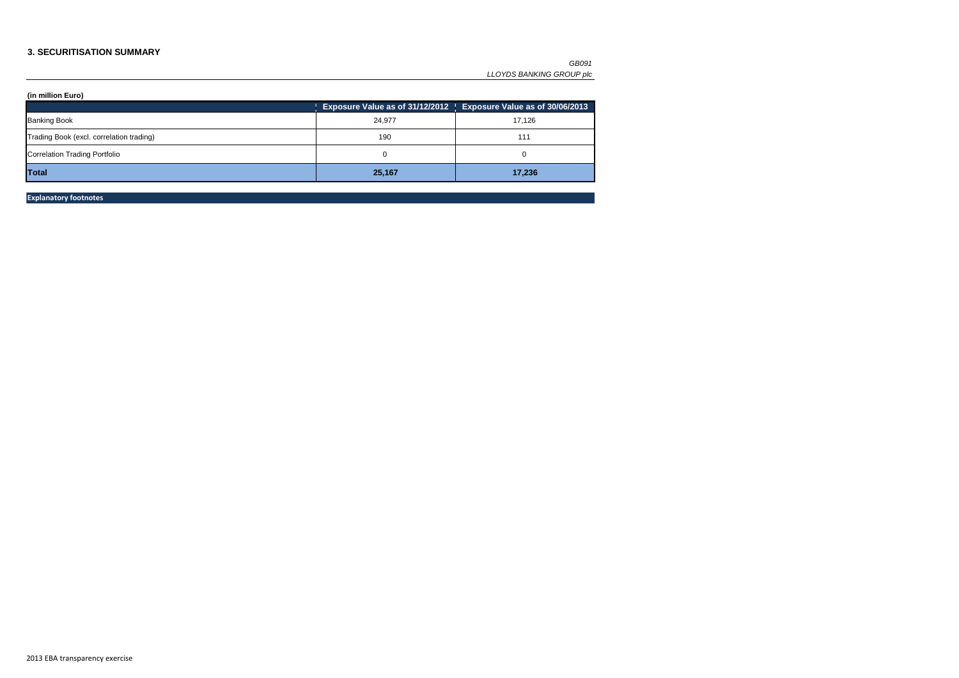#### **3. SECURITISATION SUMMARY**

|                                          |        | Exposure Value as of 31/12/2012   Exposure Value as of 30/06/2013 |
|------------------------------------------|--------|-------------------------------------------------------------------|
| <b>Banking Book</b>                      | 24,977 | 17,126                                                            |
| Trading Book (excl. correlation trading) | 190    | 111                                                               |
| <b>Correlation Trading Portfolio</b>     |        |                                                                   |
| Total                                    | 25,167 | 17,236                                                            |

**Explanatory footnotes**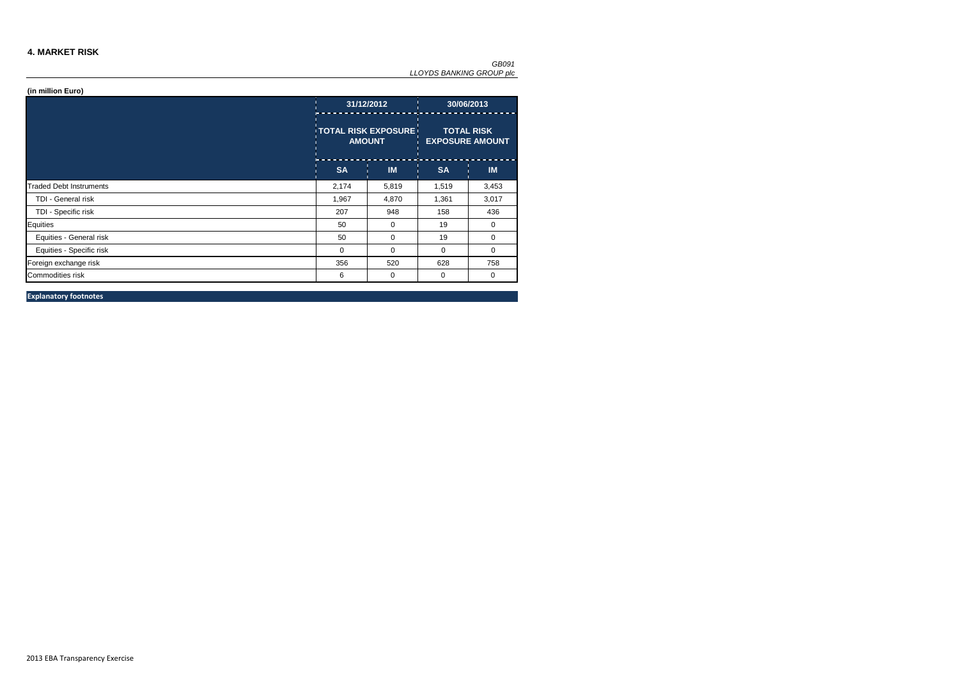#### **4. MARKET RISK**

|                                |             | 31/12/2012                                   | 30/06/2013                                  |           |  |
|--------------------------------|-------------|----------------------------------------------|---------------------------------------------|-----------|--|
|                                |             | <b>TOTAL RISK EXPOSURE!</b><br><b>AMOUNT</b> | <b>TOTAL RISK</b><br><b>EXPOSURE AMOUNT</b> |           |  |
|                                | <b>SA</b>   | <b>IM</b>                                    | <b>SA</b>                                   | <b>IM</b> |  |
| <b>Traded Debt Instruments</b> | 2,174       | 5,819                                        | 1,519                                       | 3,453     |  |
| TDI - General risk             | 1,967       | 4,870                                        | 1,361                                       | 3,017     |  |
| TDI - Specific risk            | 207         | 948                                          | 158                                         | 436       |  |
| Equities                       | 50          | 0                                            | 19                                          | 0         |  |
| Equities - General risk        | 50          | 0                                            | 19                                          | 0         |  |
| Equities - Specific risk       | $\mathbf 0$ | 0                                            | $\mathbf{0}$                                | 0         |  |
| Foreign exchange risk          | 356         | 520                                          | 628                                         | 758       |  |
| Commodities risk               | 6           | 0                                            | 0                                           | 0         |  |

**Explanatory footnotes**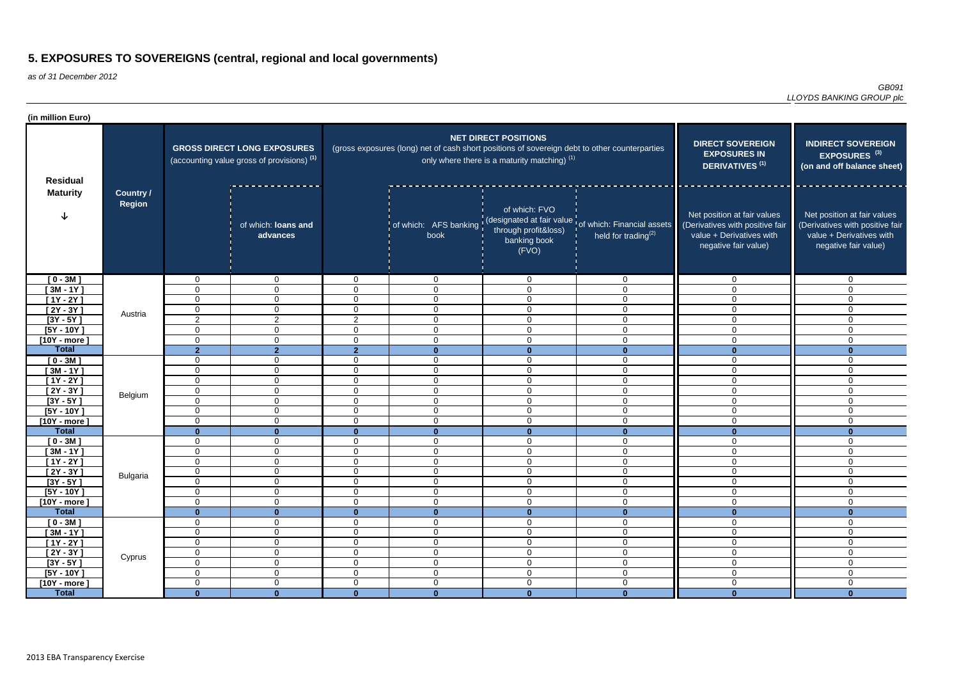as of 31 December 2012

*GB091 LLOYDS BANKING GROUP plc*

| (in million Euro)                                            |                                   |                                               |                                                                                             |                                                    |                                                                                               |                                                                             |                                                                                                      |                                                                                                                    |                                                                                                                    |
|--------------------------------------------------------------|-----------------------------------|-----------------------------------------------|---------------------------------------------------------------------------------------------|----------------------------------------------------|-----------------------------------------------------------------------------------------------|-----------------------------------------------------------------------------|------------------------------------------------------------------------------------------------------|--------------------------------------------------------------------------------------------------------------------|--------------------------------------------------------------------------------------------------------------------|
| <b>Residual</b>                                              |                                   |                                               | <b>GROSS DIRECT LONG EXPOSURES</b><br>(accounting value gross of provisions) <sup>(1)</sup> |                                                    | (gross exposures (long) net of cash short positions of sovereign debt to other counterparties | <b>NET DIRECT POSITIONS</b><br>only where there is a maturity matching) (1) | <b>DIRECT SOVEREIGN</b><br><b>EXPOSURES IN</b><br>DERIVATIVES <sup>(1)</sup>                         | <b>INDIRECT SOVEREIGN</b><br>EXPOSURES <sup>(3)</sup><br>(on and off balance sheet)                                |                                                                                                                    |
| <b>Maturity</b>                                              | <b>Country /</b><br><b>Region</b> |                                               | of which: loans and<br>advances                                                             |                                                    | book                                                                                          | of which: FVO<br>through profit&loss)<br>banking book<br>(FVO)              | of which: AFS banking (designated at fair value of which: Financial assets<br>held for trading $(2)$ | Net position at fair values<br>(Derivatives with positive fair<br>value + Derivatives with<br>negative fair value) | Net position at fair values<br>(Derivatives with positive fair<br>value + Derivatives with<br>negative fair value) |
| $[0 - 3M]$<br>$[3M - 1Y]$<br>$[1Y - 2Y]$                     |                                   | $\mathbf{0}$<br>$\overline{0}$<br>$\mathbf 0$ | $\mathbf 0$<br>$\overline{0}$<br>$\overline{0}$                                             | $\mathbf{0}$<br>$\Omega$<br>0                      | $\overline{0}$<br>$\overline{0}$<br>$\overline{0}$                                            | $\overline{0}$<br>$\overline{0}$<br>$\overline{0}$                          | $\overline{0}$<br>$\mathbf 0$<br>$\mathbf 0$                                                         | $\mathbf 0$<br>$\overline{0}$<br>$\overline{0}$                                                                    | $\overline{0}$<br>$\Omega$<br>$\mathbf 0$                                                                          |
| $[2Y - 3Y]$<br>$[3Y - 5Y]$<br>$[5Y - 10Y]$<br>$[10Y - more]$ | Austria                           | $\mathbf 0$<br>2<br>$\Omega$<br>$\Omega$      | $\overline{0}$<br>$\overline{2}$<br>$\mathbf 0$<br>$\mathbf 0$                              | 0<br>$\overline{2}$<br>0<br>0                      | $\overline{0}$<br>0<br>0<br>0                                                                 | $\overline{0}$<br>$\mathbf 0$<br>$\mathbf 0$<br>$\mathbf 0$                 | $\mathbf{0}$<br>$\Omega$<br>$\mathbf 0$<br>$\mathbf 0$                                               | $\mathbf 0$<br>$\overline{0}$<br>$\overline{0}$<br>$\overline{0}$                                                  | $\overline{0}$<br>$\mathbf 0$<br>$\mathbf 0$<br>$\mathbf 0$                                                        |
| <b>Total</b><br>$[0 - 3M]$<br>$[3M - 1Y]$                    |                                   | $\overline{2}$<br>$\Omega$<br>$\mathbf 0$     | 2 <sup>1</sup><br>$\mathbf 0$<br>$\overline{0}$                                             | 2 <sup>1</sup><br>$\Omega$<br>$\Omega$             | $\bf{0}$<br>0<br>0                                                                            | $\mathbf{0}$<br>$\mathbf 0$<br>$\overline{0}$                               | $\Omega$<br>0<br>$\mathbf 0$                                                                         | $\Omega$<br>$\overline{0}$<br>$\overline{0}$                                                                       | $\mathbf{0}$<br>$\Omega$<br>0                                                                                      |
| $[1Y - 2Y]$<br>$[2Y - 3Y]$<br>$[3Y - 5Y]$                    | Belgium                           | $\overline{0}$<br>$\mathbf 0$<br>$\Omega$     | $\overline{0}$<br>$\mathbf 0$<br>$\overline{0}$                                             | $\Omega$<br>$\overline{0}$<br>0                    | $\Omega$<br>$\mathbf 0$<br>0                                                                  | $\overline{0}$<br>$\mathbf 0$<br>$\mathbf 0$                                | 0<br>$\mathbf 0$<br>0                                                                                | $\overline{0}$<br>$\overline{0}$<br>$\overline{0}$                                                                 | $\Omega$<br>$\Omega$<br>$\mathbf 0$                                                                                |
| $[5Y - 10Y]$<br>$[10Y - more]$<br><b>Total</b>               |                                   | $\mathbf 0$<br>$\mathbf 0$<br>$\Omega$        | $\overline{0}$<br>$\overline{0}$                                                            | 0<br>0<br>n                                        | $\mathbf 0$<br>0<br>$\Omega$                                                                  | $\mathbf 0$<br>$\overline{0}$<br>$\mathbf{0}$                               | 0<br>$\mathbf 0$<br>-0                                                                               | $\overline{0}$<br>$\overline{0}$                                                                                   | $\mathbf 0$<br>$\mathbf 0$<br>$\mathbf{0}$                                                                         |
| $[0 - 3M]$<br>$[3M - 1Y]$<br>$[1Y - 2Y]$                     |                                   | $\mathbf{0}$<br>$\Omega$<br>$\mathbf 0$       | $\mathbf{0}$<br>$\mathbf 0$<br>$\overline{0}$<br>$\mathbf 0$                                | $\Omega$<br>$\Omega$<br>$\Omega$                   | $\mathbf 0$<br>0<br>$\mathbf{0}$                                                              | $\mathbf 0$<br>$\overline{0}$<br>$\overline{0}$                             | $\mathbf 0$<br>$\mathbf 0$<br>$\overline{0}$                                                         | $\overline{0}$<br>$\overline{0}$<br>$\overline{0}$                                                                 | $\mathbf 0$<br>$\Omega$<br>$\mathbf 0$                                                                             |
| $[2Y - 3Y]$<br>$[3Y - 5Y]$                                   | <b>Bulgaria</b>                   | $\overline{0}$<br>0                           | $\overline{0}$<br>0                                                                         | $\Omega$<br>$\sigma$                               | $\mathbf{0}$<br>0                                                                             | $\mathbf 0$<br>0                                                            | $\mathbf{0}$<br>0                                                                                    | $\overline{0}$<br>0                                                                                                | $\mathbf 0$<br>0                                                                                                   |
| $[5Y - 10Y]$<br>$[10Y - more]$<br><b>Total</b>               |                                   | $\mathbf 0$<br>$\mathbf 0$<br>$\mathbf{0}$    | $\overline{0}$<br>$\overline{0}$<br>$\mathbf{0}$                                            | $\overline{0}$<br>0<br>$\mathbf{0}$                | $\overline{0}$<br>$\mathbf 0$<br>$\mathbf{0}$                                                 | $\overline{0}$<br>$\mathbf 0$<br>$\mathbf{0}$                               | $\mathbf 0$<br>$\mathbf 0$<br>$\mathbf{0}$                                                           | $\overline{0}$<br>$\overline{0}$<br>$\mathbf{0}$                                                                   | $\overline{0}$<br>$\mathbf 0$<br>$\mathbf{0}$                                                                      |
| $[0 - 3M]$<br>$[3M - 1Y]$<br>$[1Y - 2Y]$                     | Cyprus                            | 0<br>$\mathbf 0$<br>$\overline{0}$            | $\mathbf 0$<br>$\overline{0}$<br>$\overline{0}$                                             | 0<br>$\mathbf 0$<br>$\overline{0}$                 | $\mathbf 0$<br>$\mathbf 0$<br>$\mathbf 0$                                                     | $\mathbf 0$<br>$\mathbf 0$<br>$\overline{0}$                                | $\mathbf 0$<br>$\mathbf 0$<br>$\mathbf 0$                                                            | $\overline{0}$<br>$\overline{0}$<br>$\overline{0}$                                                                 | $\mathbf 0$<br>$\mathbf 0$<br>$\overline{0}$                                                                       |
| $[2Y - 3Y]$<br>$[3Y - 5Y]$<br>$[5Y - 10Y]$                   |                                   | $\overline{0}$<br>$\mathbf 0$<br>$\mathbf 0$  | $\overline{0}$<br>$\overline{0}$<br>$\overline{0}$                                          | $\overline{0}$<br>$\overline{0}$<br>$\overline{0}$ | $\overline{0}$<br>$\overline{0}$<br>$\overline{0}$                                            | $\overline{0}$<br>$\overline{0}$<br>$\overline{0}$                          | $\mathbf 0$<br>$\mathbf 0$<br>$\mathbf 0$                                                            | $\overline{0}$<br>$\overline{0}$<br>$\overline{0}$                                                                 | $\overline{0}$<br>$\mathbf 0$<br>$\overline{0}$                                                                    |
| [10Y - more ]<br><b>Total</b>                                |                                   | $\overline{0}$<br>$\mathbf{0}$                | $\overline{0}$<br>$\mathbf{0}$                                                              | 0<br>$\mathbf{0}$                                  | $\overline{0}$<br>$\mathbf{0}$                                                                | $\boldsymbol{0}$<br>$\mathbf{0}$                                            | $\mathbf 0$<br>$\bf{0}$                                                                              | $\overline{0}$<br>$\mathbf{0}$                                                                                     | $\overline{0}$<br>$\mathbf{0}$                                                                                     |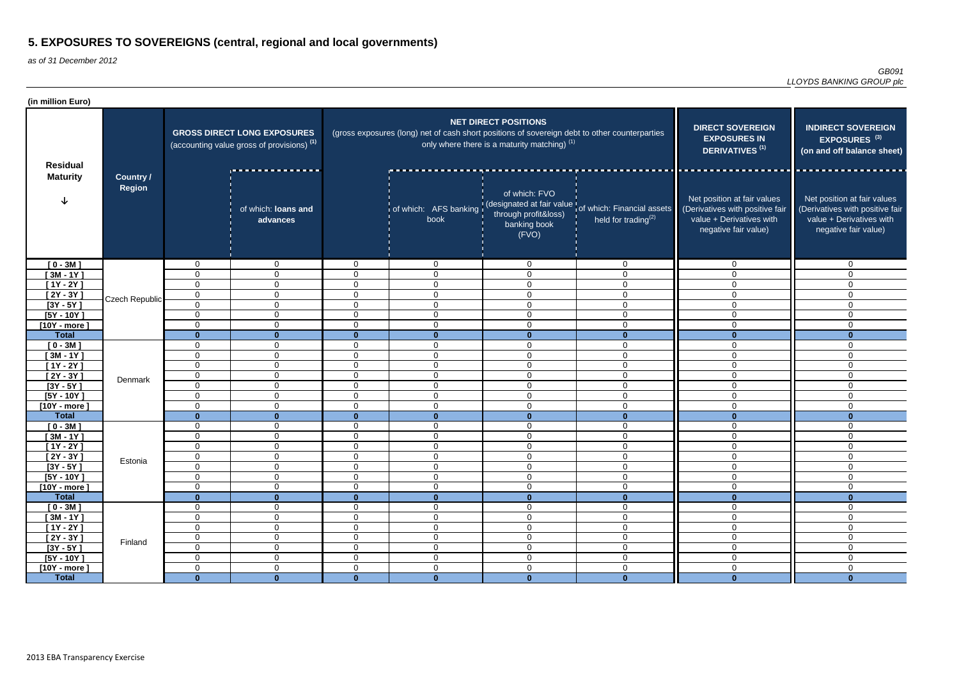| (in million Euro)             |                            |                            |                                                                                             |                                  |                                                                                               |                                                                               |                                                                                                      |                                                                                                                    |                                                                                                                    |
|-------------------------------|----------------------------|----------------------------|---------------------------------------------------------------------------------------------|----------------------------------|-----------------------------------------------------------------------------------------------|-------------------------------------------------------------------------------|------------------------------------------------------------------------------------------------------|--------------------------------------------------------------------------------------------------------------------|--------------------------------------------------------------------------------------------------------------------|
| <b>Residual</b>               |                            |                            | <b>GROSS DIRECT LONG EXPOSURES</b><br>(accounting value gross of provisions) <sup>(1)</sup> |                                  | (gross exposures (long) net of cash short positions of sovereign debt to other counterparties | <b>NET DIRECT POSITIONS</b><br>only where there is a maturity matching) $(1)$ | <b>DIRECT SOVEREIGN</b><br><b>EXPOSURES IN</b><br>DERIVATIVES <sup>(1)</sup>                         | <b>INDIRECT SOVEREIGN</b><br>EXPOSURES <sup>(3)</sup><br>(on and off balance sheet)                                |                                                                                                                    |
| <b>Maturity</b><br>$[0 - 3M]$ | <b>Country /</b><br>Region |                            | of which: loans and<br>advances                                                             |                                  | book                                                                                          | of which: FVO<br>through profit&loss)<br>banking book<br>(FVO)                | of which: AFS banking (designated at fair value of which: Financial assets<br>held for trading $(2)$ | Net position at fair values<br>(Derivatives with positive fair<br>value + Derivatives with<br>negative fair value) | Net position at fair values<br>(Derivatives with positive fair<br>value + Derivatives with<br>negative fair value) |
|                               |                            | $\mathbf 0$                | $\mathbf{0}$                                                                                | $\overline{0}$                   | $\overline{0}$                                                                                | $\mathbf 0$                                                                   | $\overline{0}$                                                                                       | $\overline{0}$                                                                                                     | $\overline{0}$                                                                                                     |
| $[3M - 1Y]$                   |                            | 0                          | $\mathbf 0$                                                                                 | $\overline{0}$                   | $\mathbf 0$                                                                                   | $\Omega$                                                                      | $\mathbf 0$                                                                                          | $\overline{0}$                                                                                                     | $\mathbf{0}$                                                                                                       |
| $[1Y - 2Y]$                   | Czech Republic             | 0                          | $\mathbf 0$                                                                                 | $\overline{0}$                   | $\mathbf 0$                                                                                   | $\Omega$                                                                      | $\mathbf 0$                                                                                          | $\overline{0}$                                                                                                     | $\Omega$                                                                                                           |
| $[2Y - 3Y]$                   |                            | $\mathbf 0$                | $\mathbf 0$                                                                                 | 0                                | $\mathbf 0$                                                                                   | $\Omega$                                                                      | $\mathbf 0$                                                                                          | $\mathbf 0$                                                                                                        | $\mathbf{0}$                                                                                                       |
| $[3Y - 5Y]$                   |                            | $\mathbf 0$                | $\mathbf 0$                                                                                 | $\overline{0}$                   | $\overline{0}$                                                                                | $\Omega$                                                                      | $\mathbf 0$                                                                                          | $\overline{0}$                                                                                                     | $\Omega$                                                                                                           |
| $[5Y - 10Y]$                  |                            | 0                          | $\mathbf 0$                                                                                 | $\overline{0}$                   | $\overline{0}$                                                                                | $\Omega$                                                                      | $\mathbf 0$                                                                                          | $\overline{0}$                                                                                                     | $\Omega$                                                                                                           |
| $[10Y - more]$                |                            | 0                          | $\overline{0}$                                                                              | $\overline{0}$                   | $\mathbf 0$                                                                                   | $\Omega$                                                                      | $\mathbf 0$                                                                                          | $\Omega$                                                                                                           | $\mathbf{0}$                                                                                                       |
| <b>Total</b>                  |                            | $\mathbf{0}$               | $\Omega$                                                                                    | $\mathbf{0}$                     | $\Omega$                                                                                      | $\Omega$                                                                      | $\Omega$                                                                                             | <sup>0</sup>                                                                                                       | $\mathbf{0}$                                                                                                       |
| $[0 - 3M]$                    |                            | $\mathbf 0$                | $\overline{0}$                                                                              | $\overline{0}$                   | $\overline{0}$<br>$\mathbf 0$                                                                 | $\mathbf 0$                                                                   | $\mathbf 0$                                                                                          | $\overline{0}$                                                                                                     | $\Omega$                                                                                                           |
| $[3M - 1Y]$                   |                            | $\mathbf 0$                | $\overline{0}$                                                                              | $\overline{0}$<br>$\overline{0}$ |                                                                                               | $\overline{0}$                                                                | $\overline{0}$                                                                                       | $\overline{0}$<br>$\overline{0}$                                                                                   | $\mathbf 0$                                                                                                        |
| $[1Y - 2Y]$                   |                            | $\mathbf 0$<br>$\mathbf 0$ | $\mathbf{0}$<br>$\mathbf 0$                                                                 | $\overline{0}$                   | $\mathbf 0$<br>$\overline{0}$                                                                 | $\Omega$<br>$\mathbf 0$                                                       | $\mathbf 0$<br>$\mathbf 0$                                                                           | $\mathbf 0$                                                                                                        | 0<br>$\mathbf 0$                                                                                                   |
| $[2Y - 3Y]$<br>$[3Y - 5Y]$    | Denmark                    | $\mathbf 0$                | $\mathbf 0$                                                                                 | $\overline{0}$                   | $\overline{0}$                                                                                | $\Omega$                                                                      | $\overline{0}$                                                                                       | $\overline{0}$                                                                                                     | $\Omega$                                                                                                           |
| $[5Y - 10Y]$                  |                            | $\mathbf 0$                | $\mathbf 0$                                                                                 | $\overline{0}$                   | $\overline{0}$                                                                                | $\mathbf 0$                                                                   | $\overline{0}$                                                                                       | $\overline{0}$                                                                                                     | $\mathbf 0$                                                                                                        |
| $[10Y - more]$                |                            | $\mathbf 0$                | $\mathbf{0}$                                                                                | $\overline{0}$                   | $\overline{0}$                                                                                | $\mathbf 0$                                                                   | $\overline{0}$                                                                                       | $\overline{0}$                                                                                                     | $\overline{0}$                                                                                                     |
| <b>Total</b>                  |                            | $\mathbf{0}$               | $\mathbf{0}$                                                                                | $\bf{0}$                         | $\bf{0}$                                                                                      | $\bf{0}$                                                                      | $\mathbf{0}$                                                                                         | $\Omega$                                                                                                           | $\bf{0}$                                                                                                           |
| $[0 - 3M]$                    |                            | 0                          | $\mathbf 0$                                                                                 | $\mathbf 0$                      | $\mathbf 0$                                                                                   | $\Omega$                                                                      | $\mathbf 0$                                                                                          | $\mathbf 0$                                                                                                        | $\mathbf 0$                                                                                                        |
| $[3M - 1Y]$                   |                            | $\mathbf 0$                | $\mathbf 0$                                                                                 | $\overline{0}$                   | $\overline{0}$                                                                                | $\mathbf 0$                                                                   | $\overline{0}$                                                                                       | $\overline{0}$                                                                                                     | $\mathbf 0$                                                                                                        |
| $[1Y - 2Y]$                   |                            | $\mathbf 0$                | $\overline{0}$                                                                              | $\overline{0}$                   | $\overline{0}$                                                                                | $\overline{0}$                                                                | $\mathbf 0$                                                                                          | $\overline{0}$                                                                                                     | $\overline{0}$                                                                                                     |
| $[2Y - 3Y]$                   |                            | $\mathbf 0$                | $\overline{0}$                                                                              | $\mathbf 0$                      | $\mathbf 0$                                                                                   | $\Omega$<br>◡                                                                 | $\Omega$<br>◡                                                                                        | $\overline{0}$                                                                                                     | $\Omega$<br>ັບ                                                                                                     |
| $[3Y - 5Y]$                   | Estonia                    | $\overline{0}$             | $\mathbf 0$                                                                                 | $\overline{0}$                   | $\overline{0}$                                                                                | $\mathbf 0$                                                                   | $\overline{0}$                                                                                       | $\overline{0}$                                                                                                     | $\mathbf 0$                                                                                                        |
| $[5Y - 10Y]$                  |                            | $\mathbf 0$                | $\overline{0}$                                                                              | $\overline{0}$                   | $\overline{0}$                                                                                | $\mathbf 0$                                                                   | $\mathbf 0$                                                                                          | $\overline{0}$                                                                                                     | $\mathbf 0$                                                                                                        |
| $[10Y - more]$                |                            | $\mathbf 0$                | $\overline{0}$                                                                              | $\overline{0}$                   | $\mathbf 0$                                                                                   | $\mathbf 0$                                                                   | $\overline{0}$                                                                                       | $\overline{0}$                                                                                                     | $\overline{0}$                                                                                                     |
| <b>Total</b>                  |                            | $\mathbf{0}$               | $\mathbf{0}$                                                                                | $\mathbf{0}$                     | $\mathbf{0}$                                                                                  | $\mathbf{0}$                                                                  | $\mathbf{0}$                                                                                         | $\mathbf{0}$                                                                                                       | $\mathbf{0}$                                                                                                       |
| $[0 - 3M]$                    |                            | $\mathbf 0$                | $\overline{0}$                                                                              | $\overline{0}$                   | $\overline{0}$                                                                                | $\mathbf 0$                                                                   | $\overline{0}$                                                                                       | $\overline{0}$                                                                                                     | $\mathbf 0$                                                                                                        |
| $[3M - 1Y]$                   |                            | $\mathbf 0$                | $\overline{0}$                                                                              | $\mathbf 0$                      | $\overline{0}$                                                                                | $\mathbf 0$                                                                   | $\overline{0}$                                                                                       | $\overline{0}$                                                                                                     | $\mathbf 0$                                                                                                        |
| $[1Y - 2Y]$                   |                            | $\mathbf 0$                | $\overline{0}$                                                                              | $\overline{0}$                   | $\overline{0}$                                                                                | $\mathbf 0$                                                                   | $\overline{0}$                                                                                       | $\overline{0}$                                                                                                     | $\overline{0}$                                                                                                     |
| $[2Y - 3Y]$                   | Finland                    | $\boldsymbol{0}$           | $\mathbf 0$                                                                                 | $\overline{0}$                   | $\mathbf 0$                                                                                   | $\mathbf 0$                                                                   | $\overline{0}$                                                                                       | $\mathbf 0$                                                                                                        | $\mathbf 0$                                                                                                        |
| $[3Y - 5Y]$                   |                            | $\mathbf 0$                | $\overline{0}$                                                                              | $\overline{0}$                   | $\boldsymbol{0}$                                                                              | $\mathbf 0$                                                                   | $\boldsymbol{0}$                                                                                     | $\overline{0}$                                                                                                     | $\mathbf 0$                                                                                                        |
| $[5Y - 10Y]$                  |                            | $\mathbf 0$                | $\mathbf 0$                                                                                 | $\overline{0}$                   | $\overline{0}$                                                                                | $\mathbf 0$                                                                   | $\overline{0}$                                                                                       | $\overline{0}$                                                                                                     | $\mathbf 0$                                                                                                        |
| $[10Y - more]$                |                            | $\mathbf 0$                | $\mathbf 0$                                                                                 | $\overline{0}$                   | $\overline{0}$                                                                                | $\mathbf 0$                                                                   | $\overline{0}$                                                                                       | $\overline{0}$                                                                                                     | $\overline{0}$                                                                                                     |
| <b>Total</b>                  |                            | $\mathbf{0}$               | $\mathbf{0}$                                                                                | $\mathbf{0}$                     | $\mathbf{0}$                                                                                  | $\mathbf{0}$                                                                  | $\mathbf{0}$                                                                                         | $\mathbf{0}$                                                                                                       | $\mathbf{0}$                                                                                                       |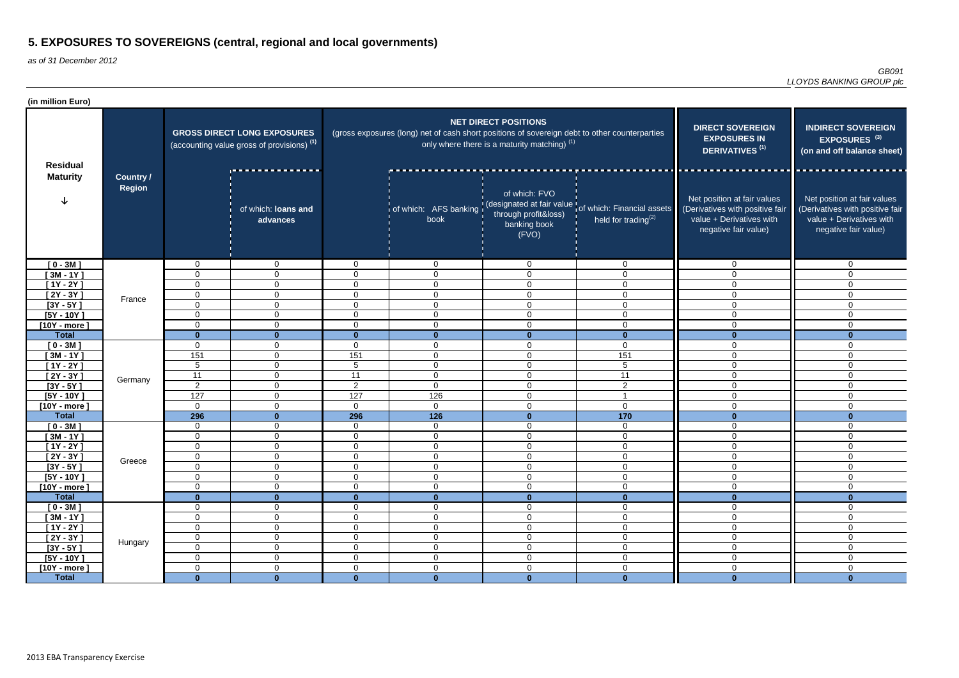| (in million Euro)              |                                   |                            |                                                                                             |                               |                                                                                               |                                                                               |                                                                                                         |                                                                                                                    |                                                                                                                    |
|--------------------------------|-----------------------------------|----------------------------|---------------------------------------------------------------------------------------------|-------------------------------|-----------------------------------------------------------------------------------------------|-------------------------------------------------------------------------------|---------------------------------------------------------------------------------------------------------|--------------------------------------------------------------------------------------------------------------------|--------------------------------------------------------------------------------------------------------------------|
| <b>Residual</b>                |                                   |                            | <b>GROSS DIRECT LONG EXPOSURES</b><br>(accounting value gross of provisions) <sup>(1)</sup> |                               | (gross exposures (long) net of cash short positions of sovereign debt to other counterparties | <b>NET DIRECT POSITIONS</b><br>only where there is a maturity matching) $(1)$ | <b>DIRECT SOVEREIGN</b><br><b>EXPOSURES IN</b><br><b>DERIVATIVES<sup>(1)</sup></b>                      | <b>INDIRECT SOVEREIGN</b><br>EXPOSURES <sup>(3)</sup><br>(on and off balance sheet)                                |                                                                                                                    |
| <b>Maturity</b>                | <b>Country /</b><br><b>Region</b> |                            | of which: loans and<br>advances                                                             |                               | book                                                                                          | of which: FVO<br>through profit&loss)<br>banking book<br>(FVO)                | of which: AFS banking (designated at fair value of which: Financial assets<br>held for trading $^{(2)}$ | Net position at fair values<br>(Derivatives with positive fair<br>value + Derivatives with<br>negative fair value) | Net position at fair values<br>(Derivatives with positive fair<br>value + Derivatives with<br>negative fair value) |
| $[0 - 3M]$                     |                                   | 0                          | $\overline{0}$                                                                              | $\overline{0}$                | $\overline{0}$                                                                                | $\Omega$                                                                      | $\overline{0}$                                                                                          | $\overline{0}$                                                                                                     | $\Omega$                                                                                                           |
| $[3M - 1Y]$                    |                                   | $\mathbf 0$                | $\mathbf{0}$                                                                                | $\Omega$                      | $\overline{0}$                                                                                | 0                                                                             | $\mathbf 0$                                                                                             | $\overline{0}$                                                                                                     | $\mathbf{0}$                                                                                                       |
| $[1Y - 2Y]$                    |                                   | $\Omega$                   | $\overline{0}$                                                                              | $\Omega$                      | $\mathbf 0$                                                                                   | $\mathbf 0$                                                                   | $\mathbf 0$                                                                                             | $\overline{0}$                                                                                                     | $\Omega$                                                                                                           |
| $[2Y - 3Y]$                    | France                            | 0                          | $\overline{0}$                                                                              | $\overline{0}$                | $\overline{0}$                                                                                | $\mathbf 0$                                                                   | $\mathbf 0$                                                                                             | $\overline{0}$                                                                                                     | $\Omega$                                                                                                           |
| $[3Y - 5Y]$                    |                                   | 0                          | $\overline{0}$                                                                              | $\overline{0}$                | $\overline{0}$                                                                                | $\mathbf 0$                                                                   | $\mathbf 0$                                                                                             | $\overline{0}$                                                                                                     | $\Omega$                                                                                                           |
| $[5Y - 10Y]$                   |                                   | $\Omega$                   | $\mathbf 0$                                                                                 | $\overline{0}$                | $\mathbf 0$                                                                                   | $\mathbf 0$                                                                   | $\mathbf 0$                                                                                             | 0                                                                                                                  | $\Omega$                                                                                                           |
| $[10Y - more]$                 |                                   | 0                          | $\overline{0}$                                                                              | $\mathbf 0$                   | $\mathbf 0$                                                                                   | $\overline{0}$                                                                | $\mathbf 0$                                                                                             | 0                                                                                                                  | $\mathbf{0}$                                                                                                       |
| <b>Total</b>                   |                                   | $\bf{0}$                   | $\mathbf{0}$                                                                                | $\mathbf{0}$                  | $\bf{0}$                                                                                      | $\bf{0}$                                                                      | $\bf{0}$                                                                                                | U                                                                                                                  | $\bf{0}$                                                                                                           |
| $[0 - 3M]$                     |                                   | 0                          | $\overline{0}$                                                                              | $\overline{0}$                | $\overline{0}$                                                                                | $\mathbf 0$                                                                   | $\mathbf 0$                                                                                             | $\overline{0}$                                                                                                     | $\mathbf{0}$                                                                                                       |
| $[3M - 1Y]$                    |                                   | 151                        | $\mathbf 0$                                                                                 | 151                           | $\mathbf 0$                                                                                   | $\Omega$                                                                      | 151                                                                                                     | 0                                                                                                                  | $\mathbf 0$                                                                                                        |
| $[1Y - 2Y]$                    |                                   | $5\phantom{.0}$            | $\overline{0}$                                                                              | 5                             | $\mathbf 0$                                                                                   | $\mathbf 0$                                                                   | 5                                                                                                       | 0                                                                                                                  | $\mathbf{0}$                                                                                                       |
| $[2Y - 3Y]$                    | Germany                           | 11                         | $\overline{0}$                                                                              | 11                            | $\mathbf 0$                                                                                   | $\mathbf 0$                                                                   | 11                                                                                                      | $\mathbf 0$                                                                                                        | $\Omega$                                                                                                           |
| $[3Y - 5Y]$                    |                                   | $\overline{2}$             | $\overline{0}$                                                                              | $\overline{2}$                | $\overline{0}$                                                                                | $\mathbf 0$                                                                   | $\overline{2}$                                                                                          | $\overline{0}$                                                                                                     | $\Omega$                                                                                                           |
| $[5Y - 10Y]$                   |                                   | 127                        | $\mathbf 0$                                                                                 | 127                           | 126                                                                                           | $\mathbf 0$                                                                   |                                                                                                         | $\overline{0}$                                                                                                     | $\Omega$                                                                                                           |
| $[10Y - more]$                 |                                   | $\mathbf 0$                | $\mathbf 0$                                                                                 | $\overline{0}$                | $\overline{0}$                                                                                | $\mathbf 0$                                                                   | $\mathbf 0$                                                                                             | $\overline{0}$                                                                                                     | $\mathbf 0$                                                                                                        |
| <b>Total</b>                   |                                   | 296                        | $\mathbf{0}$                                                                                | 296                           | $\overline{126}$                                                                              | $\mathbf{0}$                                                                  | $\frac{1}{170}$                                                                                         | $\mathbf{0}$                                                                                                       | $\mathbf{0}$                                                                                                       |
| $[0 - 3M]$                     |                                   | $\mathbf 0$                | $\mathbf 0$                                                                                 | $\mathbf 0$                   | $\overline{0}$                                                                                | $\overline{0}$                                                                | $\mathbf 0$                                                                                             | $\overline{0}$                                                                                                     | $\mathbf 0$                                                                                                        |
| $[3M - 1Y]$                    |                                   | 0                          | $\overline{0}$                                                                              | $\overline{0}$                | $\overline{0}$                                                                                | $\mathbf 0$                                                                   | $\mathbf 0$                                                                                             | $\overline{0}$                                                                                                     | $\mathbf{0}$                                                                                                       |
| $[1Y - 2Y]$                    |                                   | $\mathbf 0$                | $\overline{0}$                                                                              | 0                             | $\mathbf 0$<br>$\Omega$                                                                       | $\Omega$<br>$\Omega$                                                          | $\mathbf 0$<br>$\Omega$                                                                                 | $\overline{0}$                                                                                                     | 0                                                                                                                  |
| $[2Y - 3Y]$                    | Greece                            | 0                          | $\pmb{0}$                                                                                   | $\mathbf 0$                   | v                                                                                             | ◡                                                                             | v                                                                                                       | $\overline{0}$                                                                                                     | $\mathbf 0$                                                                                                        |
| $[3Y - 5Y]$                    |                                   | $\Omega$                   | $\overline{0}$<br>$\mathbf 0$                                                               | $\overline{0}$<br>$\mathbf 0$ | $\overline{0}$                                                                                | $\mathbf 0$                                                                   | $\overline{0}$                                                                                          | $\overline{0}$<br>$\overline{0}$                                                                                   | $\mathbf 0$<br>$\mathbf 0$                                                                                         |
| $[5Y - 10Y]$                   |                                   | $\mathbf 0$                | $\mathbf 0$                                                                                 | $\mathbf 0$                   | $\overline{0}$<br>$\overline{0}$                                                              | $\overline{0}$<br>$\overline{0}$                                              | $\overline{0}$<br>$\overline{0}$                                                                        | $\overline{0}$                                                                                                     |                                                                                                                    |
| $[10Y - more]$<br><b>Total</b> |                                   | 0<br>$\mathbf{0}$          | $\mathbf{0}$                                                                                | $\mathbf{0}$                  | $\mathbf{0}$                                                                                  | $\mathbf{0}$                                                                  | $\mathbf{0}$                                                                                            | $\mathbf{0}$                                                                                                       | $\mathbf 0$<br>$\mathbf{0}$                                                                                        |
|                                |                                   |                            | $\overline{0}$                                                                              | $\overline{0}$                |                                                                                               |                                                                               |                                                                                                         | $\mathbf 0$                                                                                                        | $\overline{0}$                                                                                                     |
| $[0 - 3M]$<br>$[3M - 1Y]$      |                                   | $\mathbf 0$<br>$\mathbf 0$ | $\overline{0}$                                                                              | $\overline{0}$                | $\overline{0}$<br>$\overline{0}$                                                              | $\mathbf 0$<br>$\mathbf 0$                                                    | $\overline{0}$<br>$\overline{0}$                                                                        | $\overline{0}$                                                                                                     | $\overline{0}$                                                                                                     |
| $[1Y - 2Y]$                    |                                   | $\mathbf 0$                | $\overline{0}$                                                                              | $\overline{0}$                | $\overline{0}$                                                                                | $\overline{0}$                                                                | $\overline{0}$                                                                                          | $\overline{0}$                                                                                                     | $\overline{0}$                                                                                                     |
| $[2Y - 3Y]$                    |                                   | $\mathbf 0$                | $\overline{0}$                                                                              | $\overline{0}$                | $\boldsymbol{0}$                                                                              | $\overline{0}$                                                                | $\mathsf 0$                                                                                             | $\overline{0}$                                                                                                     | $\mathbf 0$                                                                                                        |
| $[3Y - 5Y]$                    | Hungary                           | $\mathbf 0$                | $\overline{0}$                                                                              | $\mathbf 0$                   | $\overline{0}$                                                                                | $\mathbf 0$                                                                   | $\overline{0}$                                                                                          | $\overline{0}$                                                                                                     | $\mathbf 0$                                                                                                        |
| $[5Y - 10Y]$                   |                                   | $\mathbf 0$                | $\overline{0}$                                                                              | $\overline{0}$                | $\overline{0}$                                                                                | $\overline{0}$                                                                | $\overline{0}$                                                                                          | $\mathbf 0$                                                                                                        | $\overline{0}$                                                                                                     |
| $[10Y - more]$                 |                                   | $\mathbf 0$                | $\overline{0}$                                                                              | $\overline{0}$                | $\boldsymbol{0}$                                                                              | $\overline{0}$                                                                | $\overline{0}$                                                                                          | $\overline{0}$                                                                                                     | $\overline{0}$                                                                                                     |
| <b>Total</b>                   |                                   | $\mathbf{0}$               | $\mathbf{0}$                                                                                | $\mathbf{0}$                  | $\mathbf{0}$                                                                                  | $\mathbf{0}$                                                                  | $\mathbf{0}$                                                                                            | $\mathbf{0}$                                                                                                       | $\mathbf{0}$                                                                                                       |
|                                |                                   |                            |                                                                                             |                               |                                                                                               |                                                                               |                                                                                                         |                                                                                                                    |                                                                                                                    |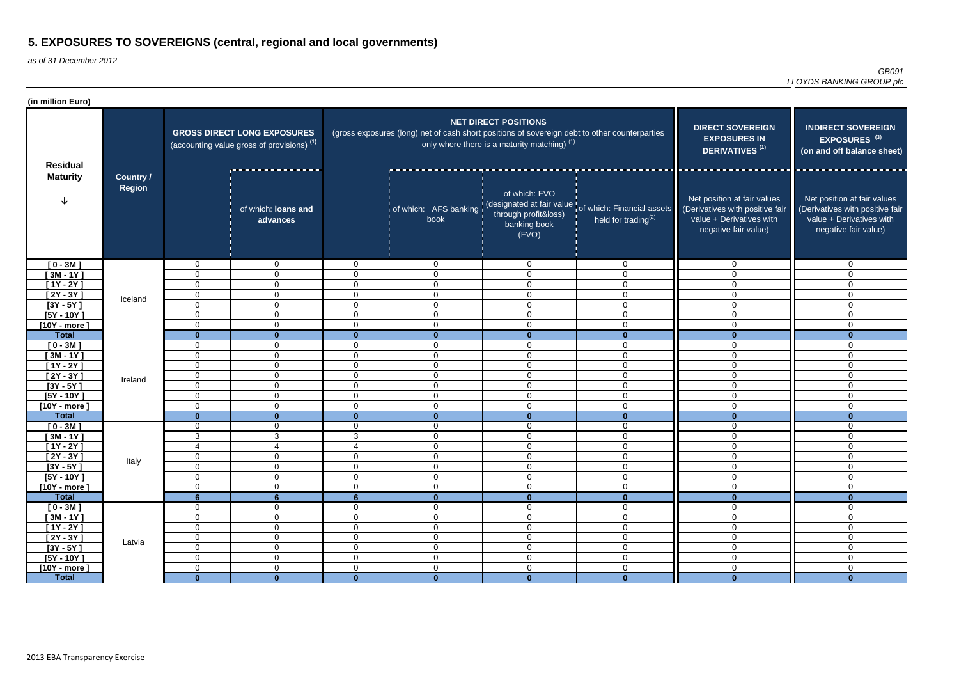| (in million Euro)              |                                   |                            |                                                                                             |                                      |                                                                                               |                                                                               |                                                                                    |                                                                                                                    |                                                                                                                    |
|--------------------------------|-----------------------------------|----------------------------|---------------------------------------------------------------------------------------------|--------------------------------------|-----------------------------------------------------------------------------------------------|-------------------------------------------------------------------------------|------------------------------------------------------------------------------------|--------------------------------------------------------------------------------------------------------------------|--------------------------------------------------------------------------------------------------------------------|
| <b>Residual</b>                |                                   |                            | <b>GROSS DIRECT LONG EXPOSURES</b><br>(accounting value gross of provisions) <sup>(1)</sup> |                                      | (gross exposures (long) net of cash short positions of sovereign debt to other counterparties | <b>NET DIRECT POSITIONS</b><br>only where there is a maturity matching) $(1)$ | <b>DIRECT SOVEREIGN</b><br><b>EXPOSURES IN</b><br><b>DERIVATIVES<sup>(1)</sup></b> | <b>INDIRECT SOVEREIGN</b><br>EXPOSURES <sup>(3)</sup><br>(on and off balance sheet)                                |                                                                                                                    |
| <b>Maturity</b><br>$[0 - 3M]$  | <b>Country /</b><br><b>Region</b> |                            | of which: loans and<br>advances                                                             |                                      | of which: AFS banking   \<br>book                                                             | of which: FVO<br>through profit&loss)<br>banking book<br>(FVO)                | (designated at fair value of which: Financial assets<br>held for trading $(2)$     | Net position at fair values<br>(Derivatives with positive fair<br>value + Derivatives with<br>negative fair value) | Net position at fair values<br>(Derivatives with positive fair<br>value + Derivatives with<br>negative fair value) |
|                                |                                   | 0                          | $\overline{0}$                                                                              | $\overline{0}$                       | $\overline{0}$                                                                                | $\overline{0}$                                                                | $\overline{0}$                                                                     | $\mathbf 0$                                                                                                        | $\Omega$                                                                                                           |
| $[3M - 1Y]$                    |                                   | $\Omega$                   | $\mathbf 0$                                                                                 | $\mathbf 0$                          | $\mathbf 0$                                                                                   | $\Omega$                                                                      | $\mathbf 0$                                                                        | 0                                                                                                                  | $\Omega$                                                                                                           |
| $[1Y - 2Y]$                    |                                   | $\Omega$                   | $\mathbf 0$                                                                                 | $\mathbf{0}$                         | $\mathbf 0$                                                                                   | $\mathbf 0$                                                                   | $\mathbf 0$                                                                        | 0                                                                                                                  | $\Omega$                                                                                                           |
| [ 2Y - 3Y ]                    | Iceland                           | $\mathbf 0$                | $\mathbf{0}$                                                                                | $\Omega$                             | $\overline{0}$                                                                                | $\overline{0}$                                                                | $\mathbf 0$                                                                        | $\mathbf 0$                                                                                                        | $\Omega$                                                                                                           |
| $[3Y - 5Y]$                    |                                   | $\overline{0}$             | $\overline{0}$                                                                              | $\overline{0}$                       | $\overline{0}$                                                                                | $\mathbf 0$                                                                   | $\mathbf 0$                                                                        | $\overline{0}$                                                                                                     | $\Omega$                                                                                                           |
| $[5Y - 10Y]$                   |                                   | $\Omega$                   | $\overline{0}$                                                                              | $\overline{0}$                       | $\overline{0}$                                                                                | $\mathbf 0$                                                                   | $\mathbf 0$                                                                        | $\overline{0}$                                                                                                     | $\Omega$                                                                                                           |
| $[10Y - more]$<br><b>Total</b> |                                   | $\mathbf 0$<br>$\bf{0}$    | $\overline{0}$<br>$\mathbf{0}$                                                              | $\overline{0}$<br>$\mathbf{0}$       | $\overline{0}$<br>$\mathbf{0}$                                                                | $\mathbf 0$<br>$\mathbf{0}$                                                   | $\mathbf 0$<br>$\Omega$                                                            | $\overline{0}$<br>$\Omega$                                                                                         | $\Omega$<br>$\mathbf{0}$                                                                                           |
| $[0 - 3M]$                     |                                   | 0                          | $\overline{0}$                                                                              | $\overline{0}$                       | $\overline{0}$                                                                                | $\mathbf 0$                                                                   | $\mathbf 0$                                                                        | $\overline{0}$                                                                                                     | $\mathbf 0$                                                                                                        |
| $[3M - 1Y]$                    |                                   | 0                          | $\overline{0}$                                                                              | $\mathbf 0$                          | $\mathbf 0$                                                                                   | $\mathbf 0$                                                                   | $\overline{0}$                                                                     | $\overline{0}$                                                                                                     | $\mathbf{0}$                                                                                                       |
| $[1Y - 2Y]$                    |                                   | $\mathbf 0$                | $\overline{0}$                                                                              | 0                                    | $\overline{0}$                                                                                | $\overline{0}$                                                                | $\overline{0}$                                                                     | $\overline{0}$                                                                                                     | $\mathbf 0$                                                                                                        |
| $[2Y - 3Y]$                    |                                   | 0                          | $\overline{0}$                                                                              | $\overline{0}$                       | $\overline{0}$                                                                                | $\mathbf 0$                                                                   | $\overline{0}$                                                                     | $\overline{0}$                                                                                                     | $\Omega$                                                                                                           |
| $[3Y - 5Y]$                    | Ireland                           | $\Omega$                   | $\mathbf 0$                                                                                 | $\overline{0}$                       | $\overline{0}$                                                                                | $\mathbf 0$                                                                   | $\mathbf 0$                                                                        | $\overline{0}$                                                                                                     | $\Omega$                                                                                                           |
| $[5Y - 10Y]$                   |                                   | $\Omega$                   | $\mathbf 0$                                                                                 | $\overline{0}$                       | $\overline{0}$                                                                                | $\mathbf 0$                                                                   | $\mathbf 0$                                                                        | $\overline{0}$                                                                                                     | $\mathbf 0$                                                                                                        |
| $[10Y - more]$                 |                                   | 0                          | $\mathbf 0$                                                                                 | $\overline{0}$                       | $\overline{0}$                                                                                | $\mathbf 0$                                                                   | $\mathbf 0$                                                                        | $\overline{0}$                                                                                                     | $\Omega$                                                                                                           |
| <b>Total</b>                   |                                   | $\mathbf{0}$               | $\Omega$                                                                                    | $\bf{0}$                             | $\mathbf{0}$                                                                                  | $\mathbf{0}$                                                                  | $\mathbf{0}$                                                                       | $\Omega$                                                                                                           | $\bf{0}$                                                                                                           |
| $[0 - 3M]$                     |                                   | 0                          | $\mathbf 0$                                                                                 | $\Omega$                             | $\overline{0}$                                                                                | $\mathbf 0$                                                                   | $\overline{0}$                                                                     | $\overline{0}$                                                                                                     | $\mathbf 0$                                                                                                        |
| $[3M - 1Y]$                    |                                   | 3                          | 3                                                                                           | 3                                    | $\overline{0}$                                                                                | $\mathbf 0$                                                                   | $\mathbf 0$                                                                        | $\overline{0}$                                                                                                     | $\mathbf 0$                                                                                                        |
| $[1Y - 2Y]$                    |                                   | $\overline{4}$             | $\overline{4}$                                                                              | 4                                    | $\overline{0}$                                                                                | $\overline{0}$                                                                | $\mathbf 0$                                                                        | $\overline{0}$                                                                                                     | $\overline{0}$                                                                                                     |
| $[2Y - 3Y]$                    | Italy                             | $\cap$<br>ັບ               | $\cap$<br>◡                                                                                 | $\Omega$<br>v                        | $\Omega$<br>◡                                                                                 | $\mathbf 0$                                                                   | $\Omega$<br>◡                                                                      | $\overline{0}$                                                                                                     | $\Omega$                                                                                                           |
| $[3Y - 5Y]$                    |                                   | $\mathbf 0$                | $\overline{0}$                                                                              | $\overline{0}$                       | $\mathbf 0$                                                                                   | 0                                                                             | $\overline{0}$                                                                     | $\overline{0}$                                                                                                     | 0                                                                                                                  |
| $[5Y - 10Y]$                   |                                   | 0                          | $\overline{0}$                                                                              | $\overline{0}$                       | $\overline{0}$                                                                                | $\overline{0}$                                                                | $\mathbf 0$                                                                        | $\overline{0}$                                                                                                     | $\mathbf 0$                                                                                                        |
| $[10Y - more]$                 |                                   | $\mathbf 0$                | $\overline{0}$                                                                              | $\mathbf 0$                          | $\boldsymbol{0}$                                                                              | $\overline{0}$                                                                | $\mathbf 0$                                                                        | $\overline{0}$                                                                                                     | $\overline{0}$                                                                                                     |
| <b>Total</b>                   |                                   | $6\phantom{1}$             | $6\phantom{a}$                                                                              | 6 <sup>1</sup>                       | $\mathbf{0}$                                                                                  | $\mathbf{0}$                                                                  | $\mathbf{0}$                                                                       | $\bf{0}$                                                                                                           | $\mathbf{0}$                                                                                                       |
| $[0 - 3M]$                     |                                   | 0                          | $\overline{0}$                                                                              | $\overline{0}$                       | $\overline{0}$                                                                                | $\mathbf 0$                                                                   | $\overline{0}$                                                                     | $\overline{0}$                                                                                                     | $\mathbf 0$                                                                                                        |
| $[3M - 1Y]$<br>$[1Y - 2Y]$     |                                   | $\mathbf 0$<br>$\mathbf 0$ | $\overline{0}$<br>$\overline{0}$                                                            | $\boldsymbol{0}$<br>$\boldsymbol{0}$ | $\overline{0}$<br>$\boldsymbol{0}$                                                            | $\mathbf 0$<br>$\boldsymbol{0}$                                               | $\overline{0}$<br>$\mathsf 0$                                                      | $\mathbf 0$<br>$\mathbf 0$                                                                                         | $\mathbf 0$<br>$\overline{0}$                                                                                      |
| $[2Y - 3Y]$                    |                                   | $\mathbf 0$                | $\overline{0}$                                                                              | $\boldsymbol{0}$                     | $\overline{0}$                                                                                | $\mathbf 0$                                                                   | $\overline{0}$                                                                     | $\mathbf 0$                                                                                                        | $\mathbf 0$                                                                                                        |
| $[3Y - 5Y]$                    | Latvia                            | $\mathbf 0$                | $\overline{0}$                                                                              | $\mathbf 0$                          | $\boldsymbol{0}$                                                                              | $\mathbf 0$                                                                   | $\boldsymbol{0}$                                                                   | $\mathbf 0$                                                                                                        | $\mathbf 0$                                                                                                        |
| $[5Y - 10Y]$                   |                                   | $\mathbf 0$                | $\mathbf 0$                                                                                 | $\overline{0}$                       | $\boldsymbol{0}$                                                                              | $\mathbf 0$                                                                   | $\overline{0}$                                                                     | $\mathbf 0$                                                                                                        | 0                                                                                                                  |
| $[10Y - more]$                 |                                   | $\mathbf 0$                | $\mathbf 0$                                                                                 | $\overline{0}$                       | $\overline{0}$                                                                                | $\mathbf 0$                                                                   | $\mathbf 0$                                                                        | $\mathbf 0$                                                                                                        | $\overline{0}$                                                                                                     |
| <b>Total</b>                   |                                   | $\mathbf{0}$               | $\mathbf{0}$                                                                                | $\mathbf{0}$                         | $\mathbf{0}$                                                                                  | $\mathbf{0}$                                                                  | $\mathbf{0}$                                                                       | $\mathbf{0}$                                                                                                       | $\mathbf{0}$                                                                                                       |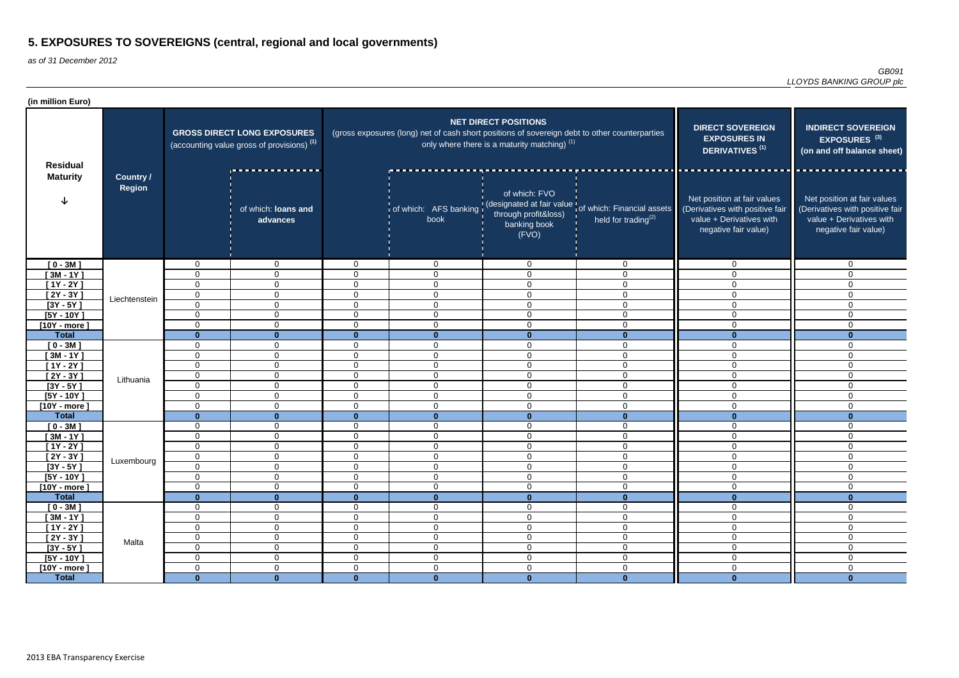| (in million Euro)              |                                   |                            |                                                                                             |                                 |                                                                                               |                                                                               |                                                                                         |                                                                                                                    |                                                                                                                    |
|--------------------------------|-----------------------------------|----------------------------|---------------------------------------------------------------------------------------------|---------------------------------|-----------------------------------------------------------------------------------------------|-------------------------------------------------------------------------------|-----------------------------------------------------------------------------------------|--------------------------------------------------------------------------------------------------------------------|--------------------------------------------------------------------------------------------------------------------|
| <b>Residual</b>                |                                   |                            | <b>GROSS DIRECT LONG EXPOSURES</b><br>(accounting value gross of provisions) <sup>(1)</sup> |                                 | (gross exposures (long) net of cash short positions of sovereign debt to other counterparties | <b>NET DIRECT POSITIONS</b><br>only where there is a maturity matching) $(1)$ | <b>DIRECT SOVEREIGN</b><br><b>EXPOSURES IN</b><br><b>DERIVATIVES<sup>(1)</sup></b>      | <b>INDIRECT SOVEREIGN</b><br>EXPOSURES <sup>(3)</sup><br>(on and off balance sheet)                                |                                                                                                                    |
| <b>Maturity</b>                | <b>Country /</b><br><b>Region</b> |                            | of which: loans and<br>advances                                                             |                                 | of which: AFS banking   \<br>book                                                             | of which: FVO<br>through profit&loss)<br>banking book<br>(FVO)                | (designated at fair value of which: Financial assets<br>held for trading <sup>(2)</sup> | Net position at fair values<br>(Derivatives with positive fair<br>value + Derivatives with<br>negative fair value) | Net position at fair values<br>(Derivatives with positive fair<br>value + Derivatives with<br>negative fair value) |
| $[0 - 3M]$                     |                                   | 0                          | $\overline{0}$                                                                              | $\overline{0}$                  | $\overline{0}$                                                                                | $\overline{0}$                                                                | $\overline{0}$                                                                          | $\mathbf 0$                                                                                                        | $\Omega$                                                                                                           |
| $[3M - 1Y]$                    |                                   | $\Omega$                   | $\mathbf 0$                                                                                 | $\mathbf 0$                     | $\mathbf 0$                                                                                   | $\Omega$                                                                      | $\mathbf 0$                                                                             | 0                                                                                                                  | $\Omega$                                                                                                           |
| $[1Y - 2Y]$                    | Liechtenstein                     | $\mathbf 0$                | $\mathbf 0$                                                                                 | $\mathbf{0}$                    | $\mathbf 0$                                                                                   | $\Omega$                                                                      | $\mathbf 0$                                                                             | 0                                                                                                                  | $\Omega$                                                                                                           |
| [ 2Y - 3Y ]                    |                                   | $\mathbf 0$                | $\mathbf{0}$                                                                                | $\Omega$                        | $\overline{0}$                                                                                | $\overline{0}$                                                                | $\mathbf 0$                                                                             | $\mathbf 0$                                                                                                        | $\Omega$                                                                                                           |
| $[3Y - 5Y]$                    |                                   | $\overline{0}$             | $\overline{0}$                                                                              | $\overline{0}$                  | $\overline{0}$                                                                                | $\mathbf 0$                                                                   | $\mathbf 0$                                                                             | $\overline{0}$                                                                                                     | $\Omega$                                                                                                           |
| $[5Y - 10Y]$                   |                                   | 0                          | $\overline{0}$                                                                              | $\overline{0}$                  | $\overline{0}$                                                                                | $\mathbf 0$                                                                   | $\mathbf 0$                                                                             | $\overline{0}$                                                                                                     | $\Omega$                                                                                                           |
| $[10Y - more]$<br><b>Total</b> |                                   | $\mathbf 0$                | $\overline{0}$                                                                              | $\overline{0}$                  | $\overline{0}$                                                                                | $\mathbf 0$                                                                   | $\mathbf 0$<br>$\Omega$                                                                 | $\overline{0}$                                                                                                     | $\Omega$                                                                                                           |
|                                |                                   | $\bf{0}$<br>0              | $\mathbf{0}$<br>$\overline{0}$                                                              | $\mathbf{0}$<br>$\overline{0}$  | $\mathbf{0}$<br>$\overline{0}$                                                                | $\mathbf{0}$<br>$\mathbf 0$                                                   | $\overline{0}$                                                                          | $\Omega$<br>$\overline{0}$                                                                                         | $\bf{0}$<br>$\mathbf 0$                                                                                            |
| $[0 - 3M]$<br>$[3M - 1Y]$      |                                   | 0                          | $\overline{0}$                                                                              | $\mathbf 0$                     | $\mathbf 0$                                                                                   | $\mathbf 0$                                                                   | $\overline{0}$                                                                          | $\overline{0}$                                                                                                     | $\mathbf{0}$                                                                                                       |
| $[1Y - 2Y]$                    |                                   | $\mathbf 0$                | $\overline{0}$                                                                              | 0                               | $\overline{0}$                                                                                | $\overline{0}$                                                                | $\overline{0}$                                                                          | $\overline{0}$                                                                                                     | $\mathbf 0$                                                                                                        |
| $[2Y - 3Y]$                    |                                   | 0                          | $\overline{0}$                                                                              | $\mathbf 0$                     | $\mathbf 0$                                                                                   | $\mathbf 0$                                                                   | $\overline{0}$                                                                          | $\overline{0}$                                                                                                     | $\Omega$                                                                                                           |
| $[3Y - 5Y]$                    | Lithuania                         | $\Omega$                   | $\mathbf 0$                                                                                 | $\overline{0}$                  | $\overline{0}$                                                                                | $\mathbf 0$                                                                   | $\overline{0}$                                                                          | $\overline{0}$                                                                                                     | $\Omega$                                                                                                           |
| $[5Y - 10Y]$                   |                                   | 0                          | $\mathbf 0$                                                                                 | $\overline{0}$                  | $\overline{0}$                                                                                | $\mathbf 0$                                                                   | $\overline{0}$                                                                          | $\overline{0}$                                                                                                     | $\mathbf 0$                                                                                                        |
| $[10Y - more]$                 |                                   | 0                          | $\mathbf 0$                                                                                 | $\overline{0}$                  | $\overline{0}$                                                                                | $\mathbf 0$                                                                   | $\mathbf 0$                                                                             | $\overline{0}$                                                                                                     | $\Omega$                                                                                                           |
| <b>Total</b>                   |                                   | $\mathbf{0}$               | $\Omega$                                                                                    | $\bf{0}$                        | $\mathbf{0}$                                                                                  | $\mathbf{0}$                                                                  | $\mathbf{0}$                                                                            | $\Omega$                                                                                                           | $\bf{0}$                                                                                                           |
| $[0 - 3M]$                     |                                   | 0                          | $\overline{0}$                                                                              | $\Omega$                        | $\overline{0}$                                                                                | $\mathbf 0$                                                                   | $\overline{0}$                                                                          | $\overline{0}$                                                                                                     | $\mathbf 0$                                                                                                        |
| $[3M - 1Y]$                    |                                   | 0                          | $\overline{0}$                                                                              | $\mathbf 0$                     | $\overline{0}$                                                                                | $\mathbf 0$                                                                   | $\overline{0}$                                                                          | $\overline{0}$                                                                                                     | $\mathbf 0$                                                                                                        |
| $[1Y - 2Y]$                    |                                   | $\mathbf 0$                | $\overline{0}$                                                                              | $\overline{0}$                  | $\overline{0}$                                                                                | $\overline{0}$                                                                | $\mathbf 0$                                                                             | $\overline{0}$                                                                                                     | $\overline{0}$                                                                                                     |
| $[2Y - 3Y]$                    | Luxembourg                        | $\cap$<br>◡                | $\overline{0}$                                                                              | $\Omega$<br>◡                   | $\Omega$<br>◡                                                                                 | $\mathbf 0$                                                                   | $\Omega$<br>◡                                                                           | $\overline{0}$                                                                                                     | $\Omega$<br>ັບ                                                                                                     |
| $[3Y - 5Y]$                    |                                   | $\mathbf 0$                | $\overline{0}$                                                                              | $\overline{0}$                  | $\mathbf 0$                                                                                   | 0                                                                             | $\overline{0}$                                                                          | $\overline{0}$                                                                                                     | 0                                                                                                                  |
| $[5Y - 10Y]$                   |                                   | 0                          | $\overline{0}$                                                                              | $\overline{0}$                  | $\overline{0}$                                                                                | $\overline{0}$                                                                | $\mathbf 0$                                                                             | $\overline{0}$                                                                                                     | $\mathbf 0$                                                                                                        |
| $[10Y - more]$                 |                                   | $\mathbf 0$                | $\overline{0}$                                                                              | $\mathbf 0$                     | $\mathbf 0$                                                                                   | $\overline{0}$                                                                | $\mathbf 0$                                                                             | $\overline{0}$                                                                                                     | $\overline{0}$                                                                                                     |
| <b>Total</b>                   |                                   | $\mathbf{0}$               | $\mathbf{0}$                                                                                | $\mathbf{0}$                    | $\mathbf{0}$                                                                                  | $\mathbf{0}$                                                                  | $\mathbf{0}$                                                                            | $\bf{0}$                                                                                                           | $\mathbf{0}$                                                                                                       |
| $[0 - 3M]$                     |                                   | $\mathbf 0$                | $\overline{0}$                                                                              | $\overline{0}$                  | $\overline{0}$                                                                                | $\mathbf 0$                                                                   | $\overline{0}$                                                                          | $\overline{0}$                                                                                                     | $\mathbf 0$                                                                                                        |
| $[3M - 1Y]$                    |                                   | $\mathbf 0$                | $\overline{0}$                                                                              | $\overline{0}$                  | $\overline{0}$                                                                                | $\mathbf 0$                                                                   | $\overline{0}$                                                                          | $\overline{0}$                                                                                                     | $\mathbf 0$                                                                                                        |
| $[1Y - 2Y]$<br>$[2Y - 3Y]$     |                                   | $\mathbf 0$<br>$\mathbf 0$ | $\overline{0}$<br>$\overline{0}$                                                            | $\boldsymbol{0}$<br>$\mathbf 0$ | $\boldsymbol{0}$<br>$\overline{0}$                                                            | $\boldsymbol{0}$<br>$\mathbf 0$                                               | $\overline{0}$<br>$\overline{0}$                                                        | $\mathbf 0$<br>$\mathbf 0$                                                                                         | $\overline{0}$<br>$\mathbf 0$                                                                                      |
| $[3Y - 5Y]$                    | Malta                             | $\mathbf 0$                | $\overline{0}$                                                                              | $\mathbf 0$                     | $\boldsymbol{0}$                                                                              | $\overline{0}$                                                                | $\mathsf 0$                                                                             | $\overline{0}$                                                                                                     | $\mathbf 0$                                                                                                        |
| $[5Y - 10Y]$                   |                                   | $\mathbf 0$                | $\mathbf 0$                                                                                 | $\overline{0}$                  | $\boldsymbol{0}$                                                                              | $\mathbf 0$                                                                   | $\overline{0}$                                                                          | $\mathbf 0$                                                                                                        | 0                                                                                                                  |
| $[10Y - more]$                 |                                   | $\mathbf 0$                | $\mathbf 0$                                                                                 | $\overline{0}$                  | $\overline{0}$                                                                                | $\mathbf 0$                                                                   | $\mathbf 0$                                                                             | $\mathbf 0$                                                                                                        | $\overline{0}$                                                                                                     |
| <b>Total</b>                   |                                   | $\mathbf{0}$               | $\mathbf{0}$                                                                                | $\mathbf{0}$                    | $\mathbf{0}$                                                                                  | $\mathbf{0}$                                                                  | $\mathbf{0}$                                                                            | $\mathbf{0}$                                                                                                       | $\mathbf{0}$                                                                                                       |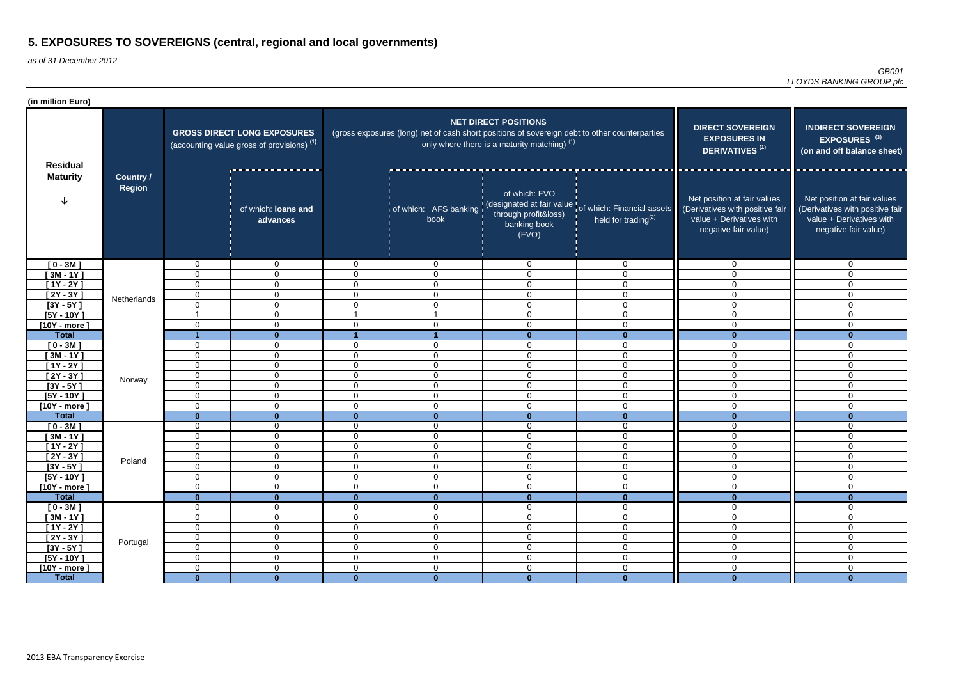| (in million Euro)          |                                   |                            |                                                                                             |                                  |                                                                                               |                                                                               |                                                                                                         |                                                                                                                    |                                                                                                                    |
|----------------------------|-----------------------------------|----------------------------|---------------------------------------------------------------------------------------------|----------------------------------|-----------------------------------------------------------------------------------------------|-------------------------------------------------------------------------------|---------------------------------------------------------------------------------------------------------|--------------------------------------------------------------------------------------------------------------------|--------------------------------------------------------------------------------------------------------------------|
| <b>Residual</b>            |                                   |                            | <b>GROSS DIRECT LONG EXPOSURES</b><br>(accounting value gross of provisions) <sup>(1)</sup> |                                  | (gross exposures (long) net of cash short positions of sovereign debt to other counterparties | <b>NET DIRECT POSITIONS</b><br>only where there is a maturity matching) $(1)$ | <b>DIRECT SOVEREIGN</b><br><b>EXPOSURES IN</b><br><b>DERIVATIVES<sup>(1)</sup></b>                      | <b>INDIRECT SOVEREIGN</b><br>EXPOSURES <sup>(3)</sup><br>(on and off balance sheet)                                |                                                                                                                    |
| <b>Maturity</b>            | <b>Country /</b><br><b>Region</b> |                            | of which: loans and<br>advances                                                             |                                  | book                                                                                          | of which: FVO<br>through profit&loss)<br>banking book<br>(FVO)                | of which: AFS banking (designated at fair value of which: Financial assets<br>held for trading $^{(2)}$ | Net position at fair values<br>(Derivatives with positive fair<br>value + Derivatives with<br>negative fair value) | Net position at fair values<br>(Derivatives with positive fair<br>value + Derivatives with<br>negative fair value) |
| $[0 - 3M]$                 |                                   | 0                          | $\overline{0}$                                                                              | $\overline{0}$                   | $\overline{0}$                                                                                | $\Omega$                                                                      | $\overline{0}$                                                                                          | $\overline{0}$                                                                                                     | $\Omega$                                                                                                           |
| $[3M - 1Y]$                |                                   | $\mathbf 0$                | $\mathbf{0}$                                                                                | $\Omega$                         | $\mathbf 0$                                                                                   | 0                                                                             | $\mathbf 0$                                                                                             | $\overline{0}$                                                                                                     | $\mathbf{0}$                                                                                                       |
| $[1Y - 2Y]$                |                                   | $\Omega$                   | $\overline{0}$                                                                              | $\Omega$                         | $\mathbf 0$                                                                                   | $\mathbf 0$                                                                   | $\mathbf 0$                                                                                             | $\overline{0}$                                                                                                     | $\Omega$                                                                                                           |
| $[2Y - 3Y]$                | Netherlands                       | 0                          | $\overline{0}$                                                                              | $\Omega$                         | $\overline{0}$                                                                                | $\mathbf 0$                                                                   | $\mathbf 0$                                                                                             | $\overline{0}$                                                                                                     | $\Omega$                                                                                                           |
| $[3Y - 5Y]$                |                                   | 0                          | $\overline{0}$                                                                              | $\overline{0}$                   | $\overline{0}$                                                                                | $\mathbf 0$                                                                   | $\mathbf 0$                                                                                             | $\overline{0}$                                                                                                     | $\Omega$                                                                                                           |
| $[5Y - 10Y]$               |                                   |                            | $\mathbf 0$                                                                                 |                                  |                                                                                               | $\mathbf 0$                                                                   | $\mathbf 0$                                                                                             | 0                                                                                                                  | $\Omega$                                                                                                           |
| $[10Y - more]$             |                                   | 0                          | $\mathbf 0$                                                                                 | $\mathbf 0$                      | $\mathbf 0$                                                                                   | $\overline{0}$                                                                | $\mathbf 0$                                                                                             | 0                                                                                                                  | $\mathbf{0}$                                                                                                       |
| <b>Total</b>               |                                   |                            | $\mathbf{0}$                                                                                |                                  |                                                                                               | $\bf{0}$                                                                      | $\Omega$                                                                                                | U                                                                                                                  | $\bf{0}$                                                                                                           |
| $[0 - 3M]$                 |                                   | $\mathbf 0$                | $\overline{0}$<br>$\mathbf 0$                                                               | 0<br>$\mathbf 0$                 | $\mathbf 0$<br>$\mathbf 0$                                                                    | $\mathbf 0$<br>$\Omega$                                                       | $\overline{0}$<br>$\mathbf 0$                                                                           | $\overline{0}$<br>0                                                                                                | $\mathbf{0}$<br>$\mathbf 0$                                                                                        |
| $[3M - 1Y]$<br>$[1Y - 2Y]$ |                                   | $\mathbf 0$<br>0           | $\mathbf 0$                                                                                 | $\mathbf{0}$                     | $\mathbf 0$                                                                                   | $\mathbf 0$                                                                   | $\overline{0}$                                                                                          | 0                                                                                                                  | $\mathbf{0}$                                                                                                       |
| $[2Y - 3Y]$                |                                   | $\mathbf 0$                | $\overline{0}$                                                                              | $\overline{0}$                   | $\mathbf 0$                                                                                   | $\mathbf 0$                                                                   | $\mathbf 0$                                                                                             | $\mathbf 0$                                                                                                        | $\Omega$                                                                                                           |
| $[3Y - 5Y]$                | Norway                            | $\mathbf 0$                | $\overline{0}$                                                                              | $\overline{0}$                   | $\overline{0}$                                                                                | $\mathbf 0$                                                                   | $\overline{0}$                                                                                          | $\overline{0}$                                                                                                     | $\Omega$                                                                                                           |
| $[5Y - 10Y]$               |                                   | $\Omega$                   | $\mathbf 0$                                                                                 | $\overline{0}$                   | $\overline{0}$                                                                                | $\mathbf 0$                                                                   | $\mathbf 0$                                                                                             | $\overline{0}$                                                                                                     | $\Omega$                                                                                                           |
| $[10Y - more]$             |                                   | 0                          | $\overline{0}$                                                                              | $\overline{0}$                   | $\overline{0}$                                                                                | $\mathbf 0$                                                                   | $\overline{0}$                                                                                          | $\overline{0}$                                                                                                     | $\mathbf 0$                                                                                                        |
| <b>Total</b>               |                                   | $\mathbf{0}$               | $\mathbf{0}$                                                                                | $\mathbf{0}$                     | $\mathbf{0}$                                                                                  | $\mathbf{0}$                                                                  | $\mathbf{0}$                                                                                            | $\mathbf{0}$                                                                                                       | $\mathbf{0}$                                                                                                       |
| $[0 - 3M]$                 |                                   | 0                          | $\mathbf 0$                                                                                 | $\mathbf 0$                      | $\mathbf 0$                                                                                   | $\mathbf 0$                                                                   | $\mathbf 0$                                                                                             | $\overline{0}$                                                                                                     | $\mathbf 0$                                                                                                        |
| $[3M - 1Y]$                |                                   | 0                          | $\overline{0}$                                                                              | $\overline{0}$                   | $\overline{0}$                                                                                | $\mathbf 0$                                                                   | $\mathbf 0$                                                                                             | $\overline{0}$                                                                                                     | $\mathbf{0}$                                                                                                       |
| $[1Y - 2Y]$                |                                   | $\mathbf 0$                | $\mathbf 0$                                                                                 | 0                                | $\mathbf 0$                                                                                   | $\Omega$                                                                      | $\mathbf 0$                                                                                             | $\overline{0}$                                                                                                     | 0                                                                                                                  |
| $[2Y - 3Y]$                | Poland                            | 0                          | $\pmb{0}$                                                                                   | $\pmb{0}$                        | $\Omega$<br>v                                                                                 | $\Omega$<br>◡                                                                 | $\Omega$<br>v                                                                                           | $\overline{0}$                                                                                                     | $\mathbf 0$                                                                                                        |
| $[3Y - 5Y]$                |                                   | $\Omega$                   | $\overline{0}$                                                                              | $\overline{0}$                   | $\overline{0}$                                                                                | $\mathbf 0$                                                                   | $\overline{0}$                                                                                          | $\overline{0}$                                                                                                     | $\mathbf 0$                                                                                                        |
| $[5Y - 10Y]$               |                                   | $\mathbf 0$                | $\mathbf 0$                                                                                 | $\mathbf 0$                      | $\overline{0}$                                                                                | $\overline{0}$                                                                | $\overline{0}$                                                                                          | $\overline{0}$                                                                                                     | $\overline{0}$                                                                                                     |
| $[10Y - more]$             |                                   | 0                          | $\mathbf 0$                                                                                 | $\mathbf 0$                      | $\overline{0}$                                                                                | $\overline{0}$                                                                | $\overline{0}$                                                                                          | $\overline{0}$                                                                                                     | $\mathbf 0$                                                                                                        |
| <b>Total</b>               |                                   | $\mathbf{0}$               | $\mathbf{0}$                                                                                | $\mathbf{0}$                     | $\mathbf{0}$                                                                                  | $\mathbf{0}$                                                                  | $\mathbf{0}$                                                                                            | $\mathbf{0}$                                                                                                       | $\mathbf{0}$                                                                                                       |
| $[0 - 3M]$                 |                                   | $\mathbf 0$                | $\overline{0}$                                                                              | $\overline{0}$                   | $\overline{0}$                                                                                | $\mathbf 0$                                                                   | $\overline{0}$                                                                                          | $\mathbf 0$                                                                                                        | $\overline{0}$                                                                                                     |
| $[3M - 1Y]$                |                                   | $\mathbf 0$                | $\overline{0}$                                                                              | $\overline{0}$                   | $\overline{0}$                                                                                | $\mathbf 0$                                                                   | $\overline{0}$                                                                                          | $\overline{0}$                                                                                                     | $\overline{0}$                                                                                                     |
| $[1Y - 2Y]$                |                                   | $\mathbf 0$<br>$\mathbf 0$ | $\mathbf 0$<br>$\overline{0}$                                                               | $\overline{0}$<br>$\overline{0}$ | $\overline{0}$<br>$\boldsymbol{0}$                                                            | $\overline{0}$<br>$\overline{0}$                                              | $\overline{0}$<br>$\mathsf 0$                                                                           | $\overline{0}$<br>$\overline{0}$                                                                                   | $\overline{0}$<br>$\mathbf 0$                                                                                      |
| $[2Y - 3Y]$<br>$[3Y - 5Y]$ | Portugal                          | $\mathbf 0$                | $\overline{0}$                                                                              | $\mathbf 0$                      | $\overline{0}$                                                                                | $\mathbf 0$                                                                   | $\overline{0}$                                                                                          | $\overline{0}$                                                                                                     | $\mathbf 0$                                                                                                        |
| $[5Y - 10Y]$               |                                   | $\mathbf 0$                | $\overline{0}$                                                                              | $\overline{0}$                   | $\overline{0}$                                                                                | $\overline{0}$                                                                | $\overline{0}$                                                                                          | $\mathbf 0$                                                                                                        | $\overline{0}$                                                                                                     |
| $[10Y - more]$             |                                   | $\mathbf 0$                | $\overline{0}$                                                                              | $\overline{0}$                   | $\boldsymbol{0}$                                                                              | $\overline{0}$                                                                | $\overline{0}$                                                                                          | $\overline{0}$                                                                                                     | $\overline{0}$                                                                                                     |
| <b>Total</b>               |                                   | $\mathbf{0}$               | $\mathbf{0}$                                                                                | $\mathbf{0}$                     | $\mathbf{0}$                                                                                  | $\mathbf{0}$                                                                  | $\mathbf{0}$                                                                                            | $\mathbf{0}$                                                                                                       | $\mathbf{0}$                                                                                                       |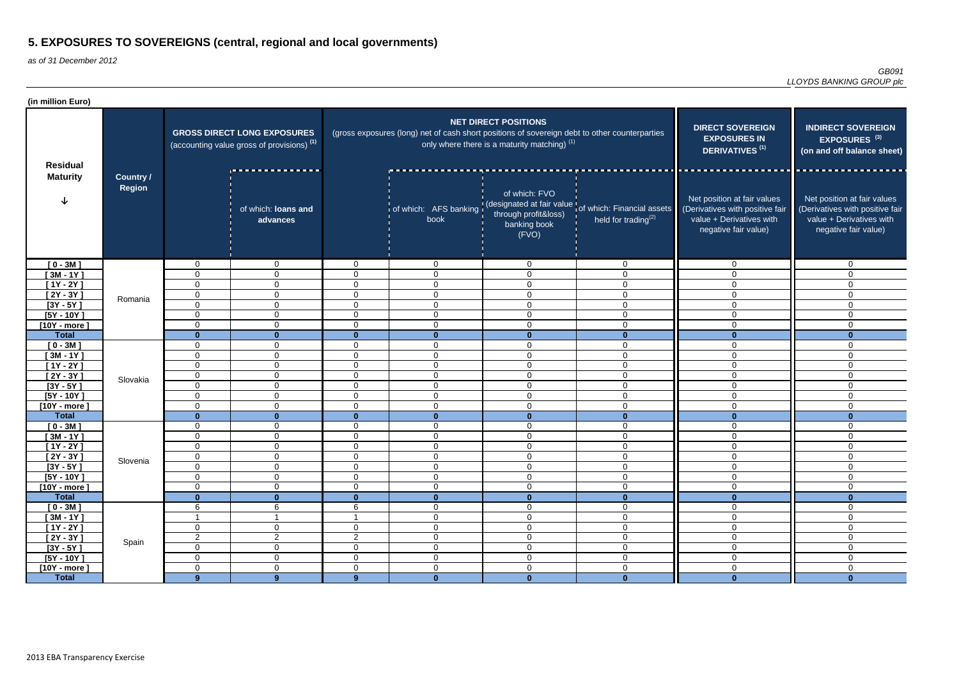| (in million Euro)          |                                   |                |                                                                                             |                |                                                                                               |                                                                               |                                                                                                         |                                                                                                                    |                                                                                                                    |
|----------------------------|-----------------------------------|----------------|---------------------------------------------------------------------------------------------|----------------|-----------------------------------------------------------------------------------------------|-------------------------------------------------------------------------------|---------------------------------------------------------------------------------------------------------|--------------------------------------------------------------------------------------------------------------------|--------------------------------------------------------------------------------------------------------------------|
| <b>Residual</b>            |                                   |                | <b>GROSS DIRECT LONG EXPOSURES</b><br>(accounting value gross of provisions) <sup>(1)</sup> |                | (gross exposures (long) net of cash short positions of sovereign debt to other counterparties | <b>NET DIRECT POSITIONS</b><br>only where there is a maturity matching) $(1)$ | <b>DIRECT SOVEREIGN</b><br><b>EXPOSURES IN</b><br>DERIVATIVES <sup>(1)</sup>                            | <b>INDIRECT SOVEREIGN</b><br>EXPOSURES <sup>(3)</sup><br>(on and off balance sheet)                                |                                                                                                                    |
| <b>Maturity</b>            | <b>Country /</b><br><b>Region</b> |                | of which: loans and<br>advances                                                             |                | book                                                                                          | of which: FVO<br>through profit&loss)<br>banking book<br>(FVO)                | of which: AFS banking (designated at fair value of which: Financial assets<br>held for trading $^{(2)}$ | Net position at fair values<br>(Derivatives with positive fair<br>value + Derivatives with<br>negative fair value) | Net position at fair values<br>(Derivatives with positive fair<br>value + Derivatives with<br>negative fair value) |
| $[0 - 3M]$                 |                                   | 0              | $\overline{0}$                                                                              | $\overline{0}$ | $\overline{0}$                                                                                | $\Omega$                                                                      | $\overline{0}$                                                                                          | $\overline{0}$                                                                                                     | $\Omega$                                                                                                           |
| $[3M - 1Y]$                |                                   | $\mathbf 0$    | $\mathbf{0}$                                                                                | $\Omega$       | $\mathbf 0$                                                                                   | 0                                                                             | $\mathbf 0$                                                                                             | $\overline{0}$                                                                                                     | $\mathbf{0}$                                                                                                       |
| $[1Y - 2Y]$                | Romania                           | $\Omega$       | $\overline{0}$                                                                              | $\Omega$       | $\mathbf 0$                                                                                   | $\mathbf 0$                                                                   | $\mathbf 0$                                                                                             | $\overline{0}$                                                                                                     | $\Omega$                                                                                                           |
| $[2Y - 3Y]$                |                                   | 0              | $\overline{0}$                                                                              | $\overline{0}$ | $\overline{0}$                                                                                | $\mathbf 0$                                                                   | $\mathbf 0$                                                                                             | $\overline{0}$                                                                                                     | $\Omega$                                                                                                           |
| $[3Y - 5Y]$                |                                   | 0              | $\overline{0}$                                                                              | $\overline{0}$ | $\overline{0}$                                                                                | $\mathbf 0$                                                                   | $\mathbf 0$                                                                                             | $\overline{0}$                                                                                                     | $\Omega$                                                                                                           |
| $[5Y - 10Y]$               |                                   | $\Omega$       | $\mathbf 0$                                                                                 | $\overline{0}$ | $\mathbf 0$                                                                                   | $\mathbf 0$                                                                   | $\mathbf 0$                                                                                             | 0                                                                                                                  | $\Omega$                                                                                                           |
| $[10Y - more]$             |                                   | 0              | $\mathbf 0$                                                                                 | $\mathbf 0$    | $\mathbf 0$                                                                                   | $\mathbf 0$                                                                   | $\mathbf 0$                                                                                             | 0                                                                                                                  | $\mathbf{0}$                                                                                                       |
| <b>Total</b>               |                                   | $\bf{0}$<br>0  | $\mathbf{0}$<br>$\overline{0}$                                                              | $\bf{0}$<br>0  | $\bf{0}$<br>$\mathbf 0$                                                                       | $\bf{0}$<br>$\mathbf 0$                                                       | $\Omega$<br>$\overline{0}$                                                                              | U<br>$\overline{0}$                                                                                                | $\mathbf{0}$<br>$\mathbf{0}$                                                                                       |
| $[0 - 3M]$<br>$[3M - 1Y]$  |                                   | 0              | $\mathbf 0$                                                                                 | $\mathbf 0$    | $\mathbf 0$                                                                                   | $\Omega$                                                                      | $\mathbf 0$                                                                                             | 0                                                                                                                  | $\mathbf 0$                                                                                                        |
| $[1Y - 2Y]$                |                                   | 0              | $\mathbf 0$                                                                                 | $\mathbf{0}$   | $\mathbf 0$                                                                                   | $\mathbf 0$                                                                   | $\overline{0}$                                                                                          | 0                                                                                                                  | $\mathbf{0}$                                                                                                       |
| $[2Y - 3Y]$                |                                   | $\mathbf 0$    | $\overline{0}$                                                                              | $\overline{0}$ | $\mathbf 0$                                                                                   | $\mathbf 0$                                                                   | $\mathbf 0$                                                                                             | $\mathbf 0$                                                                                                        | $\Omega$                                                                                                           |
| $[3Y - 5Y]$                | Slovakia                          | $\mathbf 0$    | $\overline{0}$                                                                              | $\overline{0}$ | $\overline{0}$                                                                                | $\mathbf 0$                                                                   | $\overline{0}$                                                                                          | $\overline{0}$                                                                                                     | $\Omega$                                                                                                           |
| $[5Y - 10Y]$               |                                   | $\Omega$       | $\mathbf 0$                                                                                 | $\overline{0}$ | $\overline{0}$                                                                                | $\mathbf 0$                                                                   | $\mathbf 0$                                                                                             | $\overline{0}$                                                                                                     | $\Omega$                                                                                                           |
| $[10Y - more]$             |                                   | 0              | $\overline{0}$                                                                              | $\overline{0}$ | $\overline{0}$                                                                                | $\mathbf 0$                                                                   | $\overline{0}$                                                                                          | $\overline{0}$                                                                                                     | $\mathbf 0$                                                                                                        |
| <b>Total</b>               |                                   | $\mathbf{0}$   | $\mathbf{0}$                                                                                | $\mathbf{0}$   | $\mathbf{0}$                                                                                  | $\mathbf{0}$                                                                  | $\mathbf{0}$                                                                                            | $\mathbf{0}$                                                                                                       | $\mathbf{0}$                                                                                                       |
| $[0 - 3M]$                 |                                   | 0              | $\mathbf 0$                                                                                 | $\mathbf 0$    | $\overline{0}$                                                                                | $\mathbf 0$                                                                   | $\overline{0}$                                                                                          | $\overline{0}$                                                                                                     | $\mathbf 0$                                                                                                        |
| $[3M - 1Y]$                |                                   | 0              | $\overline{0}$                                                                              | $\overline{0}$ | $\overline{0}$                                                                                | $\mathbf 0$                                                                   | $\mathbf 0$                                                                                             | $\overline{0}$                                                                                                     | $\mathbf{0}$                                                                                                       |
| $[1Y - 2Y]$                |                                   | $\mathbf 0$    | $\mathbf 0$                                                                                 | 0              | $\mathbf 0$                                                                                   | $\Omega$                                                                      | $\mathbf 0$                                                                                             | $\overline{0}$                                                                                                     | 0                                                                                                                  |
| $[2Y - 3Y]$                | Slovenia                          | 0              | $\pmb{0}$                                                                                   | $\pmb{0}$      | $\Omega$<br>v                                                                                 | $\Omega$<br>◡                                                                 | $\Omega$<br>v                                                                                           | $\overline{0}$                                                                                                     | $\mathbf 0$                                                                                                        |
| $[3Y - 5Y]$                |                                   | $\Omega$       | $\overline{0}$                                                                              | $\overline{0}$ | $\overline{0}$                                                                                | $\mathbf 0$                                                                   | $\overline{0}$                                                                                          | $\overline{0}$                                                                                                     | $\mathbf 0$                                                                                                        |
| $[5Y - 10Y]$               |                                   | $\mathbf 0$    | $\mathbf 0$                                                                                 | $\mathbf 0$    | $\overline{0}$                                                                                | $\overline{0}$                                                                | $\overline{0}$                                                                                          | $\overline{0}$                                                                                                     | $\overline{0}$                                                                                                     |
| $[10Y - more]$             |                                   | $\mathbf 0$    | $\mathbf 0$                                                                                 | $\mathbf 0$    | $\overline{0}$                                                                                | $\overline{0}$                                                                | $\overline{0}$                                                                                          | $\overline{0}$                                                                                                     | $\mathbf 0$                                                                                                        |
| <b>Total</b>               |                                   | $\mathbf{0}$   | $\mathbf{0}$                                                                                | $\mathbf{0}$   | $\mathbf{0}$                                                                                  | $\mathbf{0}$                                                                  | $\mathbf{0}$                                                                                            | $\mathbf{0}$                                                                                                       | $\mathbf{0}$                                                                                                       |
| $[0 - 3M]$                 |                                   | 6<br>- 1       | 6                                                                                           | 6              | $\overline{0}$                                                                                | $\mathbf 0$                                                                   | $\overline{0}$                                                                                          | $\mathbf 0$                                                                                                        | $\overline{0}$                                                                                                     |
| $[3M - 1Y]$                |                                   | 0              | $\overline{0}$                                                                              | $\overline{0}$ | $\overline{0}$<br>$\overline{0}$                                                              | $\mathbf 0$<br>$\overline{0}$                                                 | $\overline{0}$<br>$\overline{0}$                                                                        | $\overline{0}$<br>$\mathsf{O}$                                                                                     | $\overline{0}$<br>$\overline{0}$                                                                                   |
| $[1Y - 2Y]$<br>$[2Y - 3Y]$ |                                   | 2              | $\overline{2}$                                                                              | $\overline{2}$ | $\boldsymbol{0}$                                                                              | $\overline{0}$                                                                | $\mathsf 0$                                                                                             | $\mathsf{O}$                                                                                                       | $\mathbf 0$                                                                                                        |
| $[3Y - 5Y]$                | Spain                             | $\mathbf 0$    | $\overline{0}$                                                                              | $\mathbf 0$    | $\overline{0}$                                                                                | $\mathbf 0$                                                                   | $\overline{0}$                                                                                          | $\overline{0}$                                                                                                     | $\mathbf 0$                                                                                                        |
| $[5Y - 10Y]$               |                                   | $\mathbf 0$    | $\overline{0}$                                                                              | $\overline{0}$ | $\overline{0}$                                                                                | $\overline{0}$                                                                | $\overline{0}$                                                                                          | $\overline{0}$                                                                                                     | $\overline{0}$                                                                                                     |
| $[10Y - more]$             |                                   | $\mathbf 0$    | $\overline{0}$                                                                              | $\overline{0}$ | $\overline{0}$                                                                                | $\overline{0}$                                                                | $\overline{0}$                                                                                          | $\mathsf{O}$                                                                                                       | $\overline{0}$                                                                                                     |
| <b>Total</b>               |                                   | 9 <sup>°</sup> | 9                                                                                           | $9^{\circ}$    | $\mathbf{0}$                                                                                  | $\mathbf{0}$                                                                  | $\mathbf{0}$                                                                                            | $\mathbf{0}$                                                                                                       | $\mathbf{0}$                                                                                                       |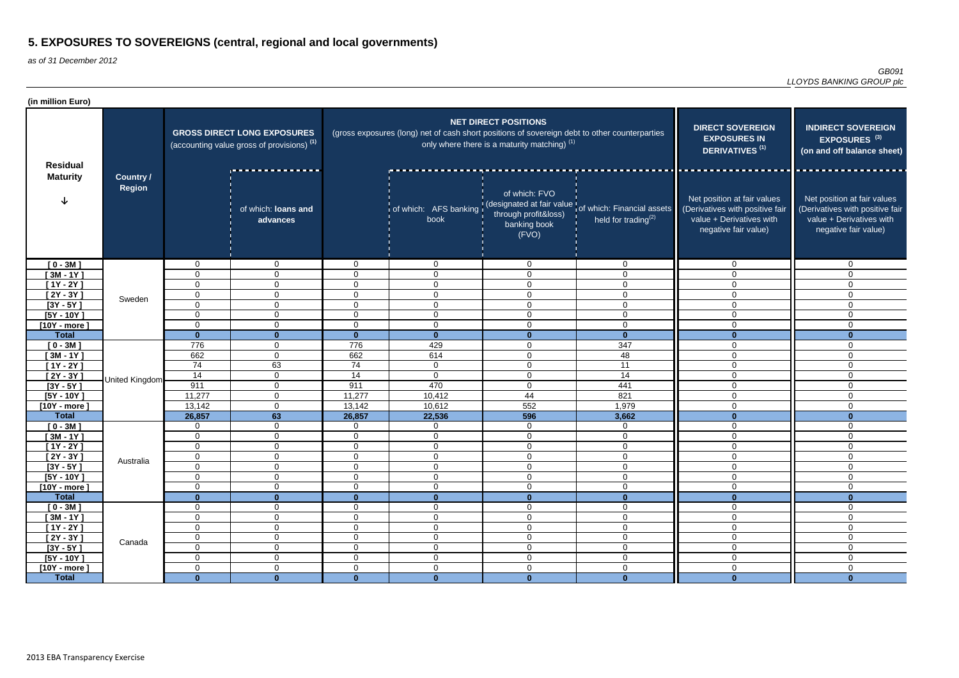| (in million Euro)              |                                   |                            |                                                                                             |                                  |                                                                                               |                                                                               |                                                                                                               |                                                                                                                    |                                                                                                                    |
|--------------------------------|-----------------------------------|----------------------------|---------------------------------------------------------------------------------------------|----------------------------------|-----------------------------------------------------------------------------------------------|-------------------------------------------------------------------------------|---------------------------------------------------------------------------------------------------------------|--------------------------------------------------------------------------------------------------------------------|--------------------------------------------------------------------------------------------------------------------|
| <b>Residual</b>                |                                   |                            | <b>GROSS DIRECT LONG EXPOSURES</b><br>(accounting value gross of provisions) <sup>(1)</sup> |                                  | (gross exposures (long) net of cash short positions of sovereign debt to other counterparties | <b>NET DIRECT POSITIONS</b><br>only where there is a maturity matching) $(1)$ | <b>DIRECT SOVEREIGN</b><br><b>EXPOSURES IN</b><br>DERIVATIVES <sup>(1)</sup>                                  | <b>INDIRECT SOVEREIGN</b><br>EXPOSURES <sup>(3)</sup><br>(on and off balance sheet)                                |                                                                                                                    |
| <b>Maturity</b>                | <b>Country /</b><br><b>Region</b> |                            | of which: loans and<br>advances                                                             |                                  | book                                                                                          | of which: FVO<br>through profit&loss)<br>banking book<br>(FVO)                | of which: AFS banking (designated at fair value of which: Financial assets<br>held for trading <sup>(2)</sup> | Net position at fair values<br>(Derivatives with positive fair<br>value + Derivatives with<br>negative fair value) | Net position at fair values<br>(Derivatives with positive fair<br>value + Derivatives with<br>negative fair value) |
| $[0 - 3M]$                     |                                   | 0                          | $\overline{0}$                                                                              | $\overline{0}$                   | $\overline{0}$                                                                                | $\Omega$                                                                      | $\overline{0}$                                                                                                | $\overline{0}$                                                                                                     | $\Omega$                                                                                                           |
| $[3M - 1Y]$                    |                                   | $\mathbf 0$                | $\mathbf{0}$                                                                                | $\Omega$                         | $\overline{0}$                                                                                | $\Omega$                                                                      | $\mathbf 0$                                                                                                   | $\mathbf 0$                                                                                                        | $\Omega$                                                                                                           |
| $[1Y - 2Y]$                    |                                   | $\Omega$                   | $\overline{0}$                                                                              | $\Omega$                         | $\overline{0}$                                                                                | $\mathbf 0$                                                                   | $\mathbf 0$                                                                                                   | $\overline{0}$                                                                                                     | $\Omega$                                                                                                           |
| $[2Y - 3Y]$                    | Sweden                            | 0                          | $\overline{0}$                                                                              | $\overline{0}$                   | $\overline{0}$                                                                                | $\mathbf 0$                                                                   | $\mathbf 0$                                                                                                   | $\overline{0}$                                                                                                     | $\Omega$                                                                                                           |
| $[3Y - 5Y]$                    |                                   | 0                          | $\overline{0}$                                                                              | $\overline{0}$                   | $\overline{0}$                                                                                | $\mathbf 0$                                                                   | $\mathbf 0$                                                                                                   | $\overline{0}$                                                                                                     | $\Omega$                                                                                                           |
| $[5Y - 10Y]$                   |                                   | $\Omega$                   | $\mathbf 0$                                                                                 | $\mathbf 0$                      | $\mathbf 0$                                                                                   | $\mathbf 0$                                                                   | $\mathbf 0$                                                                                                   | 0                                                                                                                  | $\mathbf{0}$                                                                                                       |
| $[10Y - more]$                 |                                   | 0                          | $\mathbf 0$                                                                                 | $\mathbf 0$                      | $\overline{0}$                                                                                | $\overline{0}$                                                                | $\mathbf 0$                                                                                                   | 0                                                                                                                  | $\mathbf{0}$                                                                                                       |
| <b>Total</b>                   |                                   | $\bf{0}$<br>776            | $\mathbf{0}$                                                                                | $\mathbf{0}$<br>776              | $\mathbf{0}$<br>429                                                                           | $\bf{0}$                                                                      | $\Omega$<br>347                                                                                               | 0<br>$\overline{0}$                                                                                                | $\bf{0}$<br>$\mathbf{0}$                                                                                           |
| $[0 - 3M]$<br>$[3M - 1Y]$      |                                   | 662                        | $\overline{0}$<br>$\mathbf 0$                                                               | 662                              | 614                                                                                           | $\mathbf 0$<br>$\Omega$                                                       | 48                                                                                                            | 0                                                                                                                  | $\mathbf 0$                                                                                                        |
| $[1Y - 2Y]$                    |                                   | 74                         | 63                                                                                          | 74                               | $\overline{0}$                                                                                | $\mathbf 0$                                                                   | 11                                                                                                            | 0                                                                                                                  | $\mathbf{0}$                                                                                                       |
| $[2Y - 3Y]$                    |                                   | 14                         | $\overline{0}$                                                                              | 14                               | $\overline{0}$                                                                                | $\overline{0}$                                                                | 14                                                                                                            | $\mathbf 0$                                                                                                        | $\mathbf 0$                                                                                                        |
| $[3Y - 5Y]$                    | United Kingdom                    | 911                        | $\overline{0}$                                                                              | 911                              | 470                                                                                           | $\mathbf 0$                                                                   | 441                                                                                                           | $\overline{0}$                                                                                                     | $\Omega$                                                                                                           |
| $[5Y - 10Y]$                   |                                   | 11,277                     | $\mathbf 0$                                                                                 | 11,277                           | 10,412                                                                                        | 44                                                                            | 821                                                                                                           | $\overline{0}$                                                                                                     | $\Omega$                                                                                                           |
| $[10Y - more]$                 |                                   | 13,142                     | $\mathbf 0$                                                                                 | 13,142                           | 10,612                                                                                        | 552                                                                           | 1,979                                                                                                         | $\overline{0}$                                                                                                     | $\mathbf 0$                                                                                                        |
| <b>Total</b>                   |                                   | 26,857                     | 63                                                                                          | 26,857                           | 22,536                                                                                        | 596                                                                           | 3,662                                                                                                         | $\mathbf{0}$                                                                                                       | $\mathbf{0}$                                                                                                       |
| $[0 - 3M]$                     |                                   | 0                          | $\mathbf 0$                                                                                 | $\mathbf{0}$                     | $\overline{0}$                                                                                | $\overline{0}$                                                                | $\mathbf 0$                                                                                                   | $\overline{0}$                                                                                                     | $\mathbf 0$                                                                                                        |
| $[3M - 1Y]$                    |                                   | 0                          | $\overline{0}$                                                                              | $\overline{0}$                   | $\overline{0}$                                                                                | $\mathbf 0$                                                                   | $\overline{0}$                                                                                                | $\overline{0}$                                                                                                     | $\mathbf{0}$                                                                                                       |
| [1Y - 2Y ]                     |                                   | $\mathbf 0$                | 0                                                                                           | 0                                | $\mathbf 0$                                                                                   | $\Omega$                                                                      | $\mathbf 0$                                                                                                   | $\overline{0}$                                                                                                     | 0                                                                                                                  |
| $[2Y - 3Y]$                    | Australia                         | 0                          | $\pmb{0}$                                                                                   | $\overline{0}$                   | $\Omega$<br>ັບ                                                                                | $\Omega$<br>◡                                                                 | $\Omega$<br>v                                                                                                 | $\overline{0}$                                                                                                     | $\mathbf 0$                                                                                                        |
| $[3Y - 5Y]$                    |                                   | $\Omega$                   | $\overline{0}$                                                                              | $\overline{0}$                   | $\mathbf 0$                                                                                   | 0                                                                             | $\mathbf 0$                                                                                                   | $\overline{0}$                                                                                                     | $\mathbf 0$                                                                                                        |
| $[5Y - 10Y]$                   |                                   | $\mathbf 0$                | $\overline{0}$                                                                              | $\mathbf 0$                      | $\overline{0}$                                                                                | $\overline{0}$                                                                | $\overline{0}$                                                                                                | $\overline{0}$                                                                                                     | $\mathbf 0$                                                                                                        |
| $[10Y - more]$                 |                                   | 0                          | $\overline{0}$                                                                              | $\overline{0}$                   | $\overline{0}$                                                                                | $\overline{0}$                                                                | $\overline{0}$                                                                                                | $\overline{0}$                                                                                                     | $\mathbf 0$                                                                                                        |
| <b>Total</b>                   |                                   | $\mathbf{0}$               | $\mathbf{0}$                                                                                | $\mathbf{0}$                     | $\mathbf{0}$                                                                                  | $\mathbf{0}$                                                                  | $\mathbf{0}$                                                                                                  | $\mathbf{0}$                                                                                                       | $\mathbf{0}$                                                                                                       |
| $[0 - 3M]$                     |                                   | $\mathbf 0$                | $\overline{0}$                                                                              | $\overline{0}$                   | $\overline{0}$                                                                                | $\mathbf 0$                                                                   | $\overline{0}$                                                                                                | $\mathbf 0$                                                                                                        | $\overline{0}$                                                                                                     |
| $[3M - 1Y]$                    |                                   | $\mathbf 0$                | $\overline{0}$                                                                              | $\overline{0}$                   | $\overline{0}$                                                                                | $\mathbf 0$                                                                   | $\overline{0}$                                                                                                | $\overline{0}$                                                                                                     | $\mathbf 0$                                                                                                        |
| $[1Y - 2Y]$                    |                                   | $\mathbf 0$                | $\mathbf 0$                                                                                 | $\overline{0}$                   | $\overline{0}$                                                                                | $\overline{0}$                                                                | $\overline{0}$                                                                                                | $\overline{0}$                                                                                                     | $\mathbf 0$                                                                                                        |
| $[2Y - 3Y]$                    | Canada                            | $\mathbf 0$                | $\overline{0}$                                                                              | $\mathbf 0$                      | $\boldsymbol{0}$                                                                              | $\overline{0}$                                                                | $\boldsymbol{0}$                                                                                              | $\mathsf{O}$                                                                                                       | $\mathbf 0$                                                                                                        |
| $[3Y - 5Y]$                    |                                   | 0                          | $\overline{0}$                                                                              | $\mathbf 0$                      | $\overline{0}$                                                                                | $\mathbf 0$                                                                   | $\overline{0}$                                                                                                | $\overline{0}$                                                                                                     | 0                                                                                                                  |
| $[5Y - 10Y]$                   |                                   | $\mathbf 0$<br>$\mathbf 0$ | $\overline{0}$<br>$\overline{0}$                                                            | $\overline{0}$<br>$\overline{0}$ | $\overline{0}$<br>$\overline{0}$                                                              | $\overline{0}$<br>$\overline{0}$                                              | $\overline{0}$<br>$\overline{0}$                                                                              | $\overline{0}$<br>$\mathsf{O}$                                                                                     | $\overline{0}$<br>$\overline{0}$                                                                                   |
| $[10Y - more]$<br><b>Total</b> |                                   | $\mathbf{0}$               | $\mathbf{0}$                                                                                | $\mathbf{0}$                     | $\mathbf{0}$                                                                                  | $\mathbf{0}$                                                                  | $\mathbf{0}$                                                                                                  | $\mathbf{0}$                                                                                                       | $\mathbf{0}$                                                                                                       |
|                                |                                   |                            |                                                                                             |                                  |                                                                                               |                                                                               |                                                                                                               |                                                                                                                    |                                                                                                                    |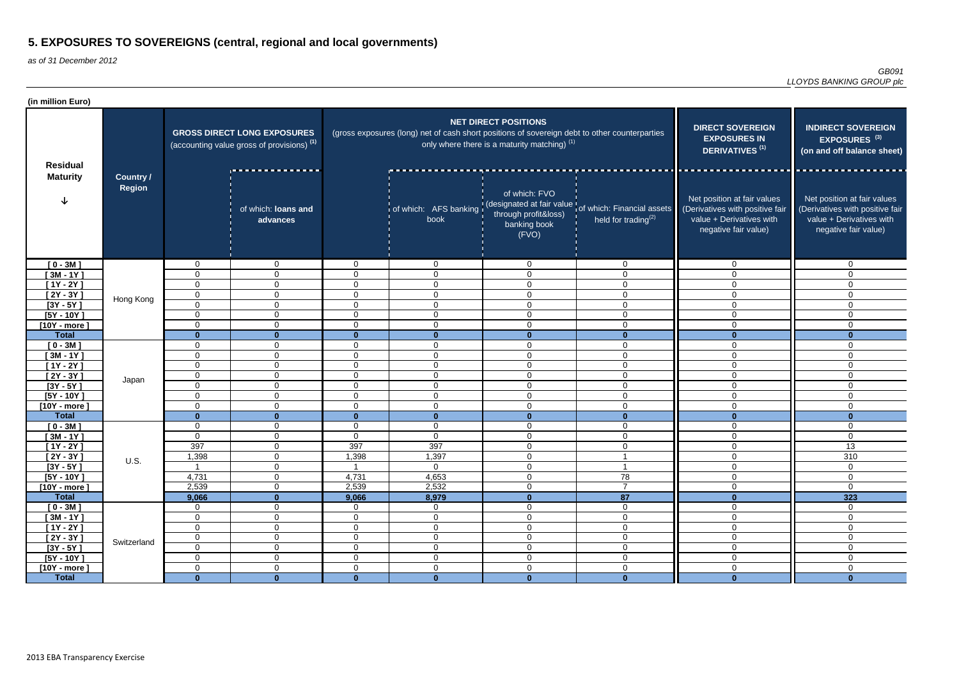| (in million Euro)              |                            |                            |                                                                                             |                                  |                                                                                               |                                                                               |                                                                                                         |                                                                                                                    |                                                                                                                    |
|--------------------------------|----------------------------|----------------------------|---------------------------------------------------------------------------------------------|----------------------------------|-----------------------------------------------------------------------------------------------|-------------------------------------------------------------------------------|---------------------------------------------------------------------------------------------------------|--------------------------------------------------------------------------------------------------------------------|--------------------------------------------------------------------------------------------------------------------|
| <b>Residual</b>                |                            |                            | <b>GROSS DIRECT LONG EXPOSURES</b><br>(accounting value gross of provisions) <sup>(1)</sup> |                                  | (gross exposures (long) net of cash short positions of sovereign debt to other counterparties | <b>NET DIRECT POSITIONS</b><br>only where there is a maturity matching) $(1)$ | <b>DIRECT SOVEREIGN</b><br><b>EXPOSURES IN</b><br>DERIVATIVES <sup>(1)</sup>                            | <b>INDIRECT SOVEREIGN</b><br>EXPOSURES <sup>(3)</sup><br>(on and off balance sheet)                                |                                                                                                                    |
| <b>Maturity</b><br>$[0 - 3M]$  | <b>Country /</b><br>Region |                            | of which: loans and<br>advances                                                             |                                  | book                                                                                          | of which: FVO<br>through profit&loss)<br>banking book<br>(FVO)                | of which: AFS banking (designated at fair value of which: Financial assets<br>held for trading $^{(2)}$ | Net position at fair values<br>(Derivatives with positive fair<br>value + Derivatives with<br>negative fair value) | Net position at fair values<br>(Derivatives with positive fair<br>value + Derivatives with<br>negative fair value) |
|                                |                            | $\overline{0}$             | $\mathbf{0}$                                                                                | $\mathbf 0$                      | $\overline{0}$                                                                                | $\Omega$                                                                      | $\overline{0}$                                                                                          | $\overline{0}$                                                                                                     | $\overline{0}$                                                                                                     |
| $[3M - 1Y]$                    |                            | 0                          | $\mathbf 0$                                                                                 | $\overline{0}$                   | $\mathbf 0$                                                                                   | $\Omega$                                                                      | $\mathbf 0$                                                                                             | $\overline{0}$                                                                                                     | $\mathbf{0}$                                                                                                       |
| $[1Y - 2Y]$                    |                            | 0                          | $\mathbf 0$                                                                                 | $\overline{0}$                   | $\mathbf 0$                                                                                   | $\Omega$                                                                      | $\mathbf 0$                                                                                             | 0                                                                                                                  | $\Omega$                                                                                                           |
| $[2Y - 3Y]$                    | Hong Kong                  | $\mathbf 0$                | $\mathbf 0$                                                                                 | $\overline{0}$                   | $\mathbf 0$                                                                                   | $\Omega$                                                                      | $\mathbf 0$                                                                                             | $\overline{0}$                                                                                                     | $\Omega$                                                                                                           |
| $[3Y - 5Y]$                    |                            | $\mathbf 0$                | $\mathbf 0$                                                                                 | $\overline{0}$                   | $\mathbf 0$                                                                                   | $\Omega$                                                                      | $\mathbf 0$                                                                                             | 0                                                                                                                  | $\Omega$                                                                                                           |
| $[5Y - 10Y]$                   |                            | 0                          | $\overline{0}$                                                                              | $\overline{0}$                   | $\overline{0}$                                                                                | $\overline{0}$                                                                | $\mathbf 0$                                                                                             | 0                                                                                                                  | $\mathbf{0}$                                                                                                       |
| $[10Y - more]$                 |                            | 0                          | $\overline{0}$                                                                              | $\overline{0}$                   | $\overline{0}$                                                                                | $\overline{0}$                                                                | $\mathbf 0$                                                                                             | 0                                                                                                                  | $\mathbf{0}$                                                                                                       |
| <b>Total</b>                   |                            | $\mathbf{0}$               | $\Omega$                                                                                    | $\bf{0}$                         | $\bf{0}$                                                                                      | $\bf{0}$                                                                      | $\Omega$                                                                                                |                                                                                                                    | $\mathbf{0}$                                                                                                       |
| $[0 - 3M]$                     |                            | $\mathbf 0$                | 0                                                                                           | $\overline{0}$                   | $\overline{0}$                                                                                | $\Omega$                                                                      | $\overline{0}$                                                                                          | $\overline{0}$                                                                                                     | $\mathbf{0}$                                                                                                       |
| $[3M - 1Y]$                    |                            | 0                          | $\mathbf{0}$                                                                                | $\overline{0}$                   | $\mathbf 0$                                                                                   | $\mathbf 0$                                                                   | $\mathbf 0$                                                                                             | $\overline{0}$                                                                                                     | $\mathbf 0$                                                                                                        |
| $[1Y - 2Y]$                    |                            | $\mathbf 0$                | $\mathbf 0$                                                                                 | $\overline{0}$                   | $\overline{0}$                                                                                | $\Omega$                                                                      | $\mathbf 0$                                                                                             | $\overline{0}$                                                                                                     | $\Omega$                                                                                                           |
| $[2Y - 3Y]$                    | Japan                      | $\mathbf 0$                | $\mathbf{0}$                                                                                | $\overline{0}$                   | $\overline{0}$                                                                                | $\mathbf 0$                                                                   | $\overline{0}$                                                                                          | $\mathbf 0$                                                                                                        | $\Omega$                                                                                                           |
| $[3Y - 5Y]$                    |                            | $\mathbf 0$                | $\overline{0}$                                                                              | $\overline{0}$                   | $\overline{0}$                                                                                | $\mathbf 0$                                                                   | $\overline{0}$                                                                                          | $\overline{0}$                                                                                                     | $\Omega$                                                                                                           |
| $[5Y - 10Y]$                   |                            | $\mathbf 0$<br>$\mathbf 0$ | $\mathbf{0}$<br>$\mathbf 0$                                                                 | $\overline{0}$<br>$\overline{0}$ | $\overline{0}$<br>$\mathbf 0$                                                                 | $\Omega$<br>$\mathbf 0$                                                       | $\mathbf 0$<br>$\overline{0}$                                                                           | $\overline{0}$<br>$\overline{0}$                                                                                   | $\Omega$<br>$\overline{0}$                                                                                         |
| $[10Y - more]$<br><b>Total</b> |                            | $\mathbf{0}$               | $\mathbf{0}$                                                                                | $\mathbf{0}$                     | $\mathbf{0}$                                                                                  | $\mathbf{0}$                                                                  | $\mathbf{0}$                                                                                            | $\mathbf{0}$                                                                                                       | $\mathbf{0}$                                                                                                       |
| $[0 - 3M]$                     |                            | $\mathbf 0$                | $\mathbf 0$                                                                                 | $\overline{0}$                   | $\overline{0}$                                                                                | 0                                                                             | $\overline{0}$                                                                                          | $\mathbf 0$                                                                                                        | $\Omega$                                                                                                           |
| $[3M - 1Y]$                    |                            | $\mathbf 0$                | 0                                                                                           | $\overline{0}$                   | $\mathbf 0$                                                                                   | $\Omega$                                                                      | $\overline{0}$                                                                                          | $\overline{0}$                                                                                                     | $\mathbf{0}$                                                                                                       |
| [1Y - 2Y ]                     |                            | 397                        | 0                                                                                           | 397                              | 397                                                                                           | $\Omega$                                                                      | $\mathbf 0$                                                                                             | 0                                                                                                                  | 13                                                                                                                 |
| $[2Y - 3Y]$                    |                            | 1,398                      | 0                                                                                           | 1,398                            | 1,397                                                                                         | $\Omega$<br>◡                                                                 |                                                                                                         | $\overline{0}$                                                                                                     | 310                                                                                                                |
| $[3Y - 5Y]$                    | U.S.                       |                            | $\mathbf 0$                                                                                 |                                  | $\overline{0}$                                                                                | 0                                                                             |                                                                                                         | $\mathsf{O}$                                                                                                       | $\mathbf 0$                                                                                                        |
| $[5Y - 10Y]$                   |                            | 4,731                      | $\overline{0}$                                                                              | 4,731                            | 4,653                                                                                         | $\mathbf 0$                                                                   | 78                                                                                                      | $\overline{0}$                                                                                                     | $\overline{0}$                                                                                                     |
| $[10Y - more]$                 |                            | 2,539                      | $\overline{0}$                                                                              | 2,539                            | 2,532                                                                                         | $\mathbf 0$                                                                   | $\overline{7}$                                                                                          | $\overline{0}$                                                                                                     | $\overline{0}$                                                                                                     |
| <b>Total</b>                   |                            | 9,066                      | $\mathbf{0}$                                                                                | 9,066                            | 8,979                                                                                         | $\mathbf{0}$                                                                  | 87                                                                                                      | $\mathbf{0}$                                                                                                       | $\overline{323}$                                                                                                   |
| $[0 - 3M]$                     |                            | $\overline{0}$             | $\overline{0}$                                                                              | $\overline{0}$                   | $\overline{0}$                                                                                | $\mathbf 0$                                                                   | $\overline{0}$                                                                                          | $\mathbf 0$                                                                                                        | $\mathbf 0$                                                                                                        |
| $[3M - 1Y]$                    |                            | $\boldsymbol{0}$           | $\overline{0}$                                                                              | $\overline{0}$                   | $\overline{0}$                                                                                | $\mathbf 0$                                                                   | $\mathbf 0$                                                                                             | $\mathbf 0$                                                                                                        | $\overline{0}$                                                                                                     |
| $[1Y - 2Y]$                    |                            | $\overline{0}$             | $\overline{0}$                                                                              | $\overline{0}$                   | $\mathbf 0$                                                                                   | $\mathbf 0$                                                                   | $\overline{0}$                                                                                          | $\overline{0}$                                                                                                     | $\mathbf 0$                                                                                                        |
| $[2Y - 3Y]$                    | Switzerland                | $\mathbf 0$                | $\mathbf 0$                                                                                 | $\overline{0}$                   | $\mathbf 0$                                                                                   | $\mathbf 0$                                                                   | $\overline{0}$                                                                                          | $\overline{0}$                                                                                                     | $\mathbf 0$                                                                                                        |
| $[3Y - 5Y]$                    |                            | $\mathbf 0$                | $\overline{0}$                                                                              | $\overline{0}$                   | $\mathbf 0$                                                                                   | $\mathbf 0$                                                                   | $\overline{0}$                                                                                          | $\mathbf 0$                                                                                                        | $\mathbf 0$                                                                                                        |
| $[5Y - 10Y]$                   |                            | $\mathbf 0$                | $\overline{0}$                                                                              | $\overline{0}$                   | $\overline{0}$                                                                                | $\mathbf 0$                                                                   | $\mathbf 0$                                                                                             | $\mathbf 0$                                                                                                        | $\overline{0}$                                                                                                     |
| $[10Y - more]$                 |                            | $\mathbf 0$                | $\mathbf 0$                                                                                 | $\overline{0}$                   | $\overline{0}$                                                                                | $\mathbf 0$                                                                   | $\overline{0}$                                                                                          | $\overline{0}$                                                                                                     | $\mathbf 0$                                                                                                        |
| <b>Total</b>                   |                            | $\mathbf{0}$               | $\mathbf{0}$                                                                                | $\mathbf{0}$                     | $\mathbf{0}$                                                                                  | $\mathbf{0}$                                                                  | $\mathbf{0}$                                                                                            | $\mathbf{0}$                                                                                                       | $\mathbf{0}$                                                                                                       |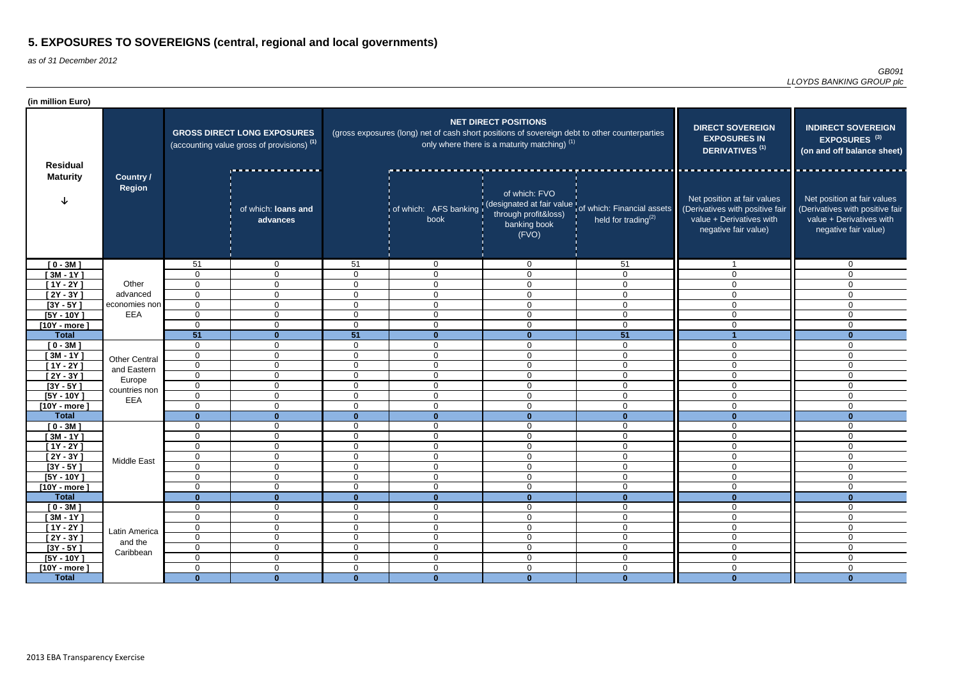| (in million Euro)                  |                                       |                                                                                             |                                  |                             |                                                                                                  |                                                                               |                                                                                         |                                                                                                                    |                                                                                                                    |
|------------------------------------|---------------------------------------|---------------------------------------------------------------------------------------------|----------------------------------|-----------------------------|--------------------------------------------------------------------------------------------------|-------------------------------------------------------------------------------|-----------------------------------------------------------------------------------------|--------------------------------------------------------------------------------------------------------------------|--------------------------------------------------------------------------------------------------------------------|
| <b>Residual</b><br><b>Maturity</b> | Country /<br><b>Region</b>            | <b>GROSS DIRECT LONG EXPOSURES</b><br>(accounting value gross of provisions) <sup>(1)</sup> |                                  |                             | (gross exposures (long) net of cash short positions of sovereign debt to other counterparties    | <b>NET DIRECT POSITIONS</b><br>only where there is a maturity matching) $(1)$ | <b>DIRECT SOVEREIGN</b><br><b>EXPOSURES IN</b><br>DERIVATIVES <sup>(1)</sup>            | <b>INDIRECT SOVEREIGN</b><br>EXPOSURES <sup>(3)</sup><br>(on and off balance sheet)                                |                                                                                                                    |
|                                    |                                       |                                                                                             | of which: loans and<br>advances  |                             | of which: AFS banking   (designated and its of which: AFS banking   through profit&loss)<br>book | of which: FVO<br>banking book<br>(FVO)                                        | designated at fair value tof which: Financial assets<br>held for trading <sup>(2)</sup> | Net position at fair values<br>(Derivatives with positive fair<br>value + Derivatives with<br>negative fair value) | Net position at fair values<br>(Derivatives with positive fair<br>value + Derivatives with<br>negative fair value) |
| $[0 - 3M]$                         |                                       | 51                                                                                          | $\overline{0}$                   | 51                          | $\overline{0}$                                                                                   | $\overline{0}$                                                                | 51                                                                                      |                                                                                                                    | $\Omega$                                                                                                           |
| $[3M - 1Y]$                        |                                       | $\Omega$                                                                                    | $\mathbf 0$                      | $\mathbf{0}$                | $\overline{0}$                                                                                   | $\mathbf 0$                                                                   | $\mathbf 0$                                                                             | $\overline{0}$                                                                                                     | $\Omega$                                                                                                           |
| $[1Y - 2Y]$                        | Other                                 | $\Omega$                                                                                    | $\mathbf 0$                      | $\mathbf{0}$                | $\overline{0}$                                                                                   | $\mathbf 0$                                                                   | 0                                                                                       | $\Omega$                                                                                                           | $\Omega$                                                                                                           |
| $[2Y - 3Y]$                        | advanced                              | $\Omega$                                                                                    | $\mathbf 0$                      | $\Omega$                    | $\overline{0}$                                                                                   | $\overline{0}$                                                                | $\mathbf 0$                                                                             | 0                                                                                                                  | $\Omega$                                                                                                           |
| $[3Y - 5Y]$                        | economies non                         | $\overline{0}$                                                                              | $\overline{0}$                   | $\Omega$                    | $\mathbf 0$                                                                                      | $\mathbf 0$                                                                   | $\mathbf 0$                                                                             | $\overline{0}$                                                                                                     | $\Omega$                                                                                                           |
| $[5Y - 10Y]$                       | EEA                                   | $\Omega$<br>$\Omega$                                                                        | $\overline{0}$<br>$\overline{0}$ | $\Omega$<br>$\mathbf 0$     | $\mathbf 0$                                                                                      | $\mathbf 0$                                                                   | $\overline{0}$<br>$\mathbf 0$                                                           | $\overline{0}$                                                                                                     | $\Omega$                                                                                                           |
| $[10Y - more]$<br><b>Total</b>     |                                       | 51                                                                                          | $\mathbf{0}$                     | 51                          | $\mathbf 0$<br>$\mathbf{0}$                                                                      | $\mathbf 0$<br>$\bf{0}$                                                       | 51                                                                                      | 0                                                                                                                  | $\Omega$<br>$\mathbf{0}$                                                                                           |
| $[0 - 3M]$                         |                                       | $\mathbf 0$                                                                                 | $\overline{0}$                   | $\mathbf 0$                 | $\mathbf 0$                                                                                      | $\overline{0}$                                                                | $\overline{0}$                                                                          | $\overline{0}$                                                                                                     | $\Omega$                                                                                                           |
| $[3M - 1Y]$                        |                                       | 0                                                                                           | $\overline{0}$                   | $\mathbf 0$                 | $\overline{0}$                                                                                   | $\mathbf 0$                                                                   | $\mathbf 0$                                                                             | 0                                                                                                                  | $\mathbf{0}$                                                                                                       |
| $[1Y - 2Y]$                        | <b>Other Central</b>                  | 0                                                                                           | $\overline{0}$                   | $\mathbf 0$                 | $\overline{0}$                                                                                   | $\overline{0}$                                                                | $\overline{0}$                                                                          | $\overline{0}$                                                                                                     | $\mathbf 0$                                                                                                        |
| $[2Y - 3Y]$                        | and Eastern                           | $\Omega$                                                                                    | $\mathbf 0$                      | $\Omega$                    | $\overline{0}$                                                                                   | $\mathbf 0$                                                                   | $\overline{0}$                                                                          | $\overline{0}$                                                                                                     | $\Omega$                                                                                                           |
| $[3Y - 5Y]$                        | Europe                                | $\overline{0}$                                                                              | $\overline{0}$                   | $\Omega$                    | $\overline{0}$                                                                                   | $\mathbf 0$                                                                   | $\overline{0}$                                                                          | $\overline{0}$                                                                                                     | $\Omega$                                                                                                           |
| $[5Y - 10Y]$                       | countries non                         | $\mathbf{0}$                                                                                | $\overline{0}$                   | $\mathbf 0$                 | $\mathbf 0$                                                                                      | $\mathbf 0$                                                                   | $\overline{0}$                                                                          | $\overline{0}$                                                                                                     | $\Omega$                                                                                                           |
| [10Y - more $\,$                   | EEA                                   | $\mathbf{0}$                                                                                | $\overline{0}$                   | $\Omega$                    | $\mathbf 0$                                                                                      | $\mathbf 0$                                                                   | $\overline{0}$                                                                          | $\overline{0}$                                                                                                     | $\Omega$                                                                                                           |
| <b>Total</b>                       |                                       | $\Omega$                                                                                    | $\Omega$                         | $\mathbf{0}$                | $\mathbf{0}$                                                                                     | $\mathbf{0}$                                                                  | $\mathbf{0}$                                                                            | $\mathbf{0}$                                                                                                       | $\bf{0}$                                                                                                           |
| $[0 - 3M]$                         |                                       | $\Omega$                                                                                    | $\overline{0}$                   | $\Omega$                    | $\mathbf 0$                                                                                      | $\overline{0}$                                                                | $\mathbf 0$                                                                             | $\overline{0}$                                                                                                     | $\mathbf 0$                                                                                                        |
| $[3M - 1Y]$                        |                                       | $\Omega$                                                                                    | $\overline{0}$                   | $\mathbf 0$                 | $\mathbf 0$                                                                                      | $\mathbf 0$                                                                   | $\mathbf 0$                                                                             | $\mathbf 0$                                                                                                        | $\mathbf 0$                                                                                                        |
| $[1Y - 2Y]$                        |                                       | $\Omega$                                                                                    | $\overline{0}$                   | $\mathbf 0$                 | $\overline{0}$                                                                                   | $\mathbf 0$                                                                   | $\mathbf 0$                                                                             | $\overline{0}$                                                                                                     | $\mathbf 0$                                                                                                        |
| $[2Y - 3Y]$                        | Middle East                           | ∩<br>◡                                                                                      | $\mathbf 0$                      | $\overline{0}$              | $\mathbf 0$                                                                                      | $\mathbf 0$                                                                   | $\Omega$<br>◡                                                                           | $\overline{0}$                                                                                                     | $\Omega$<br>ັບ                                                                                                     |
| $[3Y - 5Y]$                        |                                       | 0                                                                                           | $\overline{0}$                   | $\mathbf 0$                 | $\mathbf 0$                                                                                      | $\mathbf 0$                                                                   | $\mathbf 0$                                                                             | $\overline{0}$                                                                                                     | 0                                                                                                                  |
| $[5Y - 10Y]$                       |                                       | $\mathbf 0$                                                                                 | $\overline{0}$                   | $\mathbf 0$                 | $\mathbf 0$                                                                                      | $\mathbf 0$                                                                   | $\overline{0}$                                                                          | $\overline{0}$                                                                                                     | $\mathbf 0$                                                                                                        |
| $[10Y - more]$                     |                                       | 0                                                                                           | $\overline{0}$                   | $\mathbf 0$                 | $\mathbf 0$                                                                                      | $\mathbf 0$                                                                   | $\overline{0}$                                                                          | $\overline{0}$                                                                                                     | $\mathbf 0$                                                                                                        |
| <b>Total</b>                       |                                       | $\bf{0}$                                                                                    | $\mathbf{0}$                     | $\mathbf{0}$<br>$\mathbf 0$ | $\mathbf{0}$                                                                                     | $\mathbf{0}$                                                                  | $\mathbf{0}$                                                                            | $\mathbf{0}$<br>$\overline{0}$                                                                                     | $\mathbf{0}$                                                                                                       |
| $[0 - 3M]$<br>$[3M - 1Y]$          |                                       | $\mathbf 0$<br>$\mathbf 0$                                                                  | $\overline{0}$<br>$\overline{0}$ | $\overline{0}$              | $\mathbf 0$<br>$\overline{0}$                                                                    | $\mathbf 0$<br>$\mathbf 0$                                                    | $\overline{0}$<br>$\overline{0}$                                                        | $\overline{0}$                                                                                                     | 0<br>$\mathbf 0$                                                                                                   |
| $[1Y - 2Y]$                        | Latin America<br>and the<br>Caribbean | $\overline{0}$                                                                              | $\overline{0}$                   | $\mathbf 0$                 | $\boldsymbol{0}$                                                                                 | $\mathbf 0$                                                                   | $\mathsf 0$                                                                             | $\mathbf 0$                                                                                                        | $\mathbf 0$                                                                                                        |
| $[2Y - 3Y]$                        |                                       | $\mathbf 0$                                                                                 | $\overline{0}$                   | $\mathbf 0$                 | $\boldsymbol{0}$                                                                                 | $\mathbf 0$                                                                   | $\overline{0}$                                                                          | $\mathbf 0$                                                                                                        | $\mathbf 0$                                                                                                        |
| $[3Y - 5Y]$                        |                                       | $\mathbf 0$                                                                                 | $\overline{0}$                   | $\overline{0}$              | $\boldsymbol{0}$                                                                                 | $\mathbf 0$                                                                   | $\overline{0}$                                                                          | $\overline{0}$                                                                                                     | $\mathbf 0$                                                                                                        |
| $[5Y - 10Y]$                       |                                       | $\mathbf 0$                                                                                 | $\overline{0}$                   | $\overline{0}$              | $\boldsymbol{0}$                                                                                 | $\mathbf 0$                                                                   | $\overline{0}$                                                                          | $\mathbf 0$                                                                                                        | 0                                                                                                                  |
| $[10Y - more]$                     |                                       | $\mathbf 0$                                                                                 | $\overline{0}$                   | $\overline{0}$              | $\mathbf 0$                                                                                      | $\mathbf 0$                                                                   | $\overline{0}$                                                                          | $\overline{0}$                                                                                                     | $\overline{0}$                                                                                                     |
| <b>Total</b>                       |                                       | $\mathbf{0}$                                                                                | $\mathbf{0}$                     | $\mathbf{0}$                | $\mathbf{0}$                                                                                     | $\mathbf{0}$                                                                  | $\mathbf{0}$                                                                            | $\mathbf{0}$                                                                                                       | $\mathbf{0}$                                                                                                       |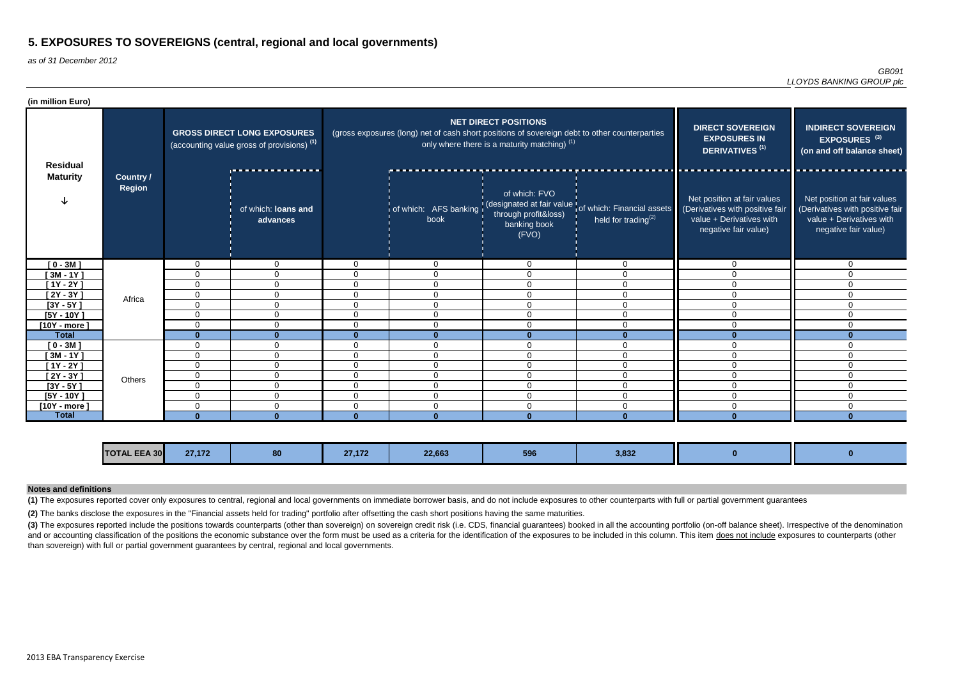as of 31 December 2012

(3) The exposures reported include the positions towards counterparts (other than sovereign) on sovereign credit risk (i.e. CDS, financial guarantees) booked in all the accounting portfolio (on-off balance sheet). Irrespec and or accounting classification of the positions the economic substance over the form must be used as a criteria for the identification of the exposures to be included in this column. This item does not include exposures than sovereign) with full or partial government guarantees by central, regional and local governments.

| (in million Euro) |                                   |                                                                                             |                                 |          |                                                                                               |                                                                               |                                                                                                      |                                                                                                                    |                                                                                                                    |
|-------------------|-----------------------------------|---------------------------------------------------------------------------------------------|---------------------------------|----------|-----------------------------------------------------------------------------------------------|-------------------------------------------------------------------------------|------------------------------------------------------------------------------------------------------|--------------------------------------------------------------------------------------------------------------------|--------------------------------------------------------------------------------------------------------------------|
| <b>Residual</b>   |                                   | <b>GROSS DIRECT LONG EXPOSURES</b><br>(accounting value gross of provisions) <sup>(1)</sup> |                                 |          | (gross exposures (long) net of cash short positions of sovereign debt to other counterparties | <b>NET DIRECT POSITIONS</b><br>only where there is a maturity matching) $(1)$ | <b>DIRECT SOVEREIGN</b><br><b>EXPOSURES IN</b><br>DERIVATIVES <sup>(1)</sup>                         | <b>INDIRECT SOVEREIGN</b><br>EXPOSURES <sup>(3)</sup><br>(on and off balance sheet)                                |                                                                                                                    |
| <b>Maturity</b>   | <b>Country /</b><br><b>Region</b> |                                                                                             | of which: loans and<br>advances |          | book                                                                                          | of which: FVO<br>through profit&loss)<br>banking book<br>(FVO)                | of which: AFS banking (designated at fair value of which: Financial assets<br>held for trading $(2)$ | Net position at fair values<br>(Derivatives with positive fair<br>value + Derivatives with<br>negative fair value) | Net position at fair values<br>(Derivatives with positive fair<br>value + Derivatives with<br>negative fair value) |
| $[0 - 3M]$        |                                   | $\Omega$                                                                                    | $\mathbf 0$                     | $\Omega$ | $\overline{0}$                                                                                | $\overline{0}$                                                                | $\overline{0}$                                                                                       | $\Omega$                                                                                                           | $\Omega$                                                                                                           |
| $[3M - 1Y]$       |                                   | $\mathbf{0}$                                                                                | $\Omega$                        | $\Omega$ | $\Omega$                                                                                      | $\Omega$                                                                      | $\Omega$                                                                                             | $\Omega$                                                                                                           |                                                                                                                    |
| $[1Y - 2Y]$       |                                   | $\mathbf{0}$                                                                                | $\mathbf 0$                     | $\Omega$ | $\Omega$                                                                                      | $\mathbf{0}$                                                                  | $\overline{0}$                                                                                       | $\Omega$                                                                                                           | 0                                                                                                                  |
| $[2Y - 3Y]$       | Africa                            | 0                                                                                           | 0                               | 0        | $\overline{0}$                                                                                | 0                                                                             | $\Omega$                                                                                             | $\Omega$                                                                                                           | 0                                                                                                                  |
| $[3Y - 5Y]$       |                                   | $\mathbf 0$                                                                                 | $\mathbf 0$                     | 0        | $\mathbf 0$                                                                                   | $\mathbf 0$                                                                   | 0                                                                                                    | $\Omega$                                                                                                           |                                                                                                                    |
| $[5Y - 10Y]$      |                                   | $\mathbf 0$                                                                                 | $\Omega$                        | $\Omega$ | $\Omega$                                                                                      | $\Omega$                                                                      | $\Omega$                                                                                             | $\Omega$                                                                                                           | 0                                                                                                                  |
| $[10Y - more]$    |                                   | $\mathbf 0$                                                                                 | $\mathbf 0$                     | $\Omega$ | $\mathbf 0$                                                                                   | $\mathbf 0$                                                                   | $\overline{0}$                                                                                       | $\Omega$                                                                                                           | $\Omega$                                                                                                           |
| <b>Total</b>      |                                   | $\bf{0}$                                                                                    | $\bf{0}$                        | 0        | $\bf{0}$                                                                                      |                                                                               |                                                                                                      | $\Omega$                                                                                                           |                                                                                                                    |
| $[0 - 3M]$        |                                   | $\mathbf{0}$                                                                                | $\mathbf 0$                     | $\Omega$ | $\Omega$                                                                                      | $\mathbf{0}$                                                                  | $\Omega$                                                                                             | $\Omega$                                                                                                           |                                                                                                                    |
| $[3M - 1Y]$       |                                   | $\mathbf 0$                                                                                 | 0                               | $\Omega$ | $\Omega$                                                                                      | $\Omega$                                                                      | $\Omega$                                                                                             | $\Omega$                                                                                                           | 0                                                                                                                  |
| $[1Y - 2Y]$       |                                   | $\mathbf{0}$                                                                                | $\Omega$                        | 0        | $\Omega$                                                                                      | $\mathbf{0}$                                                                  | $\Omega$                                                                                             | $\Omega$                                                                                                           | 0                                                                                                                  |
| $[2Y - 3Y]$       | Others                            | 0                                                                                           | 0                               | 0        | $\Omega$                                                                                      | $\Omega$                                                                      | $\Omega$                                                                                             | $\Omega$                                                                                                           | U                                                                                                                  |
| $[3Y - 5Y]$       |                                   | $\mathbf{0}$                                                                                | 0                               | 0        | $\Omega$                                                                                      | 0                                                                             | $\Omega$                                                                                             | $\Omega$                                                                                                           | U                                                                                                                  |
| $[5Y - 10Y]$      |                                   | 0                                                                                           | 0                               | 0        | $\mathbf{0}$                                                                                  | 0                                                                             | $\Omega$                                                                                             | $\Omega$                                                                                                           | 0                                                                                                                  |
| $[10Y - more]$    |                                   | $\mathbf{0}$                                                                                | 0                               | 0        | $\Omega$                                                                                      | $\Omega$                                                                      | $\Omega$                                                                                             | $\Omega$                                                                                                           | 0                                                                                                                  |
| <b>Total</b>      |                                   | $\Omega$                                                                                    | $\Omega$                        |          | $\Omega$                                                                                      |                                                                               |                                                                                                      |                                                                                                                    |                                                                                                                    |

**(2)** The banks disclose the exposures in the "Financial assets held for trading" portfolio after offsetting the cash short positions having the same maturities.

#### **Notes and definitions**

**(1)** The exposures reported cover only exposures to central, regional and local governments on immediate borrower basis, and do not include exposures to other counterparts with full or partial government guarantees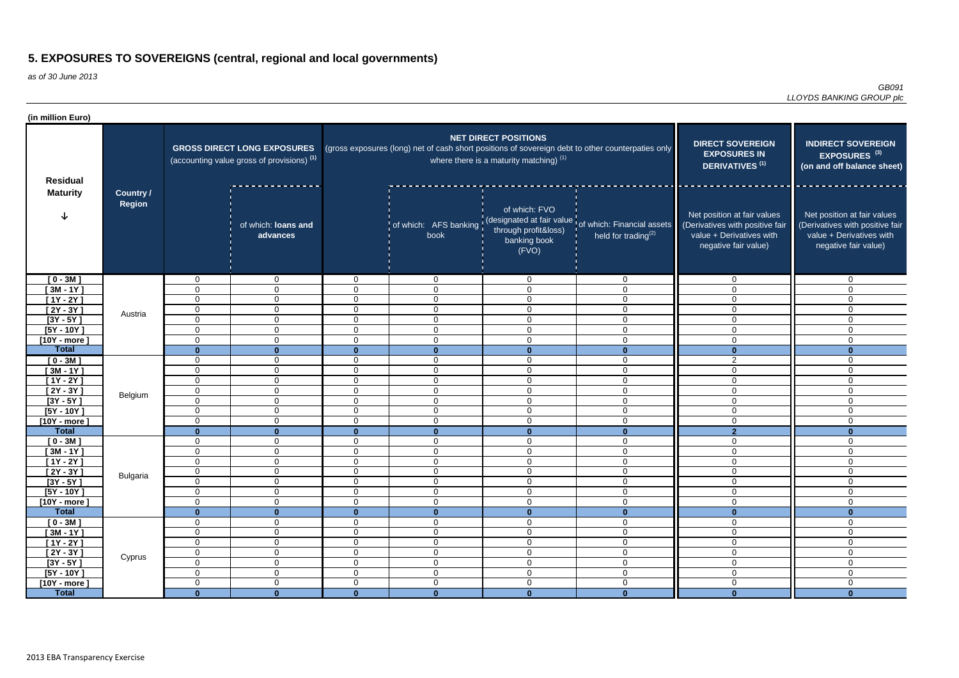as of 30 June 2013

*GB091 LLOYDS BANKING GROUP plc*

| (in million Euro)           |                            |                                                                                             |                                  |                      |                                                                                                   |                                                                          |                                                                                                      |                                                                                                                    |                                                                                                                    |
|-----------------------------|----------------------------|---------------------------------------------------------------------------------------------|----------------------------------|----------------------|---------------------------------------------------------------------------------------------------|--------------------------------------------------------------------------|------------------------------------------------------------------------------------------------------|--------------------------------------------------------------------------------------------------------------------|--------------------------------------------------------------------------------------------------------------------|
| <b>Residual</b>             | Country /<br><b>Region</b> | <b>GROSS DIRECT LONG EXPOSURES</b><br>(accounting value gross of provisions) <sup>(1)</sup> |                                  |                      | (gross exposures (long) net of cash short positions of sovereign debt to other counterpaties only | <b>NET DIRECT POSITIONS</b><br>where there is a maturity matching) $(1)$ | <b>DIRECT SOVEREIGN</b><br><b>EXPOSURES IN</b><br>DERIVATIVES <sup>(1)</sup>                         | <b>INDIRECT SOVEREIGN</b><br>EXPOSURES <sup>(3)</sup><br>(on and off balance sheet)                                |                                                                                                                    |
| <b>Maturity</b>             |                            |                                                                                             | of which: loans and<br>advances  |                      | book                                                                                              | of which: FVO<br>through profit&loss)<br>banking book<br>(FVO)           | of which: AFS banking (designated at fair value of which: Financial assets<br>held for trading $(2)$ | Net position at fair values<br>(Derivatives with positive fair<br>value + Derivatives with<br>negative fair value) | Net position at fair values<br>(Derivatives with positive fair<br>value + Derivatives with<br>negative fair value) |
| $[0 - 3M]$                  |                            | $\mathbf 0$                                                                                 | $\mathbf 0$                      | 0                    | $\overline{0}$                                                                                    | $\overline{0}$                                                           | $\mathbf{0}$                                                                                         | 0                                                                                                                  | $\mathbf{0}$                                                                                                       |
| $[3M - 1Y]$                 |                            | $\mathbf 0$                                                                                 | $\overline{0}$                   | 0                    | 0                                                                                                 | $\mathbf 0$                                                              | $\mathbf{0}$                                                                                         | $\Omega$                                                                                                           | $\mathbf{0}$                                                                                                       |
| $[1Y - 2Y]$                 |                            | $\mathbf 0$                                                                                 | $\mathbf{0}$                     | 0                    | $\mathbf 0$                                                                                       | $\overline{0}$                                                           | $\mathbf{0}$                                                                                         | 0                                                                                                                  | $\mathbf{0}$                                                                                                       |
| $[2Y - 3Y]$                 | Austria                    | $\mathbf 0$                                                                                 | $\mathbf 0$                      | $\Omega$             | $\mathbf{0}$                                                                                      | $\overline{0}$                                                           | $\mathbf{0}$                                                                                         | 0                                                                                                                  | $\mathbf 0$                                                                                                        |
| $[3Y - 5Y]$<br>$[5Y - 10Y]$ |                            | $\mathbf 0$<br>$\mathbf 0$                                                                  | $\overline{0}$<br>$\mathbf 0$    | $\Omega$<br>$\Omega$ | $\overline{0}$<br>$\overline{0}$                                                                  | $\overline{0}$<br>$\mathbf 0$                                            | $\mathbf{0}$<br>$\mathbf{0}$                                                                         | $\mathbf 0$<br>$\mathbf 0$                                                                                         | $\mathbf 0$<br>$\mathbf 0$                                                                                         |
| $[10Y - more]$              |                            | $\mathbf 0$                                                                                 | $\mathbf 0$                      | $\Omega$             | 0                                                                                                 | $\mathbf 0$                                                              | 0                                                                                                    | $\overline{0}$                                                                                                     | $\mathbf 0$                                                                                                        |
| <b>Total</b>                |                            | $\bf{0}$                                                                                    | $\mathbf{0}$                     | U                    | $\bf{0}$                                                                                          | $\mathbf{0}$                                                             | $\mathbf 0$                                                                                          | 0                                                                                                                  | $\mathbf{0}$                                                                                                       |
| $[0 - 3M]$                  |                            | $\mathbf 0$                                                                                 | $\overline{0}$                   | 0                    | $\mathbf 0$                                                                                       | $\mathbf 0$                                                              | $\mathbf{0}$                                                                                         | $\overline{2}$                                                                                                     | $\Omega$                                                                                                           |
| $[3M - 1Y]$                 |                            | $\mathbf 0$                                                                                 | $\mathbf 0$                      | $\Omega$             | 0                                                                                                 | $\mathbf 0$                                                              | $\mathbf 0$                                                                                          | 0                                                                                                                  | $\mathbf 0$                                                                                                        |
| $[1Y - 2Y]$                 |                            | $\mathbf 0$                                                                                 | $\Omega$                         | 0                    | $\Omega$                                                                                          | $\mathbf 0$                                                              | $\Omega$                                                                                             | $\Omega$                                                                                                           | $\Omega$                                                                                                           |
| $[2Y - 3Y]$                 | Belgium                    | $\mathbf 0$                                                                                 | $\Omega$                         | $\Omega$             | 0                                                                                                 | $\mathbf 0$                                                              | $\mathbf{0}$                                                                                         | $\Omega$                                                                                                           | $\Omega$                                                                                                           |
| $[3Y - 5Y]$                 |                            | $\mathbf 0$                                                                                 | $\overline{0}$                   | $\Omega$             | $\mathbf 0$                                                                                       | $\overline{0}$                                                           | $\mathbf 0$                                                                                          | $\overline{0}$                                                                                                     | $\Omega$                                                                                                           |
| $[5Y - 10Y]$                |                            | $\mathbf 0$                                                                                 | $\mathbf 0$                      | $\Omega$             | $\Omega$                                                                                          | $\overline{0}$                                                           | $\Omega$                                                                                             | $\overline{0}$                                                                                                     | $\Omega$                                                                                                           |
| $[10Y - more]$              |                            | $\mathbf 0$                                                                                 | $\mathbf 0$                      | $\Omega$             | $\mathbf 0$                                                                                       | $\mathbf 0$                                                              | 0                                                                                                    | $\overline{0}$                                                                                                     | $\Omega$                                                                                                           |
| <b>Total</b>                |                            | $\bf{0}$<br>$\mathbf 0$                                                                     | $\mathbf{0}$<br>$\mathbf 0$      | $\Omega$             | $\mathbf{0}$                                                                                      | $\mathbf{0}$<br>$\overline{0}$                                           | $\Omega$                                                                                             | $\overline{2}$                                                                                                     | $\mathbf{0}$                                                                                                       |
| $[0 - 3M]$<br>$[3M - 1Y]$   |                            | $\mathbf 0$                                                                                 | $\mathbf 0$                      | 0<br>0               | $\mathbf 0$<br>0                                                                                  | $\mathbf 0$                                                              | $\mathbf 0$<br>0                                                                                     | 0<br>$\overline{0}$                                                                                                | $\mathbf 0$<br>$\overline{0}$                                                                                      |
| $[1Y - 2Y]$                 |                            | $\mathbf 0$                                                                                 | $\overline{0}$                   | $\Omega$             | 0                                                                                                 | $\mathbf 0$                                                              | $\mathbf 0$                                                                                          | 0                                                                                                                  | $\mathbf 0$                                                                                                        |
| $[2Y - 3Y]$                 |                            | $\mathbf 0$                                                                                 | $\mathbf 0$                      | $\Omega$             | $\mathbf{0}$                                                                                      | $\mathbf 0$                                                              | $\mathbf{0}$                                                                                         | 0                                                                                                                  | $\mathbf 0$                                                                                                        |
| $[3Y - 5Y]$                 | <b>Bulgaria</b>            | 0                                                                                           | $\mathbf{0}$                     | 0                    | 0                                                                                                 | $\bf{0}$                                                                 | 0                                                                                                    | 0                                                                                                                  | 0                                                                                                                  |
| $[5Y - 10Y]$                |                            | $\mathbf 0$                                                                                 | $\overline{0}$                   | $\mathbf 0$          | $\overline{0}$                                                                                    | $\overline{0}$                                                           | $\mathbf 0$                                                                                          | $\overline{0}$                                                                                                     | $\mathbf 0$                                                                                                        |
| $[10Y - more]$              |                            | $\mathbf 0$                                                                                 | $\overline{0}$                   | $\mathbf 0$          | $\overline{0}$                                                                                    | $\overline{0}$                                                           | $\mathbf 0$                                                                                          | $\mathbf 0$                                                                                                        | $\overline{0}$                                                                                                     |
| <b>Total</b>                |                            | $\mathbf{0}$                                                                                | $\mathbf{0}$                     | $\mathbf{0}$         | $\mathbf{0}$                                                                                      | $\mathbf{0}$                                                             | $\mathbf{0}$                                                                                         | $\mathbf{0}$                                                                                                       | $\mathbf{0}$                                                                                                       |
| $[0 - 3M]$                  |                            | $\mathbf 0$                                                                                 | $\overline{0}$                   | 0                    | $\overline{0}$                                                                                    | $\mathbf 0$                                                              | $\overline{0}$                                                                                       | 0                                                                                                                  | $\overline{0}$                                                                                                     |
| $[3M - 1Y]$                 | Cyprus                     | $\boldsymbol{0}$                                                                            | $\overline{0}$                   | 0                    | $\overline{0}$                                                                                    | $\boldsymbol{0}$                                                         | $\mathbf 0$                                                                                          | $\mathbf 0$                                                                                                        | $\overline{0}$                                                                                                     |
| $[1Y - 2Y]$<br>$[2Y - 3Y]$  |                            | $\mathbf 0$<br>$\mathbf 0$                                                                  | $\overline{0}$<br>$\overline{0}$ | 0<br>0               | $\mathbf 0$<br>$\mathbf 0$                                                                        | $\overline{0}$<br>$\mathbf 0$                                            | $\mathbf 0$<br>$\mathbf 0$                                                                           | $\overline{0}$<br>$\overline{0}$                                                                                   | $\overline{0}$<br>$\mathbf 0$                                                                                      |
| $[3Y - 5Y]$                 |                            | $\mathbf 0$                                                                                 | $\overline{0}$                   | 0                    | $\overline{0}$                                                                                    | $\mathbf 0$                                                              | $\mathbf 0$                                                                                          | $\overline{0}$                                                                                                     | $\overline{0}$                                                                                                     |
| $[5Y - 10Y]$                |                            | $\mathbf 0$                                                                                 | $\overline{0}$                   | $\Omega$             | $\overline{0}$                                                                                    | $\mathbf 0$                                                              | $\mathbf 0$                                                                                          | $\overline{0}$                                                                                                     | $\overline{0}$                                                                                                     |
| $[10Y - more]$              |                            | $\mathbf 0$                                                                                 | $\overline{0}$                   | $\Omega$             | $\overline{0}$                                                                                    | $\mathbf 0$                                                              | $\mathbf 0$                                                                                          | $\overline{0}$                                                                                                     | $\mathbf 0$                                                                                                        |
| <b>Total</b>                |                            | $\mathbf{0}$                                                                                | $\mathbf{0}$                     | $\mathbf{0}$         | $\bf{0}$                                                                                          | $\mathbf{0}$                                                             | $\mathbf{0}$                                                                                         | $\mathbf{0}$                                                                                                       | $\mathbf{0}$                                                                                                       |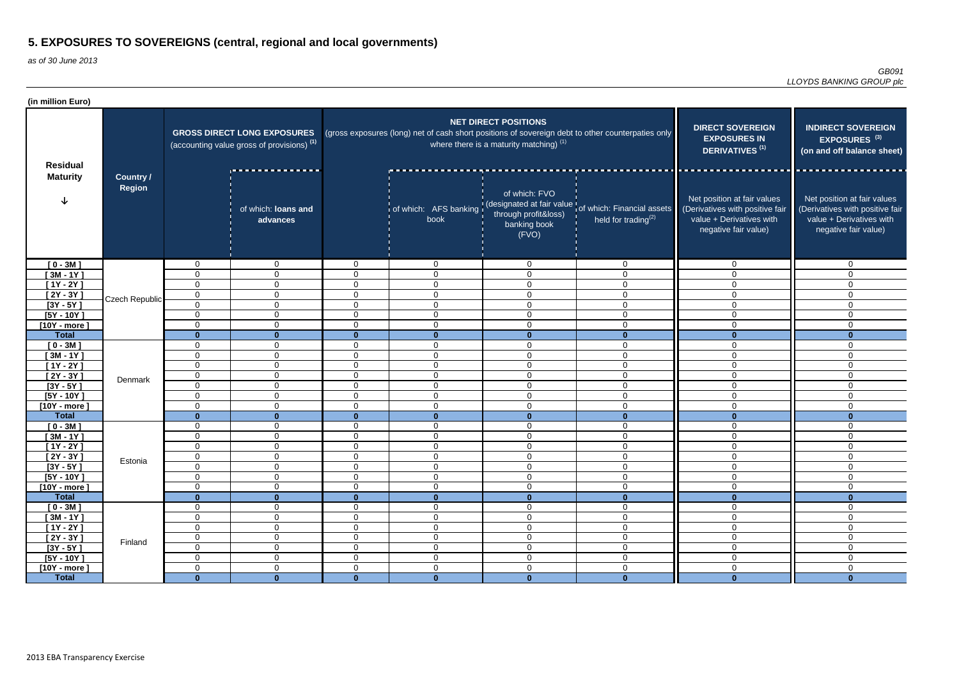| (in million Euro)                  |                                   |                                                                                             |                                 |                |                                                                                                   |                                                                          |                                                                                                               |                                                                                                                    |                                                                                                                    |
|------------------------------------|-----------------------------------|---------------------------------------------------------------------------------------------|---------------------------------|----------------|---------------------------------------------------------------------------------------------------|--------------------------------------------------------------------------|---------------------------------------------------------------------------------------------------------------|--------------------------------------------------------------------------------------------------------------------|--------------------------------------------------------------------------------------------------------------------|
| <b>Residual</b><br><b>Maturity</b> | <b>Country /</b><br><b>Region</b> | <b>GROSS DIRECT LONG EXPOSURES</b><br>(accounting value gross of provisions) <sup>(1)</sup> |                                 |                | (gross exposures (long) net of cash short positions of sovereign debt to other counterpaties only | <b>NET DIRECT POSITIONS</b><br>where there is a maturity matching) $(1)$ | <b>DIRECT SOVEREIGN</b><br><b>EXPOSURES IN</b><br>DERIVATIVES <sup>(1)</sup>                                  | <b>INDIRECT SOVEREIGN</b><br>EXPOSURES <sup>(3)</sup><br>(on and off balance sheet)                                |                                                                                                                    |
|                                    |                                   |                                                                                             | of which: loans and<br>advances |                | book                                                                                              | of which: FVO<br>through profit&loss)<br>banking book<br>(FVO)           | of which: AFS banking (designated at fair value of which: Financial assets<br>held for trading <sup>(2)</sup> | Net position at fair values<br>(Derivatives with positive fair<br>value + Derivatives with<br>negative fair value) | Net position at fair values<br>(Derivatives with positive fair<br>value + Derivatives with<br>negative fair value) |
| $[0 - 3M]$                         |                                   | $\Omega$                                                                                    | $\overline{0}$                  | $\Omega$       | $\mathbf 0$                                                                                       | $\mathbf 0$                                                              | $\mathbf 0$                                                                                                   | $\Omega$                                                                                                           | $\mathbf 0$                                                                                                        |
| $[3M - 1Y]$                        |                                   | $\Omega$                                                                                    | $\overline{0}$                  | $\Omega$       | $\overline{0}$                                                                                    | $\mathbf 0$                                                              | $\mathbf 0$                                                                                                   | $\Omega$                                                                                                           | $\mathbf 0$                                                                                                        |
| $[1Y - 2Y]$                        | Czech Republic                    | $\Omega$                                                                                    | $\mathbf 0$                     | $\mathbf 0$    | $\overline{0}$                                                                                    | $\mathbf 0$                                                              | $\mathbf 0$                                                                                                   | $\Omega$                                                                                                           | $\Omega$                                                                                                           |
| $[2Y - 3Y]$                        |                                   | $\mathbf 0$                                                                                 | $\overline{0}$                  | $\mathbf 0$    | $\overline{0}$                                                                                    | $\overline{0}$                                                           | $\mathbf 0$                                                                                                   | $\mathbf 0$                                                                                                        | $\mathbf 0$                                                                                                        |
| $[3Y - 5Y]$                        |                                   | $\Omega$                                                                                    | $\overline{0}$                  | $\mathbf 0$    | $\overline{0}$                                                                                    | 0                                                                        | $\mathbf 0$                                                                                                   | $\mathbf 0$                                                                                                        | $\mathbf 0$                                                                                                        |
| $[5Y - 10Y]$                       |                                   | 0                                                                                           | $\overline{0}$                  | $\mathbf 0$    | $\mathbf 0$                                                                                       | $\mathbf 0$                                                              | $\mathbf 0$                                                                                                   | 0                                                                                                                  | 0                                                                                                                  |
| $[10Y - more]$                     |                                   | $\Omega$                                                                                    | $\mathbf 0$                     | $\mathbf 0$    | $\mathbf 0$                                                                                       | $\mathbf 0$                                                              | $\mathbf 0$                                                                                                   | $\Omega$                                                                                                           | $\overline{0}$                                                                                                     |
| <b>Total</b>                       |                                   | n                                                                                           | $\Omega$                        | $\mathbf{0}$   | $\mathbf{0}$                                                                                      | $\mathbf{0}$                                                             | $\bf{0}$                                                                                                      |                                                                                                                    |                                                                                                                    |
| $[0 - 3M]$                         |                                   | $\Omega$                                                                                    | $\mathbf 0$                     | $\Omega$       | $\mathbf 0$                                                                                       | $\mathbf 0$                                                              | $\mathbf 0$                                                                                                   | $\Omega$                                                                                                           | $\overline{0}$                                                                                                     |
| $[3M - 1Y]$                        |                                   | $\Omega$                                                                                    | $\overline{0}$                  | $\Omega$       | $\overline{0}$                                                                                    | $\mathbf 0$                                                              | $\overline{0}$                                                                                                | $\Omega$                                                                                                           | $\mathbf 0$                                                                                                        |
| $[1Y - 2Y]$                        |                                   | $\Omega$                                                                                    | $\overline{0}$                  | $\mathbf{0}$   | $\overline{0}$                                                                                    | $\mathbf 0$                                                              | $\overline{0}$                                                                                                | $\Omega$                                                                                                           | $\mathbf 0$                                                                                                        |
| $[2Y - 3Y]$                        | Denmark                           | 0                                                                                           | $\overline{0}$                  | $\mathbf 0$    | $\overline{0}$                                                                                    | $\overline{0}$                                                           | $\overline{0}$                                                                                                | $\Omega$                                                                                                           | $\mathbf 0$                                                                                                        |
| $[3Y - 5Y]$                        |                                   | $\Omega$                                                                                    | $\overline{0}$                  | $\mathbf 0$    | $\overline{0}$                                                                                    | $\overline{0}$                                                           | $\mathbf 0$                                                                                                   | $\mathbf 0$                                                                                                        | $\mathbf 0$                                                                                                        |
| $[5Y - 10Y]$                       |                                   | $\Omega$                                                                                    | $\overline{0}$                  | $\mathbf 0$    | $\overline{0}$                                                                                    | $\mathbf 0$                                                              | $\overline{0}$                                                                                                | $\mathbf 0$                                                                                                        | $\mathbf 0$                                                                                                        |
| $[10Y - more]$                     |                                   | $\Omega$                                                                                    | $\overline{0}$                  | $\Omega$       | $\Omega$                                                                                          | $\mathbf 0$                                                              | $\Omega$                                                                                                      | $\Omega$                                                                                                           | $\Omega$<br>∩                                                                                                      |
| <b>Total</b>                       |                                   | $\Omega$<br>$\Omega$                                                                        | $\mathbf{0}$<br>$\overline{0}$  | $\mathbf{0}$   | $\mathbf{0}$                                                                                      | $\mathbf{0}$<br>$\mathbf 0$                                              | $\mathbf{0}$                                                                                                  | $\mathbf{0}$<br>$\Omega$                                                                                           | $\Omega$                                                                                                           |
| $[0 - 3M]$<br>$[3M - 1Y]$          |                                   | $\Omega$                                                                                    | 0                               | 0<br>$\Omega$  | $\mathbf 0$<br>$\mathbf 0$                                                                        | 0                                                                        | $\mathbf 0$<br>$\mathbf 0$                                                                                    | $\Omega$                                                                                                           | $\Omega$                                                                                                           |
| [1Y - 2Y ]                         |                                   | $\Omega$                                                                                    | $\overline{0}$                  | $\mathbf 0$    | $\mathbf 0$                                                                                       | 0                                                                        | $\mathbf 0$                                                                                                   | $\Omega$                                                                                                           | $\mathbf 0$                                                                                                        |
| $[2Y - 3Y]$                        |                                   | 0                                                                                           | $\mathbf 0$                     | $\overline{0}$ | $\mathbf 0$                                                                                       | $\pmb{0}$                                                                | $\mathbf 0$                                                                                                   | $\mathbf 0$                                                                                                        | 0                                                                                                                  |
| $[3Y - 5Y]$                        | Estonia                           | $\Omega$                                                                                    | $\mathbf 0$                     | $\mathbf 0$    | $\mathbf 0$                                                                                       | $\overline{0}$                                                           | $\mathbf 0$                                                                                                   | $\mathbf 0$                                                                                                        | $\overline{0}$                                                                                                     |
| $[5Y - 10Y]$                       |                                   | $\mathbf 0$                                                                                 | $\overline{0}$                  | $\overline{0}$ | $\overline{0}$                                                                                    | $\mathbf 0$                                                              | $\mathbf 0$                                                                                                   | $\overline{0}$                                                                                                     | $\overline{0}$                                                                                                     |
| $[10Y - more]$                     |                                   | $\mathbf 0$                                                                                 | $\overline{0}$                  | $\mathbf 0$    | $\overline{0}$                                                                                    | $\mathbf 0$                                                              | $\boldsymbol{0}$                                                                                              | $\mathbf 0$                                                                                                        | $\mathbf 0$                                                                                                        |
| <b>Total</b>                       |                                   | $\bf{0}$                                                                                    | $\mathbf{0}$                    | $\mathbf{0}$   | $\mathbf{0}$                                                                                      | $\mathbf{0}$                                                             | $\mathbf{0}$                                                                                                  | $\mathbf{0}$                                                                                                       | $\bf{0}$                                                                                                           |
| $[0 - 3M]$                         |                                   | 0                                                                                           | $\overline{0}$                  | $\mathbf 0$    | $\overline{0}$                                                                                    | $\mathbf 0$                                                              | $\overline{0}$                                                                                                | $\mathbf 0$                                                                                                        | 0                                                                                                                  |
| $[3M - 1Y]$                        |                                   | 0                                                                                           | $\overline{0}$                  | $\mathbf 0$    | $\overline{0}$                                                                                    | $\mathbf 0$                                                              | $\overline{0}$                                                                                                | $\mathbf 0$                                                                                                        | $\mathbf 0$                                                                                                        |
| $[1Y - 2Y]$                        | Finland                           | $\mathbf 0$                                                                                 | $\overline{0}$                  | $\mathbf 0$    | $\overline{0}$                                                                                    | $\overline{0}$                                                           | $\overline{0}$                                                                                                | $\mathbf 0$                                                                                                        | $\mathbf 0$                                                                                                        |
| $[2Y - 3Y]$                        |                                   | $\mathbf 0$                                                                                 | $\overline{0}$                  | $\mathbf 0$    | $\overline{0}$                                                                                    | $\overline{0}$                                                           | $\overline{0}$                                                                                                | $\mathbf 0$                                                                                                        | $\overline{0}$                                                                                                     |
| $[3Y - 5Y]$                        |                                   | $\mathbf 0$                                                                                 | $\overline{0}$                  | $\overline{0}$ | $\overline{0}$                                                                                    | $\mathbf 0$                                                              | $\overline{0}$                                                                                                | $\mathbf 0$                                                                                                        | $\overline{0}$                                                                                                     |
| $[5Y - 10Y]$                       |                                   | $\mathbf 0$                                                                                 | $\overline{0}$                  | $\overline{0}$ | $\overline{0}$                                                                                    | $\mathbf 0$                                                              | $\mathbf 0$                                                                                                   | $\mathbf 0$                                                                                                        | $\overline{0}$                                                                                                     |
| $[10Y - more]$                     |                                   | 0                                                                                           | $\overline{0}$                  | $\overline{0}$ | $\mathbf 0$                                                                                       | $\mathbf 0$                                                              | $\boldsymbol{0}$                                                                                              | $\mathbf 0$                                                                                                        | $\overline{0}$                                                                                                     |
| <b>Total</b>                       |                                   | $\Omega$                                                                                    | $\mathbf{0}$                    | $\mathbf{0}$   | $\mathbf{0}$                                                                                      | $\mathbf{0}$                                                             | $\mathbf{0}$                                                                                                  | $\mathbf{0}$                                                                                                       | $\mathbf{0}$                                                                                                       |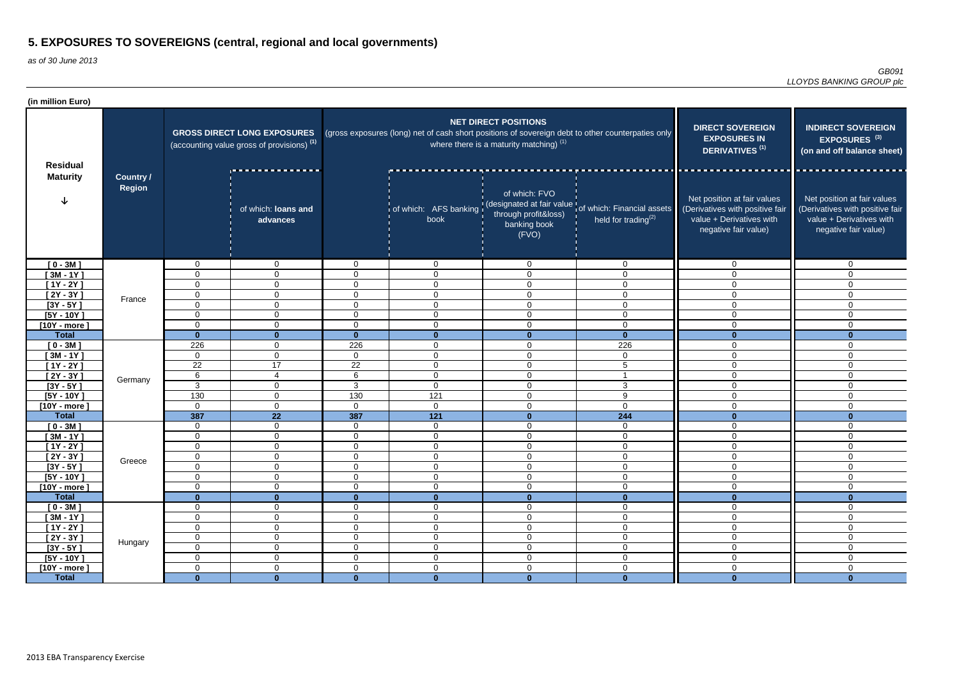| (in million Euro)                  |                                   |                                                                                             |                                 |                               |                                                                                                   |                                                                          |                                                                                                      |                                                                                                                    |                                                                                                                    |
|------------------------------------|-----------------------------------|---------------------------------------------------------------------------------------------|---------------------------------|-------------------------------|---------------------------------------------------------------------------------------------------|--------------------------------------------------------------------------|------------------------------------------------------------------------------------------------------|--------------------------------------------------------------------------------------------------------------------|--------------------------------------------------------------------------------------------------------------------|
| <b>Residual</b><br><b>Maturity</b> |                                   | <b>GROSS DIRECT LONG EXPOSURES</b><br>(accounting value gross of provisions) <sup>(1)</sup> |                                 |                               | (gross exposures (long) net of cash short positions of sovereign debt to other counterpaties only | <b>NET DIRECT POSITIONS</b><br>where there is a maturity matching) $(1)$ | <b>DIRECT SOVEREIGN</b><br><b>EXPOSURES IN</b><br>DERIVATIVES <sup>(1)</sup>                         | <b>INDIRECT SOVEREIGN</b><br>EXPOSURES <sup>(3)</sup><br>(on and off balance sheet)                                |                                                                                                                    |
|                                    | <b>Country /</b><br><b>Region</b> |                                                                                             | of which: loans and<br>advances |                               | book                                                                                              | of which: FVO<br>through profit&loss)<br>banking book<br>(FVO)           | of which: AFS banking (designated at fair value of which: Financial assets<br>held for trading $(2)$ | Net position at fair values<br>(Derivatives with positive fair<br>value + Derivatives with<br>negative fair value) | Net position at fair values<br>(Derivatives with positive fair<br>value + Derivatives with<br>negative fair value) |
| $[0 - 3M]$                         |                                   | $\mathbf 0$                                                                                 | $\mathbf 0$                     | $\Omega$                      | $\mathbf 0$                                                                                       | 0                                                                        | $\mathbf 0$                                                                                          | $\Omega$                                                                                                           | $\mathbf 0$                                                                                                        |
| $[3M - 1Y]$                        |                                   | 0                                                                                           | $\overline{0}$                  | $\Omega$                      | $\overline{0}$                                                                                    | $\mathbf 0$                                                              | $\mathbf 0$                                                                                          | $\Omega$                                                                                                           | $\mathbf{0}$                                                                                                       |
| $[1Y - 2Y]$                        |                                   | 0                                                                                           | $\overline{0}$                  | $\overline{0}$                | $\overline{0}$                                                                                    | 0                                                                        | $\overline{0}$                                                                                       | $\Omega$                                                                                                           | $\Omega$                                                                                                           |
| $[2Y - 3Y]$                        | France                            | $\mathbf 0$                                                                                 | $\mathbf 0$                     | $\mathbf 0$                   | $\overline{0}$                                                                                    | $\mathbf 0$                                                              | $\mathbf 0$                                                                                          | $\mathbf 0$                                                                                                        | $\mathbf 0$                                                                                                        |
| $[3Y - 5Y]$                        |                                   | 0                                                                                           | $\overline{0}$                  | $\mathbf 0$                   | $\mathbf 0$                                                                                       | $\mathbf 0$                                                              | $\mathbf 0$                                                                                          | $\mathbf 0$                                                                                                        | 0                                                                                                                  |
| $[5Y - 10Y]$                       |                                   | 0                                                                                           | $\overline{0}$                  | $\overline{0}$                | $\mathbf 0$                                                                                       | $\mathbf 0$                                                              | $\mathbf 0$                                                                                          | $\mathbf 0$                                                                                                        | $\mathbf 0$                                                                                                        |
| $[10Y - more]$                     |                                   | $\mathbf 0$                                                                                 | $\overline{0}$                  | $\mathbf 0$                   | $\overline{0}$                                                                                    | $\mathbf 0$                                                              | $\mathbf 0$                                                                                          | $\Omega$                                                                                                           | $\overline{0}$                                                                                                     |
| <b>Total</b>                       |                                   | $\bf{0}$                                                                                    |                                 | $\bf{0}$                      | $\mathbf{0}$                                                                                      | $\mathbf{0}$                                                             | $\mathbf{0}$                                                                                         |                                                                                                                    |                                                                                                                    |
| $[0 - 3M]$                         |                                   | 226                                                                                         | $\mathbf 0$                     | 226                           | $\mathbf 0$                                                                                       | $\mathbf 0$                                                              | 226                                                                                                  | $\Omega$                                                                                                           | $\overline{0}$                                                                                                     |
| $[3M - 1Y]$                        |                                   | $\mathbf 0$                                                                                 | $\overline{0}$                  | $\mathbf 0$                   | $\overline{0}$                                                                                    | $\mathbf 0$                                                              | $\overline{0}$                                                                                       | $\Omega$                                                                                                           | $\mathbf 0$                                                                                                        |
| $[1Y - 2Y]$                        |                                   | $\overline{22}$                                                                             | 17                              | $\overline{22}$               | $\overline{0}$                                                                                    | $\mathbf 0$                                                              | 5                                                                                                    | $\Omega$                                                                                                           | $\mathbf 0$                                                                                                        |
| $[2Y - 3Y]$                        | Germany                           | 6                                                                                           | $\overline{4}$                  | $6\phantom{1}$                | $\overline{0}$                                                                                    | $\mathbf 0$                                                              |                                                                                                      | $\mathbf 0$                                                                                                        | $\mathbf 0$                                                                                                        |
| $[3Y - 5Y]$                        |                                   | $\mathbf{3}$                                                                                | $\overline{0}$                  | $\mathbf{3}$                  | $\overline{0}$                                                                                    | $\mathbf 0$                                                              | 3                                                                                                    | $\mathbf 0$                                                                                                        | $\mathbf 0$                                                                                                        |
| $[5Y - 10Y]$                       |                                   | 130                                                                                         | $\overline{0}$                  | 130                           | 121                                                                                               | $\mathbf 0$                                                              | 9                                                                                                    | $\mathbf 0$                                                                                                        | 0                                                                                                                  |
| $[10Y - more]$                     |                                   | $\Omega$                                                                                    | $\overline{0}$                  | $\Omega$                      | $\overline{0}$                                                                                    | $\mathbf 0$                                                              | $\overline{0}$                                                                                       | $\Omega$                                                                                                           | $\Omega$                                                                                                           |
| <b>Total</b>                       |                                   | 387                                                                                         | $\overline{22}$                 | 387                           | $\overline{121}$                                                                                  | $\mathbf{0}$                                                             | 244                                                                                                  | $\mathbf{0}$                                                                                                       | ∩                                                                                                                  |
| $[0 - 3M]$                         |                                   | 0                                                                                           | $\mathbf 0$                     | $\Omega$                      | $\overline{0}$                                                                                    | $\mathbf 0$                                                              | $\mathbf 0$                                                                                          | $\Omega$                                                                                                           | $\Omega$                                                                                                           |
| $[3M - 1Y]$                        |                                   | $\mathbf 0$                                                                                 | $\mathbf 0$                     | $\Omega$                      | $\mathbf 0$                                                                                       | $\mathbf 0$                                                              | $\mathbf 0$                                                                                          | $\Omega$                                                                                                           | $\Omega$                                                                                                           |
| [1Y - 2Y ]                         |                                   | 0                                                                                           | $\overline{0}$                  | $\Omega$                      | $\mathbf 0$                                                                                       | $\mathbf 0$                                                              | $\mathbf 0$                                                                                          | $\Omega$                                                                                                           | $\Omega$                                                                                                           |
| $[2Y - 3Y]$                        | Greece                            | 0                                                                                           | $\overline{0}$                  | $\overline{0}$                | $\mathbf 0$                                                                                       | $\boldsymbol{0}$                                                         | $\mathbf 0$                                                                                          | $\mathbf 0$                                                                                                        | 0                                                                                                                  |
| $[3Y - 5Y]$                        |                                   | 0                                                                                           | $\overline{0}$                  | $\mathbf 0$                   | $\mathbf 0$                                                                                       | $\mathbf 0$                                                              | $\mathbf 0$                                                                                          | $\mathbf 0$                                                                                                        | $\mathbf 0$                                                                                                        |
| $[5Y - 10Y]$                       |                                   | $\mathbf 0$                                                                                 | $\overline{0}$                  | $\overline{0}$                | $\mathbf 0$                                                                                       | $\mathbf 0$                                                              | $\mathbf 0$                                                                                          | $\overline{0}$                                                                                                     | $\overline{0}$                                                                                                     |
| $[10Y - more]$                     |                                   | $\mathbf 0$                                                                                 | $\overline{0}$                  | $\overline{0}$                | $\mathbf 0$                                                                                       | $\mathbf 0$                                                              | $\mathbf 0$                                                                                          | $\mathbf 0$                                                                                                        | $\mathbf 0$                                                                                                        |
| <b>Total</b>                       |                                   | $\mathbf{0}$                                                                                | $\mathbf{0}$                    | $\mathbf{0}$                  | $\mathbf{0}$                                                                                      | $\mathbf{0}$                                                             | $\mathbf{0}$                                                                                         | $\mathbf{0}$                                                                                                       | $\bf{0}$                                                                                                           |
| $[0 - 3M]$                         |                                   | $\mathbf 0$                                                                                 | $\overline{0}$                  | $\mathbf 0$                   | $\overline{0}$                                                                                    | $\mathbf 0$                                                              | $\overline{0}$                                                                                       | $\mathbf 0$                                                                                                        | 0                                                                                                                  |
| $[3M - 1Y]$                        |                                   | $\mathbf 0$                                                                                 | $\overline{0}$                  | $\mathbf 0$                   | $\mathbf 0$                                                                                       | $\mathbf 0$                                                              | $\overline{0}$                                                                                       | $\mathbf 0$                                                                                                        | $\mathbf 0$                                                                                                        |
| $[1Y - 2Y]$                        | Hungary                           | $\mathbf 0$                                                                                 | $\overline{0}$                  | $\overline{0}$                | $\overline{0}$                                                                                    | $\mathbf 0$                                                              | $\overline{0}$                                                                                       | $\mathbf 0$                                                                                                        | $\overline{0}$                                                                                                     |
| $[2Y - 3Y]$                        |                                   | $\overline{0}$<br>$\overline{0}$                                                            | $\overline{0}$<br>$\mathbf 0$   | $\overline{0}$<br>$\mathbf 0$ | $\overline{0}$<br>$\overline{0}$                                                                  | $\mathbf 0$<br>$\mathbf 0$                                               | $\overline{0}$<br>$\boldsymbol{0}$                                                                   | $\overline{0}$<br>$\mathbf 0$                                                                                      | $\overline{0}$<br>$\overline{0}$                                                                                   |
| $[3Y - 5Y]$                        |                                   | $\overline{0}$                                                                              | $\mathbf 0$                     | $\mathbf 0$                   | $\mathbf 0$                                                                                       | $\mathbf 0$                                                              | $\mathbf 0$                                                                                          | $\mathbf 0$                                                                                                        | $\overline{0}$                                                                                                     |
| $[5Y - 10Y]$<br>$[10Y - more]$     |                                   | 0                                                                                           | $\overline{0}$                  | $\overline{0}$                | $\mathbf 0$                                                                                       | $\mathsf 0$                                                              | $\mathbf 0$                                                                                          | $\overline{0}$                                                                                                     | $\overline{0}$                                                                                                     |
| <b>Total</b>                       |                                   | $\mathbf{0}$                                                                                | $\mathbf{0}$                    | $\mathbf{0}$                  | $\mathbf{0}$                                                                                      | $\mathbf{0}$                                                             | $\mathbf{0}$                                                                                         | $\mathbf{0}$                                                                                                       | $\mathbf{0}$                                                                                                       |
|                                    |                                   |                                                                                             |                                 |                               |                                                                                                   |                                                                          |                                                                                                      |                                                                                                                    |                                                                                                                    |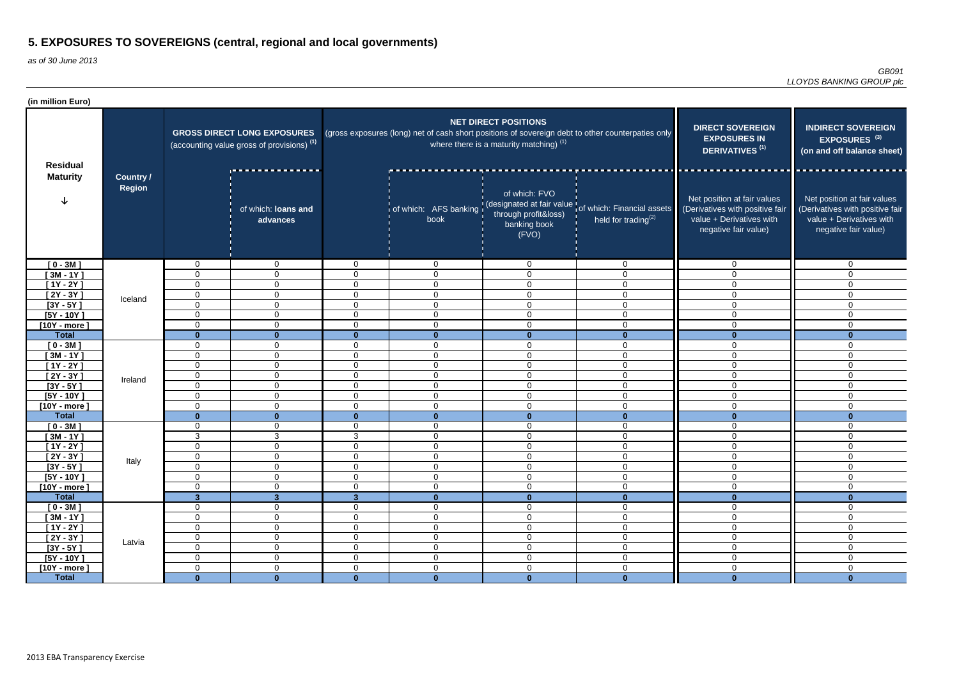| (in million Euro)                  |                                   |                                                                                             |                                  |                                  |                                                                                                   |                                                                          |                                                                                                      |                                                                                                                    |                                                                                                                    |
|------------------------------------|-----------------------------------|---------------------------------------------------------------------------------------------|----------------------------------|----------------------------------|---------------------------------------------------------------------------------------------------|--------------------------------------------------------------------------|------------------------------------------------------------------------------------------------------|--------------------------------------------------------------------------------------------------------------------|--------------------------------------------------------------------------------------------------------------------|
| <b>Residual</b><br><b>Maturity</b> |                                   | <b>GROSS DIRECT LONG EXPOSURES</b><br>(accounting value gross of provisions) <sup>(1)</sup> |                                  |                                  | (gross exposures (long) net of cash short positions of sovereign debt to other counterpaties only | <b>NET DIRECT POSITIONS</b><br>where there is a maturity matching) $(1)$ | <b>DIRECT SOVEREIGN</b><br><b>EXPOSURES IN</b><br><b>DERIVATIVES<sup>(1)</sup></b>                   | <b>INDIRECT SOVEREIGN</b><br>EXPOSURES <sup>(3)</sup><br>(on and off balance sheet)                                |                                                                                                                    |
|                                    | <b>Country /</b><br><b>Region</b> |                                                                                             | of which: loans and<br>advances  |                                  | book                                                                                              | of which: FVO<br>through profit&loss)<br>banking book<br>(FVO)           | of which: AFS banking (designated at fair value of which: Financial assets<br>held for trading $(2)$ | Net position at fair values<br>(Derivatives with positive fair<br>value + Derivatives with<br>negative fair value) | Net position at fair values<br>(Derivatives with positive fair<br>value + Derivatives with<br>negative fair value) |
| $[0 - 3M]$                         |                                   | $\mathbf 0$                                                                                 | $\mathbf 0$                      | $\Omega$                         | $\mathbf 0$                                                                                       | $\mathbf 0$                                                              | $\mathbf 0$                                                                                          | $\Omega$                                                                                                           | $\mathbf 0$                                                                                                        |
| $[3M - 1Y]$                        |                                   | 0                                                                                           | $\overline{0}$                   | $\Omega$                         | $\overline{0}$                                                                                    | $\mathbf 0$                                                              | $\overline{0}$                                                                                       | $\Omega$                                                                                                           | $\Omega$                                                                                                           |
| $[1Y - 2Y]$                        | Iceland                           | 0                                                                                           | $\mathbf 0$                      | $\overline{0}$                   | $\overline{0}$                                                                                    | $\mathbf 0$                                                              | $\overline{0}$                                                                                       | $\Omega$                                                                                                           | $\Omega$                                                                                                           |
| $[2Y - 3Y]$                        |                                   | $\mathbf 0$                                                                                 | $\mathbf 0$                      | $\mathbf 0$                      | $\overline{0}$                                                                                    | $\mathbf 0$                                                              | $\mathbf 0$                                                                                          | $\mathbf 0$                                                                                                        | $\mathbf 0$                                                                                                        |
| $[3Y - 5Y]$                        |                                   | 0                                                                                           | $\mathbf 0$                      | $\mathbf 0$                      | $\overline{0}$                                                                                    | $\mathbf 0$                                                              | $\mathbf 0$                                                                                          | $\mathbf 0$                                                                                                        | 0                                                                                                                  |
| $[5Y - 10Y]$                       |                                   | 0                                                                                           | $\overline{0}$                   | $\overline{0}$                   | $\mathbf 0$                                                                                       | $\mathbf 0$                                                              | $\mathbf 0$                                                                                          | $\mathbf 0$                                                                                                        | $\mathbf 0$                                                                                                        |
| $[10Y - more]$                     |                                   | $\mathbf 0$                                                                                 | $\overline{0}$                   | $\mathbf 0$                      | $\mathbf 0$                                                                                       | $\mathbf 0$                                                              | $\mathbf 0$                                                                                          | $\Omega$                                                                                                           | $\overline{0}$                                                                                                     |
| <b>Total</b>                       |                                   | $\bf{0}$                                                                                    |                                  | $\bf{0}$                         | $\mathbf{0}$                                                                                      | $\mathbf{0}$                                                             | $\mathbf{0}$                                                                                         |                                                                                                                    |                                                                                                                    |
| $[0 - 3M]$                         |                                   | $\mathbf 0$                                                                                 | $\mathbf 0$                      | $\Omega$                         | $\mathbf 0$                                                                                       | $\mathbf 0$                                                              | $\mathbf 0$                                                                                          | $\Omega$                                                                                                           | $\overline{0}$                                                                                                     |
| $[3M - 1Y]$                        |                                   | 0                                                                                           | $\mathbf 0$                      | $\Omega$                         | $\overline{0}$                                                                                    | $\mathbf 0$                                                              | $\overline{0}$                                                                                       | $\Omega$                                                                                                           | $\overline{0}$                                                                                                     |
| $[1Y - 2Y]$                        |                                   | $\mathbf 0$                                                                                 | $\overline{0}$                   | $\Omega$                         | $\overline{0}$                                                                                    | $\mathbf 0$                                                              | $\overline{0}$                                                                                       | $\Omega$                                                                                                           | $\mathbf 0$                                                                                                        |
| $[2Y - 3Y]$                        | Ireland                           | $\mathbf 0$                                                                                 | $\overline{0}$                   | $\mathbf 0$                      | $\overline{0}$                                                                                    | $\mathbf 0$                                                              | $\overline{0}$                                                                                       | $\mathbf 0$                                                                                                        | $\mathbf 0$                                                                                                        |
| $[3Y - 5Y]$                        |                                   | $\mathbf 0$                                                                                 | $\mathbf 0$                      | $\Omega$                         | $\overline{0}$                                                                                    | $\mathbf 0$                                                              | $\overline{0}$                                                                                       | $\mathbf 0$                                                                                                        | $\mathbf 0$                                                                                                        |
| $[5Y - 10Y]$                       |                                   | 0                                                                                           | $\overline{0}$                   | $\mathbf 0$                      | $\overline{0}$                                                                                    | $\mathbf 0$                                                              | $\overline{0}$                                                                                       | $\mathbf 0$                                                                                                        | 0                                                                                                                  |
| $[10Y - more]$                     |                                   | $\Omega$                                                                                    | $\Omega$                         | $\Omega$                         | $\overline{0}$                                                                                    | $\mathbf 0$                                                              | $\Omega$                                                                                             | $\Omega$                                                                                                           | $\Omega$                                                                                                           |
| <b>Total</b>                       |                                   | $\bf{0}$                                                                                    | $\mathbf{0}$                     | $\mathbf{0}$                     | $\mathbf{0}$                                                                                      | $\mathbf{0}$                                                             | $\mathbf{0}$                                                                                         | $\mathbf{0}$                                                                                                       | ∩                                                                                                                  |
| $[0 - 3M]$                         |                                   | 0                                                                                           | $\mathbf 0$                      | $\Omega$                         | $\overline{0}$                                                                                    | $\mathbf 0$                                                              | $\mathbf 0$                                                                                          | $\Omega$                                                                                                           | $\Omega$                                                                                                           |
| $[3M - 1Y]$                        |                                   | 3                                                                                           | 3                                | 3                                | $\mathbf 0$                                                                                       | $\mathbf 0$                                                              | $\mathbf 0$                                                                                          | $\Omega$                                                                                                           | $\Omega$                                                                                                           |
| [1Y - 2Y ]                         |                                   | 0                                                                                           | $\overline{0}$                   | $\Omega$                         | $\mathbf 0$                                                                                       | $\mathbf 0$                                                              | $\mathbf 0$                                                                                          | $\Omega$                                                                                                           | $\Omega$                                                                                                           |
| $[2Y - 3Y]$                        | Italy                             | 0                                                                                           | $\mathbf 0$                      | $\overline{0}$                   | $\mathbf 0$                                                                                       | $\mathbf 0$                                                              | $\mathbf 0$                                                                                          | $\overline{0}$                                                                                                     | 0                                                                                                                  |
| $[3Y - 5Y]$                        |                                   | $\mathbf 0$                                                                                 | $\overline{0}$                   | $\mathbf 0$                      | $\mathbf 0$                                                                                       | $\mathbf 0$                                                              | $\mathbf 0$                                                                                          | $\mathbf 0$                                                                                                        | $\mathbf 0$                                                                                                        |
| $[5Y - 10Y]$                       |                                   | $\overline{0}$                                                                              | $\overline{0}$                   | $\overline{0}$                   | $\mathbf 0$                                                                                       | $\mathbf 0$                                                              | $\mathbf 0$                                                                                          | $\overline{0}$                                                                                                     | $\overline{0}$                                                                                                     |
| [10Y - more]                       |                                   | $\mathbf 0$                                                                                 | $\overline{0}$                   | $\overline{0}$                   | $\mathbf 0$                                                                                       | $\mathbf 0$                                                              | $\mathbf 0$                                                                                          | $\mathbf 0$                                                                                                        | $\overline{0}$                                                                                                     |
| <b>Total</b>                       |                                   | $\mathbf{3}$                                                                                | 3 <sup>1</sup>                   | 3 <sup>2</sup>                   | $\mathbf{0}$                                                                                      | $\mathbf{0}$                                                             | $\mathbf{0}$                                                                                         | $\mathbf{0}$                                                                                                       | $\bf{0}$                                                                                                           |
| $[0 - 3M]$                         |                                   | $\mathbf 0$                                                                                 | $\overline{0}$                   | $\overline{0}$                   | $\overline{0}$                                                                                    | $\mathbf 0$                                                              | $\overline{0}$                                                                                       | $\mathbf 0$                                                                                                        | 0                                                                                                                  |
| $[3M - 1Y]$                        |                                   | $\mathbf 0$                                                                                 | $\overline{0}$                   | $\overline{0}$                   | $\mathbf 0$                                                                                       | $\mathbf 0$                                                              | $\overline{0}$                                                                                       | $\mathbf 0$                                                                                                        | $\mathbf 0$                                                                                                        |
| $[1Y - 2Y]$                        | Latvia                            | $\mathbf 0$<br>$\overline{0}$                                                               | $\overline{0}$<br>$\overline{0}$ | $\overline{0}$<br>$\overline{0}$ | $\overline{0}$<br>$\overline{0}$                                                                  | $\mathbf 0$<br>$\mathbf 0$                                               | $\overline{0}$<br>$\overline{0}$                                                                     | $\mathbf 0$<br>$\overline{0}$                                                                                      | $\overline{0}$                                                                                                     |
| $[2Y - 3Y]$<br>$[3Y - 5Y]$         |                                   | $\overline{0}$                                                                              | $\mathbf 0$                      | $\mathbf 0$                      | $\overline{0}$                                                                                    | $\mathbf 0$                                                              | $\boldsymbol{0}$                                                                                     | $\overline{0}$                                                                                                     | $\overline{0}$<br>$\overline{0}$                                                                                   |
| $[5Y - 10Y]$                       |                                   | $\overline{0}$                                                                              | $\mathbf 0$                      | $\mathbf 0$                      | $\mathbf 0$                                                                                       | $\boldsymbol{0}$                                                         | $\boldsymbol{0}$                                                                                     | $\boldsymbol{0}$                                                                                                   | $\overline{0}$                                                                                                     |
| $[10Y - more]$                     |                                   | 0                                                                                           | $\overline{0}$                   | $\overline{0}$                   | $\mathbf 0$                                                                                       | $\boldsymbol{0}$                                                         | $\mathbf 0$                                                                                          | $\overline{0}$                                                                                                     | $\overline{0}$                                                                                                     |
| <b>Total</b>                       |                                   | $\mathbf{0}$                                                                                | $\mathbf{0}$                     | $\mathbf{0}$                     | $\mathbf{0}$                                                                                      | $\mathbf{0}$                                                             | $\mathbf{0}$                                                                                         | $\mathbf{0}$                                                                                                       | $\mathbf{0}$                                                                                                       |
|                                    |                                   |                                                                                             |                                  |                                  |                                                                                                   |                                                                          |                                                                                                      |                                                                                                                    |                                                                                                                    |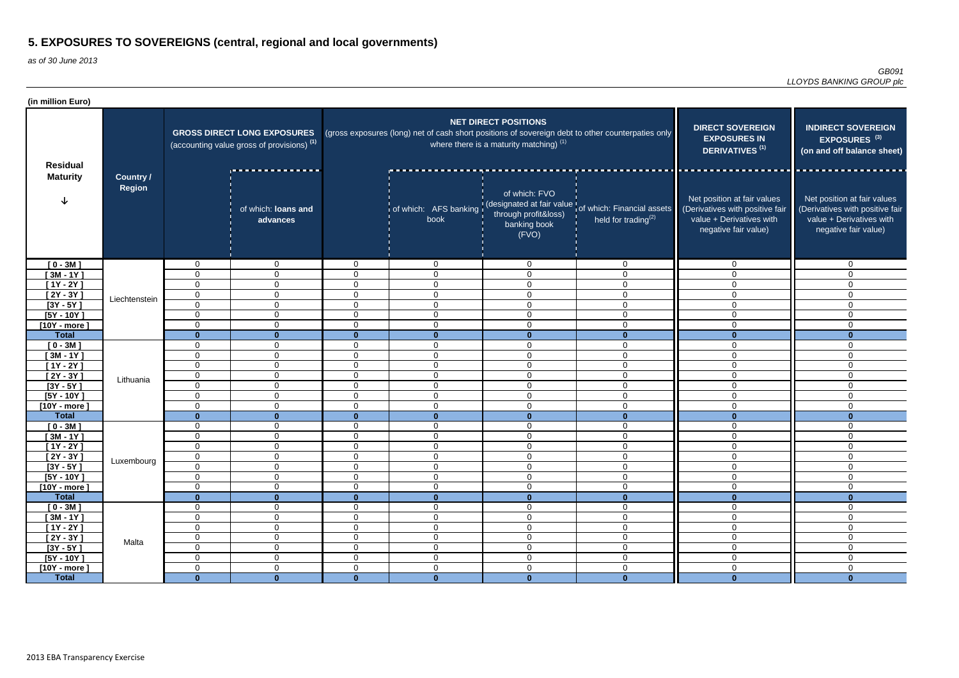| (in million Euro)                  |                                   |                                                                                             |                                  |                            |                                                                                                   |                                                                          |                                                                                                               |                                                                                                                    |                                                                                                                    |
|------------------------------------|-----------------------------------|---------------------------------------------------------------------------------------------|----------------------------------|----------------------------|---------------------------------------------------------------------------------------------------|--------------------------------------------------------------------------|---------------------------------------------------------------------------------------------------------------|--------------------------------------------------------------------------------------------------------------------|--------------------------------------------------------------------------------------------------------------------|
| <b>Residual</b><br><b>Maturity</b> | <b>Country /</b><br><b>Region</b> | <b>GROSS DIRECT LONG EXPOSURES</b><br>(accounting value gross of provisions) <sup>(1)</sup> |                                  |                            | (gross exposures (long) net of cash short positions of sovereign debt to other counterpaties only | <b>NET DIRECT POSITIONS</b><br>where there is a maturity matching) $(1)$ | <b>DIRECT SOVEREIGN</b><br><b>EXPOSURES IN</b><br>DERIVATIVES <sup>(1)</sup>                                  | <b>INDIRECT SOVEREIGN</b><br>EXPOSURES <sup>(3)</sup><br>(on and off balance sheet)                                |                                                                                                                    |
|                                    |                                   |                                                                                             | of which: loans and<br>advances  |                            | book                                                                                              | of which: FVO<br>through profit&loss)<br>banking book<br>(FVO)           | of which: AFS banking (designated at fair value of which: Financial assets<br>held for trading <sup>(2)</sup> | Net position at fair values<br>(Derivatives with positive fair<br>value + Derivatives with<br>negative fair value) | Net position at fair values<br>(Derivatives with positive fair<br>value + Derivatives with<br>negative fair value) |
| $[0 - 3M]$                         |                                   | 0                                                                                           | $\overline{0}$                   | $\Omega$                   | $\overline{0}$                                                                                    | $\mathbf 0$                                                              | $\mathbf 0$                                                                                                   | $\Omega$                                                                                                           | $\overline{0}$                                                                                                     |
| $[3M - 1Y]$                        |                                   | $\Omega$                                                                                    | $\overline{0}$                   | $\Omega$                   | $\overline{0}$                                                                                    | 0                                                                        | $\mathbf 0$                                                                                                   | $\Omega$                                                                                                           | $\mathbf 0$                                                                                                        |
| [ $1Y - 2Y$ ]                      |                                   | $\Omega$                                                                                    | $\mathbf 0$                      | $\Omega$                   | $\overline{0}$                                                                                    | $\mathbf 0$                                                              | $\mathbf 0$                                                                                                   | $\Omega$                                                                                                           | $\mathbf 0$                                                                                                        |
| $[2Y - 3Y]$                        | Liechtenstein                     | $\mathbf 0$                                                                                 | $\overline{0}$                   | $\mathbf 0$                | $\overline{0}$                                                                                    | $\mathbf 0$                                                              | $\mathbf 0$                                                                                                   | $\Omega$                                                                                                           | $\mathbf 0$                                                                                                        |
| $[3Y - 5Y]$                        |                                   | $\Omega$                                                                                    | $\overline{0}$                   | $\mathbf 0$                | $\overline{0}$                                                                                    | $\overline{0}$                                                           | $\mathbf 0$                                                                                                   | $\Omega$                                                                                                           | 0                                                                                                                  |
| $[5Y - 10Y]$                       |                                   | $\Omega$                                                                                    | $\overline{0}$                   | $\mathbf 0$                | $\overline{0}$                                                                                    | $\mathbf 0$                                                              | $\overline{0}$                                                                                                | $\mathbf 0$                                                                                                        | $\mathbf 0$                                                                                                        |
| $[10Y - more]$                     |                                   | $\Omega$                                                                                    | $\overline{0}$                   | $\mathbf 0$                | $\mathbf 0$                                                                                       | $\mathbf 0$                                                              | $\mathbf 0$                                                                                                   | $\Omega$                                                                                                           | $\mathbf 0$                                                                                                        |
| <b>Total</b>                       |                                   | $\Omega$<br>$\Omega$                                                                        | $\mathbf{0}$<br>$\mathbf 0$      | $\mathbf{0}$               | $\mathbf{0}$<br>$\mathbf 0$                                                                       | $\mathbf{0}$<br>$\mathbf 0$                                              | $\mathbf{0}$<br>$\mathbf 0$                                                                                   | $\bf{0}$                                                                                                           | $\Omega$<br>$\Omega$                                                                                               |
| $[0 - 3M]$<br>$[3M - 1Y]$          |                                   | $\Omega$                                                                                    | $\overline{0}$                   | 0<br>$\Omega$              | $\mathbf 0$                                                                                       | 0                                                                        | $\mathbf 0$                                                                                                   | $\Omega$                                                                                                           | $\mathbf 0$                                                                                                        |
| $[1Y - 2Y]$                        |                                   | $\Omega$                                                                                    | $\overline{0}$                   | $\Omega$                   | $\overline{0}$                                                                                    | $\mathbf 0$                                                              | $\overline{0}$                                                                                                | $\Omega$                                                                                                           | $\mathbf 0$                                                                                                        |
| $[2Y - 3Y]$                        |                                   | 0                                                                                           | $\mathbf 0$                      | $\mathbf{0}$               | $\overline{0}$                                                                                    | $\mathbf 0$                                                              | $\overline{0}$                                                                                                | $\Omega$                                                                                                           | $\mathbf 0$                                                                                                        |
| $[3Y - 5Y]$                        | Lithuania                         | $\Omega$                                                                                    | $\overline{0}$                   | $\Omega$                   | $\overline{0}$                                                                                    | $\overline{0}$                                                           | $\overline{0}$                                                                                                | $\Omega$                                                                                                           | 0                                                                                                                  |
| $[5Y - 10Y]$                       |                                   | $\Omega$                                                                                    | $\overline{0}$                   | $\Omega$                   | $\mathbf 0$                                                                                       | $\overline{0}$                                                           | $\mathbf 0$                                                                                                   | $\Omega$                                                                                                           | $\mathbf 0$                                                                                                        |
| $[10Y - more]$                     |                                   | $\Omega$                                                                                    | $\overline{0}$                   | $\Omega$                   | $\overline{0}$                                                                                    | $\mathbf 0$                                                              | $\overline{0}$                                                                                                | $\overline{0}$                                                                                                     | $\mathbf 0$                                                                                                        |
| <b>Total</b>                       |                                   | $\Omega$                                                                                    | $\mathbf{0}$                     | $\mathbf{0}$               | $\mathbf{0}$                                                                                      | $\mathbf{0}$                                                             | $\mathbf{0}$                                                                                                  | $\Omega$                                                                                                           | $\Omega$                                                                                                           |
| $[0 - 3M]$                         |                                   | 0                                                                                           | $\overline{0}$                   | $\mathbf 0$                | $\mathbf 0$                                                                                       | $\mathbf 0$                                                              | $\mathbf 0$                                                                                                   | $\mathbf 0$                                                                                                        | 0                                                                                                                  |
| $[3M - 1Y]$                        |                                   | 0                                                                                           | $\mathbf 0$                      | $\mathbf 0$                | $\mathbf 0$                                                                                       | $\mathbf 0$                                                              | $\mathbf 0$                                                                                                   | $\Omega$                                                                                                           | $\Omega$                                                                                                           |
| $[1Y - 2Y]$                        |                                   | 0                                                                                           | $\mathbf 0$                      | $\Omega$                   | $\mathbf 0$                                                                                       | 0                                                                        | $\mathbf 0$                                                                                                   | $\Omega$                                                                                                           | $\Omega$                                                                                                           |
| $[2Y - 3Y]$                        | Luxembourg                        | $\overline{0}$                                                                              | $\overline{0}$                   | $\mathbf 0$                | $\mathbf 0$                                                                                       | $\mathbf 0$                                                              | $\mathbf 0$                                                                                                   | $\mathbf 0$                                                                                                        | $\overline{0}$                                                                                                     |
| $[3Y - 5Y]$                        |                                   | $\Omega$                                                                                    | $\overline{0}$                   | $\mathbf 0$                | $\mathbf 0$                                                                                       | $\overline{0}$                                                           | $\mathbf 0$                                                                                                   | $\mathbf 0$                                                                                                        | $\overline{0}$                                                                                                     |
| $[5Y - 10Y]$                       |                                   | $\mathbf 0$                                                                                 | $\overline{0}$                   | $\overline{0}$             | $\overline{0}$                                                                                    | $\mathbf 0$                                                              | $\mathbf 0$                                                                                                   | $\mathbf 0$                                                                                                        | $\mathbf 0$                                                                                                        |
| [10Y - more]                       |                                   | $\mathbf 0$                                                                                 | $\mathbf 0$                      | $\overline{0}$             | $\boldsymbol{0}$                                                                                  | $\boldsymbol{0}$                                                         | $\pmb{0}$                                                                                                     | $\mathbf 0$                                                                                                        | $\mathbf 0$                                                                                                        |
| <b>Total</b>                       |                                   | $\mathbf{0}$                                                                                | $\mathbf{0}$                     | $\mathbf{0}$               | $\mathbf{0}$                                                                                      | $\mathbf{0}$                                                             | $\mathbf{0}$                                                                                                  | $\mathbf{0}$                                                                                                       | $\bf{0}$                                                                                                           |
| $[0 - 3M]$                         |                                   | $\mathbf 0$                                                                                 | $\overline{0}$                   | $\overline{0}$             | $\overline{0}$                                                                                    | $\mathbf 0$                                                              | $\overline{0}$                                                                                                | $\overline{0}$                                                                                                     | $\mathbf 0$                                                                                                        |
| $[3M - 1Y]$                        | Malta                             | 0                                                                                           | $\overline{0}$<br>$\overline{0}$ | $\mathbf 0$                | $\mathbf 0$                                                                                       | $\mathbf 0$                                                              | $\mathbf 0$                                                                                                   | $\mathbf 0$                                                                                                        | $\mathbf 0$                                                                                                        |
| $[1Y - 2Y]$<br>$[2Y - 3Y]$         |                                   | 0<br>$\mathbf 0$                                                                            | $\overline{0}$                   | $\mathbf 0$<br>$\mathbf 0$ | $\overline{0}$<br>$\overline{0}$                                                                  | $\mathbf 0$<br>$\mathbf 0$                                               | $\overline{0}$<br>$\mathbf 0$                                                                                 | $\mathbf 0$<br>$\mathbf 0$                                                                                         | 0<br>$\mathbf 0$                                                                                                   |
| $[3Y - 5Y]$                        |                                   | $\mathbf 0$                                                                                 | $\overline{0}$                   | $\overline{0}$             | $\overline{0}$                                                                                    | $\boldsymbol{0}$                                                         | $\overline{0}$                                                                                                | $\mathbf 0$                                                                                                        | $\overline{0}$                                                                                                     |
| $[5Y - 10Y]$                       |                                   | $\mathbf 0$                                                                                 | $\overline{0}$                   | $\overline{0}$             | $\mathbf 0$                                                                                       | $\mathbf 0$                                                              | $\overline{0}$                                                                                                | $\mathbf 0$                                                                                                        | $\mathbf 0$                                                                                                        |
| $[10Y - more]$                     |                                   | $\mathbf 0$                                                                                 | $\overline{0}$                   | $\overline{0}$             | $\mathbf 0$                                                                                       | $\mathbf 0$                                                              | $\mathbf 0$                                                                                                   | $\mathbf 0$                                                                                                        | $\mathbf 0$                                                                                                        |
| <b>Total</b>                       |                                   | $\mathbf{0}$                                                                                | $\mathbf{0}$                     | $\mathbf{0}$               | $\mathbf{0}$                                                                                      | $\mathbf{0}$                                                             | $\mathbf{0}$                                                                                                  | $\mathbf{0}$                                                                                                       | $\mathbf{0}$                                                                                                       |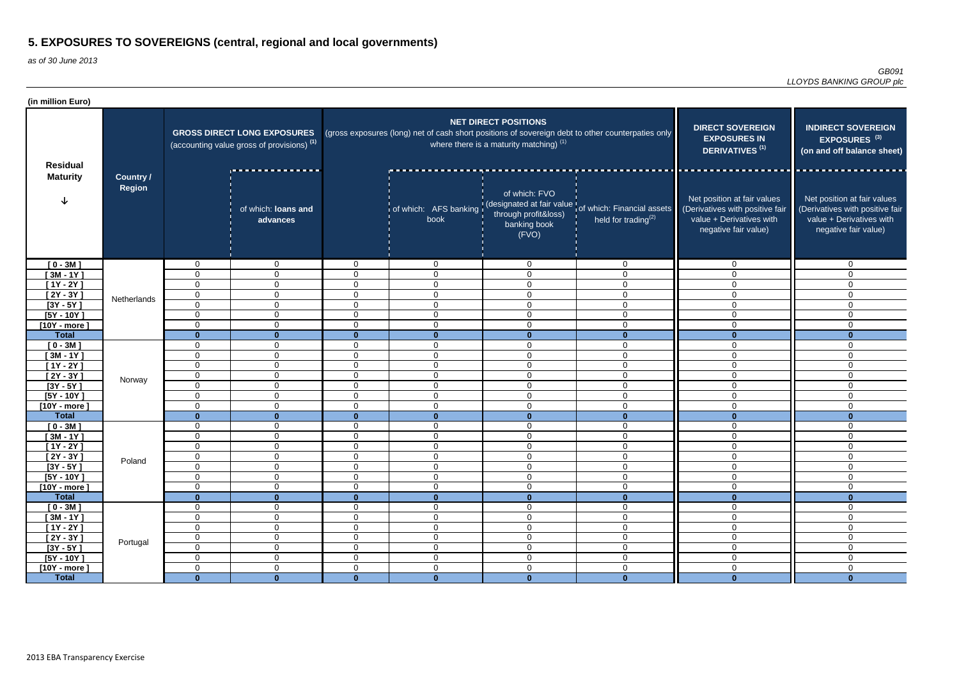| (in million Euro)                  |                                   |                                                                                             |                                  |                      |                                                                                                   |                                                                          |                                                                                                      |                                                                                                                    |                                                                                                                    |
|------------------------------------|-----------------------------------|---------------------------------------------------------------------------------------------|----------------------------------|----------------------|---------------------------------------------------------------------------------------------------|--------------------------------------------------------------------------|------------------------------------------------------------------------------------------------------|--------------------------------------------------------------------------------------------------------------------|--------------------------------------------------------------------------------------------------------------------|
| <b>Residual</b><br><b>Maturity</b> | <b>Country /</b><br><b>Region</b> | <b>GROSS DIRECT LONG EXPOSURES</b><br>(accounting value gross of provisions) <sup>(1)</sup> |                                  |                      | (gross exposures (long) net of cash short positions of sovereign debt to other counterpaties only | <b>NET DIRECT POSITIONS</b><br>where there is a maturity matching) $(1)$ | <b>DIRECT SOVEREIGN</b><br><b>EXPOSURES IN</b><br><b>DERIVATIVES<sup>(1)</sup></b>                   | <b>INDIRECT SOVEREIGN</b><br>EXPOSURES <sup>(3)</sup><br>(on and off balance sheet)                                |                                                                                                                    |
|                                    |                                   |                                                                                             | of which: loans and<br>advances  |                      | book                                                                                              | of which: FVO<br>through profit&loss)<br>banking book<br>(FVO)           | of which: AFS banking (designated at fair value of which: Financial assets<br>held for trading $(2)$ | Net position at fair values<br>(Derivatives with positive fair<br>value + Derivatives with<br>negative fair value) | Net position at fair values<br>(Derivatives with positive fair<br>value + Derivatives with<br>negative fair value) |
| $[0 - 3M]$                         |                                   | $\mathbf 0$                                                                                 | $\mathbf 0$                      | $\Omega$             | $\mathbf 0$                                                                                       | 0                                                                        | $\mathbf 0$                                                                                          | $\Omega$                                                                                                           | $\mathbf 0$                                                                                                        |
| $[3M - 1Y]$                        |                                   | $\mathbf 0$                                                                                 | $\overline{0}$                   | $\Omega$             | $\overline{0}$                                                                                    | $\mathbf 0$                                                              | $\overline{0}$                                                                                       | $\Omega$                                                                                                           | $\mathbf{0}$                                                                                                       |
| $[1Y - 2Y]$                        | Netherlands                       | 0                                                                                           | $\overline{0}$                   | $\overline{0}$       | $\overline{0}$                                                                                    | $\mathbf 0$                                                              | $\overline{0}$                                                                                       | $\Omega$                                                                                                           | $\Omega$                                                                                                           |
| [ 2Y - 3Y ]                        |                                   | $\mathbf 0$                                                                                 | $\mathbf 0$                      | $\mathbf 0$          | $\overline{0}$                                                                                    | $\mathbf 0$                                                              | $\mathbf 0$                                                                                          | $\mathbf 0$                                                                                                        | $\mathbf 0$                                                                                                        |
| $[3Y - 5Y]$                        |                                   | $\mathbf 0$                                                                                 | $\overline{0}$                   | $\mathbf 0$          | $\mathbf 0$                                                                                       | $\mathbf 0$                                                              | $\mathbf 0$                                                                                          | $\mathbf 0$                                                                                                        | 0                                                                                                                  |
| $[5Y - 10Y]$                       |                                   | 0                                                                                           | $\overline{0}$                   | $\mathbf 0$          | $\mathbf 0$                                                                                       | $\mathbf 0$                                                              | $\mathbf 0$                                                                                          | $\mathbf 0$                                                                                                        | $\mathbf 0$                                                                                                        |
| $[10Y - more]$                     |                                   | $\mathbf 0$                                                                                 | $\overline{0}$                   | $\mathbf 0$          | $\overline{0}$                                                                                    | $\mathbf 0$                                                              | $\mathbf 0$                                                                                          | $\Omega$                                                                                                           | $\overline{0}$                                                                                                     |
| <b>Total</b>                       |                                   | $\bf{0}$                                                                                    |                                  | $\bf{0}$             | $\mathbf{0}$                                                                                      | $\mathbf{0}$                                                             | $\mathbf{0}$                                                                                         |                                                                                                                    |                                                                                                                    |
| $[0 - 3M]$                         |                                   | $\mathbf 0$                                                                                 | $\mathbf 0$                      | $\Omega$             | $\mathbf 0$                                                                                       | $\mathbf 0$                                                              | $\mathbf 0$                                                                                          | $\Omega$                                                                                                           | $\overline{0}$                                                                                                     |
| $[3M - 1Y]$                        |                                   | 0                                                                                           | $\mathbf 0$                      | $\Omega$<br>$\Omega$ | $\overline{0}$                                                                                    | $\mathbf 0$                                                              | $\overline{0}$                                                                                       | $\Omega$                                                                                                           | $\overline{0}$                                                                                                     |
| $[1Y - 2Y]$                        |                                   | $\mathbf 0$                                                                                 | $\overline{0}$                   |                      | $\overline{0}$                                                                                    | $\mathbf 0$                                                              | $\overline{0}$                                                                                       | $\Omega$                                                                                                           | $\mathbf 0$                                                                                                        |
| $[2Y - 3Y]$<br>$[3Y - 5Y]$         | Norway                            | $\mathbf 0$<br>$\mathbf 0$                                                                  | $\overline{0}$<br>$\overline{0}$ | $\Omega$<br>$\Omega$ | $\overline{0}$<br>$\overline{0}$                                                                  | $\mathbf 0$<br>$\mathbf 0$                                               | $\overline{0}$<br>$\overline{0}$                                                                     | $\mathbf 0$                                                                                                        | $\mathbf 0$                                                                                                        |
| $[5Y - 10Y]$                       |                                   | 0                                                                                           | $\overline{0}$                   | $\mathbf 0$          | $\overline{0}$                                                                                    | $\mathbf 0$                                                              | $\overline{0}$                                                                                       | $\mathbf 0$<br>$\mathbf 0$                                                                                         | $\mathbf 0$<br>0                                                                                                   |
| $[10Y - more]$                     |                                   | $\Omega$                                                                                    | $\Omega$                         | $\Omega$             | $\overline{0}$                                                                                    | $\mathbf 0$                                                              | $\Omega$                                                                                             | $\Omega$                                                                                                           | $\Omega$                                                                                                           |
| <b>Total</b>                       |                                   | $\bf{0}$                                                                                    | $\mathbf{0}$                     | $\mathbf{0}$         | $\mathbf{0}$                                                                                      | $\mathbf{0}$                                                             | $\mathbf{0}$                                                                                         | $\mathbf{0}$                                                                                                       | ∩                                                                                                                  |
| $[0 - 3M]$                         |                                   | 0                                                                                           | $\mathbf 0$                      | $\Omega$             | $\overline{0}$                                                                                    | $\mathbf 0$                                                              | $\mathbf 0$                                                                                          | $\Omega$                                                                                                           | $\Omega$                                                                                                           |
| $[3M - 1Y]$                        |                                   | $\mathbf 0$                                                                                 | $\mathbf 0$                      | $\mathbf{0}$         | $\mathbf 0$                                                                                       | $\mathbf 0$                                                              | $\mathbf 0$                                                                                          | $\Omega$                                                                                                           | $\Omega$                                                                                                           |
| [1Y - 2Y ]                         |                                   | 0                                                                                           | $\overline{0}$                   | $\Omega$             | $\mathbf 0$                                                                                       | $\mathbf 0$                                                              | $\mathbf 0$                                                                                          | $\Omega$                                                                                                           | $\Omega$                                                                                                           |
| $[2Y - 3Y]$                        |                                   | 0                                                                                           | $\overline{0}$                   | $\overline{0}$       | $\mathbf 0$                                                                                       | $\boldsymbol{0}$                                                         | $\mathbf 0$                                                                                          | $\mathbf 0$                                                                                                        | 0                                                                                                                  |
| $[3Y - 5Y]$                        | Poland                            | 0                                                                                           | $\overline{0}$                   | $\mathbf 0$          | $\mathbf 0$                                                                                       | $\mathbf 0$                                                              | $\mathbf 0$                                                                                          | $\mathbf 0$                                                                                                        | $\mathbf 0$                                                                                                        |
| $[5Y - 10Y]$                       |                                   | $\mathbf 0$                                                                                 | $\overline{0}$                   | $\overline{0}$       | $\mathbf 0$                                                                                       | $\mathbf 0$                                                              | $\mathbf 0$                                                                                          | $\overline{0}$                                                                                                     | $\overline{0}$                                                                                                     |
| $[10Y - more]$                     |                                   | $\mathbf 0$                                                                                 | $\overline{0}$                   | $\overline{0}$       | $\mathbf 0$                                                                                       | $\mathbf 0$                                                              | $\mathbf 0$                                                                                          | $\mathbf 0$                                                                                                        | $\mathbf 0$                                                                                                        |
| <b>Total</b>                       |                                   | $\mathbf{0}$                                                                                | $\mathbf{0}$                     | $\mathbf{0}$         | $\mathbf{0}$                                                                                      | $\mathbf{0}$                                                             | $\mathbf{0}$                                                                                         | $\mathbf{0}$                                                                                                       | $\bf{0}$                                                                                                           |
| $[0 - 3M]$                         |                                   | $\mathbf 0$                                                                                 | $\mathbf 0$                      | $\overline{0}$       | $\overline{0}$                                                                                    | $\mathbf 0$                                                              | $\overline{0}$                                                                                       | $\mathbf 0$                                                                                                        | 0                                                                                                                  |
| $[3M - 1Y]$                        |                                   | $\mathbf 0$                                                                                 | $\overline{0}$                   | $\overline{0}$       | $\overline{0}$                                                                                    | $\mathbf 0$                                                              | $\overline{0}$                                                                                       | $\mathbf 0$                                                                                                        | $\mathbf 0$                                                                                                        |
| $[1Y - 2Y]$                        | Portugal                          | $\mathbf 0$                                                                                 | $\overline{0}$                   | $\overline{0}$       | $\overline{0}$                                                                                    | $\mathbf 0$                                                              | $\overline{0}$                                                                                       | $\mathbf 0$                                                                                                        | $\overline{0}$                                                                                                     |
| $[2Y - 3Y]$                        |                                   | $\overline{0}$                                                                              | $\overline{0}$                   | $\overline{0}$       | $\overline{0}$                                                                                    | $\mathbf 0$                                                              | $\overline{0}$                                                                                       | $\overline{0}$                                                                                                     | $\overline{0}$                                                                                                     |
| $[3Y - 5Y]$                        |                                   | $\overline{0}$                                                                              | $\mathbf 0$                      | $\mathbf 0$          | $\overline{0}$                                                                                    | $\mathbf 0$                                                              | $\boldsymbol{0}$                                                                                     | $\mathbf 0$                                                                                                        | $\overline{0}$                                                                                                     |
| $[5Y - 10Y]$                       |                                   | $\overline{0}$                                                                              | $\mathbf 0$                      | $\mathbf 0$          | $\mathbf 0$                                                                                       | $\mathsf 0$                                                              | $\mathbf 0$                                                                                          | $\mathbf 0$                                                                                                        | $\overline{0}$                                                                                                     |
| $[10Y - more]$                     |                                   | 0                                                                                           | $\overline{0}$                   | $\overline{0}$       | $\boldsymbol{0}$                                                                                  | $\mathsf 0$                                                              | $\mathbf 0$                                                                                          | $\mathbf 0$                                                                                                        | $\overline{0}$                                                                                                     |
| <b>Total</b>                       |                                   | $\mathbf{0}$                                                                                | $\mathbf{0}$                     | $\mathbf{0}$         | $\mathbf{0}$                                                                                      | $\mathbf{0}$                                                             | $\mathbf{0}$                                                                                         | $\mathbf{0}$                                                                                                       | $\mathbf{0}$                                                                                                       |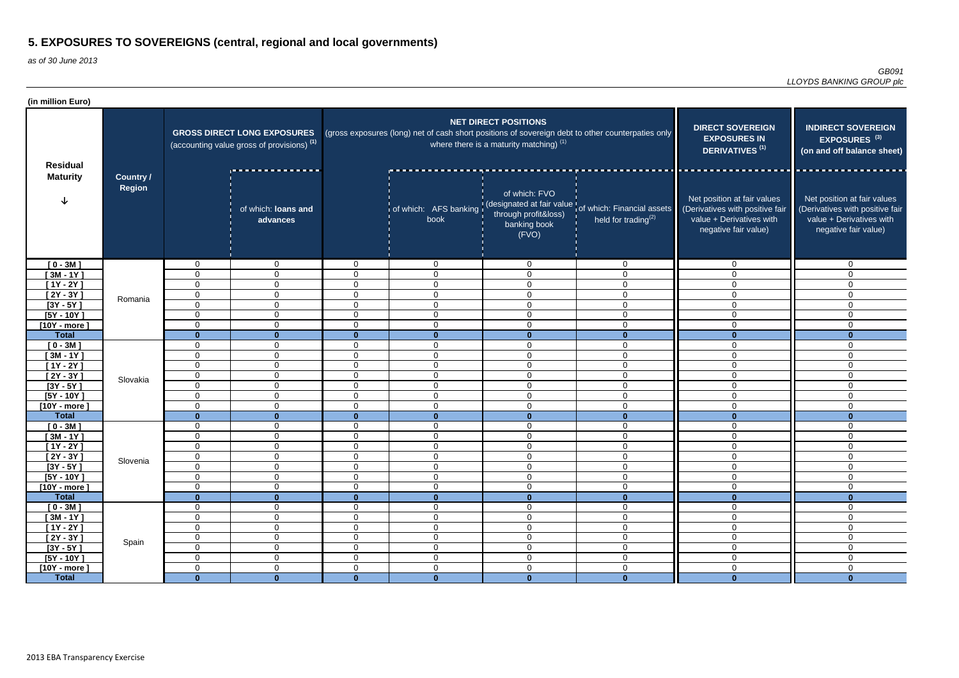| (in million Euro)                  |                                   |                                                                                             |                                 |                          |                                                                                                   |                                                                          |                                                                                                      |                                                                                                                    |                                                                                                                    |
|------------------------------------|-----------------------------------|---------------------------------------------------------------------------------------------|---------------------------------|--------------------------|---------------------------------------------------------------------------------------------------|--------------------------------------------------------------------------|------------------------------------------------------------------------------------------------------|--------------------------------------------------------------------------------------------------------------------|--------------------------------------------------------------------------------------------------------------------|
| <b>Residual</b><br><b>Maturity</b> |                                   | <b>GROSS DIRECT LONG EXPOSURES</b><br>(accounting value gross of provisions) <sup>(1)</sup> |                                 |                          | (gross exposures (long) net of cash short positions of sovereign debt to other counterpaties only | <b>NET DIRECT POSITIONS</b><br>where there is a maturity matching) $(1)$ | <b>DIRECT SOVEREIGN</b><br><b>EXPOSURES IN</b><br><b>DERIVATIVES<sup>(1)</sup></b>                   | <b>INDIRECT SOVEREIGN</b><br>EXPOSURES <sup>(3)</sup><br>(on and off balance sheet)                                |                                                                                                                    |
|                                    | <b>Country /</b><br><b>Region</b> |                                                                                             | of which: loans and<br>advances |                          | book                                                                                              | of which: FVO<br>through profit&loss)<br>banking book<br>(FVO)           | of which: AFS banking (designated at fair value of which: Financial assets<br>held for trading $(2)$ | Net position at fair values<br>(Derivatives with positive fair<br>value + Derivatives with<br>negative fair value) | Net position at fair values<br>(Derivatives with positive fair<br>value + Derivatives with<br>negative fair value) |
| $[0 - 3M]$                         |                                   | $\mathbf 0$                                                                                 | $\mathbf 0$                     | $\Omega$                 | $\mathbf 0$                                                                                       | $\mathbf 0$                                                              | $\mathbf 0$                                                                                          | $\Omega$                                                                                                           | $\mathbf 0$                                                                                                        |
| $[3M - 1Y]$                        |                                   | 0                                                                                           | $\overline{0}$                  | $\Omega$                 | $\overline{0}$                                                                                    | $\mathbf 0$                                                              | $\overline{0}$                                                                                       | $\Omega$                                                                                                           | $\Omega$                                                                                                           |
| $[1Y - 2Y]$                        | Romania                           | 0                                                                                           | $\overline{0}$                  | $\overline{0}$           | $\overline{0}$                                                                                    | $\mathbf 0$                                                              | $\overline{0}$                                                                                       | $\Omega$                                                                                                           | $\Omega$                                                                                                           |
| $[2Y - 3Y]$                        |                                   | $\mathbf 0$                                                                                 | $\mathbf 0$                     | $\mathbf 0$              | $\overline{0}$                                                                                    | $\mathbf 0$                                                              | $\mathbf 0$                                                                                          | $\mathbf 0$                                                                                                        | $\mathbf 0$                                                                                                        |
| $[3Y - 5Y]$                        |                                   | 0                                                                                           | $\overline{0}$                  | $\mathbf 0$              | $\overline{0}$                                                                                    | $\mathbf 0$                                                              | $\mathbf 0$                                                                                          | $\mathbf 0$                                                                                                        | 0                                                                                                                  |
| $[5Y - 10Y]$                       |                                   | 0                                                                                           | $\overline{0}$                  | $\mathbf 0$              | $\mathbf 0$                                                                                       | $\mathbf 0$                                                              | $\mathbf 0$                                                                                          | $\mathbf 0$                                                                                                        | $\mathbf 0$                                                                                                        |
| [10Y - more]                       |                                   | $\mathbf 0$                                                                                 | $\overline{0}$                  | $\mathbf 0$              | $\overline{0}$                                                                                    | $\mathbf 0$                                                              | $\mathbf 0$                                                                                          | $\Omega$                                                                                                           | $\overline{0}$                                                                                                     |
| <b>Total</b>                       |                                   | $\bf{0}$                                                                                    |                                 | $\bf{0}$                 | $\mathbf{0}$                                                                                      | $\mathbf{0}$                                                             | $\mathbf{0}$                                                                                         |                                                                                                                    |                                                                                                                    |
| $[0 - 3M]$                         |                                   | $\mathbf 0$                                                                                 | $\mathbf 0$                     | $\Omega$                 | $\mathbf 0$                                                                                       | $\mathbf 0$                                                              | $\mathbf 0$                                                                                          | $\Omega$                                                                                                           | $\overline{0}$                                                                                                     |
| $[3M - 1Y]$                        |                                   | 0                                                                                           | $\mathbf 0$                     | $\Omega$                 | $\overline{0}$                                                                                    | $\mathbf 0$                                                              | $\overline{0}$                                                                                       | $\Omega$                                                                                                           | $\overline{0}$                                                                                                     |
| $[1Y - 2Y]$                        |                                   | $\mathbf 0$                                                                                 | $\overline{0}$                  | $\Omega$                 | $\overline{0}$                                                                                    | $\mathbf 0$                                                              | $\overline{0}$                                                                                       | $\Omega$                                                                                                           | $\mathbf 0$                                                                                                        |
| $[2Y - 3Y]$                        | Slovakia                          | $\mathbf 0$                                                                                 | $\overline{0}$                  | $\Omega$                 | $\overline{0}$                                                                                    | $\mathbf 0$                                                              | $\overline{0}$                                                                                       | $\mathbf 0$                                                                                                        | $\mathbf 0$                                                                                                        |
| $[3Y - 5Y]$                        |                                   | $\mathbf 0$                                                                                 | $\overline{0}$                  | $\Omega$                 | $\overline{0}$                                                                                    | $\mathbf 0$                                                              | $\overline{0}$                                                                                       | $\mathbf 0$                                                                                                        | $\mathbf 0$                                                                                                        |
| $[5Y - 10Y]$                       |                                   | 0                                                                                           | $\overline{0}$                  | $\mathbf 0$              | $\overline{0}$                                                                                    | $\mathbf 0$                                                              | $\overline{0}$                                                                                       | $\mathbf 0$                                                                                                        | 0                                                                                                                  |
| $[10Y - more]$<br><b>Total</b>     |                                   | $\Omega$                                                                                    | $\Omega$                        | $\Omega$                 | $\overline{0}$                                                                                    | $\mathbf 0$                                                              | $\Omega$                                                                                             | $\Omega$                                                                                                           | $\Omega$<br>∩                                                                                                      |
|                                    |                                   | $\bf{0}$                                                                                    | $\mathbf{0}$<br>$\mathbf 0$     | $\mathbf{0}$<br>$\Omega$ | $\mathbf{0}$                                                                                      | $\mathbf{0}$<br>$\mathbf 0$                                              | $\mathbf{0}$                                                                                         | $\mathbf{0}$<br>$\Omega$                                                                                           | $\Omega$                                                                                                           |
| $[0 - 3M]$<br>$[3M - 1Y]$          |                                   | 0<br>$\mathbf 0$                                                                            | $\mathbf 0$                     | $\Omega$                 | $\mathbf 0$<br>$\mathbf 0$                                                                        | 0                                                                        | $\mathbf 0$<br>$\mathbf 0$                                                                           | $\Omega$                                                                                                           | $\Omega$                                                                                                           |
| [1Y - 2Y ]                         |                                   | 0                                                                                           | $\overline{0}$                  | $\Omega$                 | $\mathbf 0$                                                                                       | 0                                                                        | $\mathbf 0$                                                                                          | $\Omega$                                                                                                           | $\Omega$                                                                                                           |
| $[2Y - 3Y]$                        |                                   | $\mathbf 0$                                                                                 | $\overline{0}$                  | $\overline{0}$           | $\mathbf 0$                                                                                       | $\overline{0}$                                                           | $\mathbf 0$                                                                                          | $\mathbf 0$                                                                                                        | 0                                                                                                                  |
| $[3Y - 5Y]$                        | Slovenia                          | 0                                                                                           | $\overline{0}$                  | $\mathbf 0$              | $\mathbf 0$                                                                                       | $\mathbf 0$                                                              | $\mathbf 0$                                                                                          | $\mathbf 0$                                                                                                        | $\mathbf 0$                                                                                                        |
| $[5Y - 10Y]$                       |                                   | $\mathbf 0$                                                                                 | $\overline{0}$                  | $\overline{0}$           | $\mathbf 0$                                                                                       | $\mathbf 0$                                                              | $\mathbf 0$                                                                                          | $\overline{0}$                                                                                                     | $\overline{0}$                                                                                                     |
| [10Y - more]                       |                                   | $\mathbf 0$                                                                                 | $\overline{0}$                  | $\overline{0}$           | $\mathbf 0$                                                                                       | $\mathbf 0$                                                              | $\mathbf 0$                                                                                          | $\mathbf 0$                                                                                                        | $\mathbf 0$                                                                                                        |
| <b>Total</b>                       |                                   | $\mathbf{0}$                                                                                | $\mathbf{0}$                    | $\mathbf{0}$             | $\mathbf{0}$                                                                                      | $\mathbf{0}$                                                             | $\mathbf{0}$                                                                                         | $\mathbf{0}$                                                                                                       | $\bf{0}$                                                                                                           |
| $[0 - 3M]$                         |                                   | $\mathbf 0$                                                                                 | $\overline{0}$                  | $\mathbf 0$              | $\overline{0}$                                                                                    | $\mathbf 0$                                                              | $\mathbf 0$                                                                                          | $\mathbf 0$                                                                                                        | 0                                                                                                                  |
| $[3M - 1Y]$                        |                                   | $\mathbf 0$                                                                                 | $\overline{0}$                  | $\mathbf 0$              | $\mathbf 0$                                                                                       | $\mathbf 0$                                                              | $\overline{0}$                                                                                       | $\mathbf 0$                                                                                                        | $\mathbf 0$                                                                                                        |
| $[1Y - 2Y]$                        | Spain                             | $\mathbf 0$                                                                                 | $\overline{0}$                  | $\overline{0}$           | $\overline{0}$                                                                                    | $\mathbf 0$                                                              | $\overline{0}$                                                                                       | $\mathbf 0$                                                                                                        | $\overline{0}$                                                                                                     |
| $[2Y - 3Y]$                        |                                   | $\overline{0}$                                                                              | $\overline{0}$                  | $\overline{0}$           | $\overline{0}$                                                                                    | $\mathbf 0$                                                              | $\overline{0}$                                                                                       | $\overline{0}$                                                                                                     | $\overline{0}$                                                                                                     |
| $[3Y - 5Y]$                        |                                   | $\overline{0}$                                                                              | $\mathbf 0$                     | $\mathbf 0$              | $\overline{0}$                                                                                    | $\mathbf 0$                                                              | $\boldsymbol{0}$                                                                                     | $\mathbf 0$                                                                                                        | $\overline{0}$                                                                                                     |
| $[5Y - 10Y]$                       |                                   | $\overline{0}$                                                                              | $\mathbf 0$                     | $\mathbf 0$              | $\mathbf 0$                                                                                       | $\boldsymbol{0}$                                                         | $\boldsymbol{0}$                                                                                     | $\mathbf 0$                                                                                                        | $\overline{0}$                                                                                                     |
| $[10Y - more]$                     |                                   | 0                                                                                           | $\overline{0}$                  | $\overline{0}$           | $\mathbf 0$                                                                                       | $\boldsymbol{0}$                                                         | $\mathbf 0$                                                                                          | $\overline{0}$                                                                                                     | $\overline{0}$                                                                                                     |
| <b>Total</b>                       |                                   | $\mathbf{0}$                                                                                | $\mathbf{0}$                    | $\mathbf{0}$             | $\mathbf{0}$                                                                                      | $\mathbf{0}$                                                             | $\mathbf{0}$                                                                                         | $\mathbf{0}$                                                                                                       | $\mathbf{0}$                                                                                                       |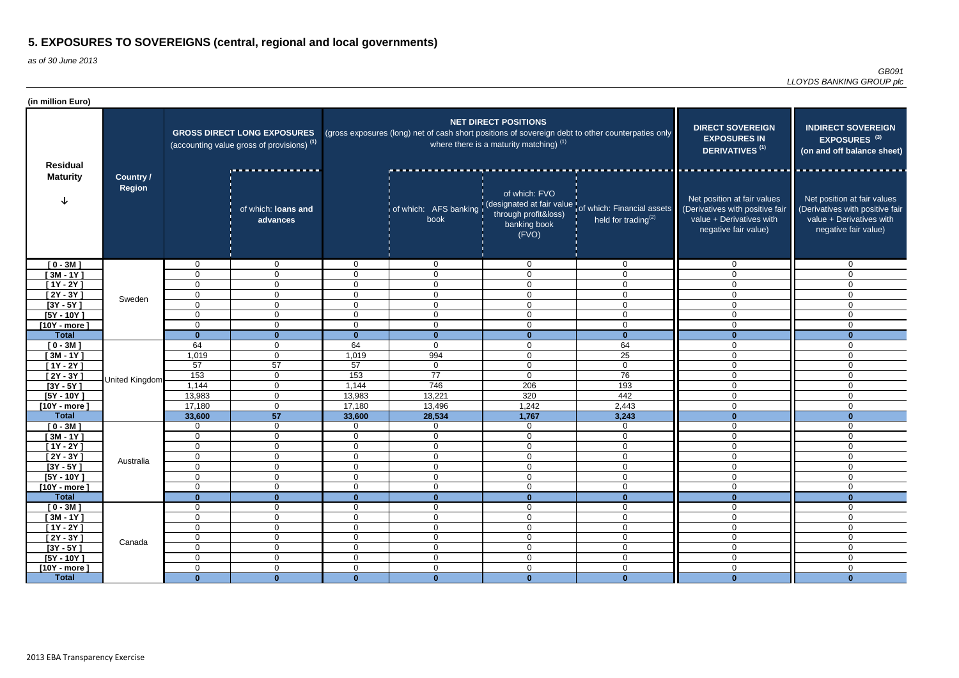| (in million Euro)                  |                                   |                                                                                             |                                                     |                |                                                                                                   |                                                                          |                                                                                                               |                                                                                                                    |                                                                                                                    |
|------------------------------------|-----------------------------------|---------------------------------------------------------------------------------------------|-----------------------------------------------------|----------------|---------------------------------------------------------------------------------------------------|--------------------------------------------------------------------------|---------------------------------------------------------------------------------------------------------------|--------------------------------------------------------------------------------------------------------------------|--------------------------------------------------------------------------------------------------------------------|
| <b>Residual</b><br><b>Maturity</b> |                                   | <b>GROSS DIRECT LONG EXPOSURES</b><br>(accounting value gross of provisions) <sup>(1)</sup> |                                                     |                | (gross exposures (long) net of cash short positions of sovereign debt to other counterpaties only | <b>NET DIRECT POSITIONS</b><br>where there is a maturity matching) $(1)$ | <b>DIRECT SOVEREIGN</b><br><b>EXPOSURES IN</b><br>DERIVATIVES <sup>(1)</sup>                                  | <b>INDIRECT SOVEREIGN</b><br>EXPOSURES <sup>(3)</sup><br>(on and off balance sheet)                                |                                                                                                                    |
|                                    | <b>Country /</b><br><b>Region</b> |                                                                                             | ________________<br>of which: loans and<br>advances |                | book                                                                                              | of which: FVO<br>through profit&loss)<br>banking book<br>(FVO)           | of which: AFS banking (designated at fair value of which: Financial assets<br>held for trading <sup>(2)</sup> | Net position at fair values<br>(Derivatives with positive fair<br>value + Derivatives with<br>negative fair value) | Net position at fair values<br>(Derivatives with positive fair<br>value + Derivatives with<br>negative fair value) |
| $[0 - 3M]$                         |                                   | 0                                                                                           | $\overline{0}$                                      | $\Omega$       | $\overline{0}$                                                                                    | $\mathbf 0$                                                              | $\mathbf 0$                                                                                                   | $\Omega$                                                                                                           | $\overline{0}$                                                                                                     |
| $[3M - 1Y]$                        |                                   | $\Omega$                                                                                    | $\overline{0}$                                      | $\Omega$       | $\mathbf 0$                                                                                       | 0                                                                        | $\mathbf 0$                                                                                                   | $\Omega$                                                                                                           | $\mathbf 0$                                                                                                        |
| $[1Y - 2Y]$                        |                                   | $\Omega$                                                                                    | $\mathbf 0$                                         | $\Omega$       | $\mathbf 0$                                                                                       | $\mathbf 0$                                                              | $\mathbf 0$                                                                                                   | $\Omega$                                                                                                           | $\mathbf 0$                                                                                                        |
| $[2Y - 3Y]$                        | Sweden                            | 0                                                                                           | $\overline{0}$                                      | $\mathbf 0$    | $\mathbf 0$                                                                                       | $\mathbf 0$                                                              | $\mathbf 0$                                                                                                   | $\Omega$                                                                                                           | $\mathbf 0$                                                                                                        |
| $[3Y - 5Y]$                        |                                   | $\Omega$                                                                                    | $\overline{0}$                                      | $\mathbf 0$    | $\overline{0}$                                                                                    | $\overline{0}$                                                           | $\mathbf 0$                                                                                                   | $\Omega$                                                                                                           | 0                                                                                                                  |
| $[5Y - 10Y]$                       |                                   | $\Omega$                                                                                    | $\overline{0}$                                      | $\mathbf 0$    | $\overline{0}$                                                                                    | $\mathbf 0$                                                              | $\mathbf 0$                                                                                                   | $\mathbf 0$                                                                                                        | $\mathbf 0$                                                                                                        |
| $[10Y - more]$                     |                                   | $\Omega$                                                                                    | $\overline{0}$                                      | $\mathbf 0$    | $\mathbf 0$                                                                                       | $\mathbf 0$                                                              | $\mathbf 0$                                                                                                   | $\mathbf 0$                                                                                                        | $\mathbf 0$                                                                                                        |
| <b>Total</b>                       |                                   | $\Omega$                                                                                    | $\mathbf{0}$<br>$\mathbf 0$                         | $\mathbf{0}$   | $\mathbf{0}$                                                                                      | $\mathbf{0}$                                                             | $\mathbf{0}$                                                                                                  | $\bf{0}$<br>$\Omega$                                                                                               | $\Omega$                                                                                                           |
| $[0 - 3M]$                         |                                   | 64<br>1,019                                                                                 | $\overline{0}$                                      | 64<br>1,019    | $\mathbf 0$<br>994                                                                                | $\mathbf 0$                                                              | 64<br>25                                                                                                      | $\Omega$                                                                                                           | $\Omega$                                                                                                           |
| $[3M - 1Y]$<br>$[1Y - 2Y]$         |                                   | 57                                                                                          | 57                                                  | 57             |                                                                                                   | 0<br>$\overline{0}$                                                      | $\overline{0}$                                                                                                | $\Omega$                                                                                                           | $\overline{0}$                                                                                                     |
| $[2Y - 3Y]$                        |                                   | 153                                                                                         | $\overline{0}$                                      | 153            | $\overline{0}$<br>77                                                                              | $\mathbf 0$                                                              | 76                                                                                                            | $\Omega$                                                                                                           | $\mathbf 0$<br>$\overline{0}$                                                                                      |
| $[3Y - 5Y]$                        | United Kingdom                    | 1,144                                                                                       | $\overline{0}$                                      | 1,144          | 746                                                                                               | 206                                                                      | 193                                                                                                           | $\Omega$                                                                                                           | $\mathbf 0$                                                                                                        |
| $[5Y - 10Y]$                       |                                   | 13,983                                                                                      | $\overline{0}$                                      | 13,983         | 13,221                                                                                            | 320                                                                      | 442                                                                                                           | $\mathbf 0$                                                                                                        | $\mathbf 0$                                                                                                        |
| $[10Y - more]$                     |                                   | 17,180                                                                                      | $\overline{0}$                                      | 17,180         | 13,496                                                                                            | 1,242                                                                    | 2,443                                                                                                         | $\overline{0}$                                                                                                     | $\mathbf 0$                                                                                                        |
| <b>Total</b>                       |                                   | 33,600                                                                                      | 57                                                  | 33,600         | 28,534                                                                                            | 1,767                                                                    | 3,243                                                                                                         | $\bf{0}$                                                                                                           | $\Omega$                                                                                                           |
| $[0 - 3M]$                         |                                   | 0                                                                                           | $\overline{0}$                                      | $\Omega$       | $\mathbf 0$                                                                                       | $\mathbf 0$                                                              | $\mathbf 0$                                                                                                   | $\mathbf 0$                                                                                                        | 0                                                                                                                  |
| $[3M - 1Y]$                        |                                   | 0                                                                                           | $\mathbf 0$                                         | $\mathbf 0$    | $\mathbf 0$                                                                                       | $\mathbf 0$                                                              | $\mathbf 0$                                                                                                   | $\Omega$                                                                                                           | $\Omega$                                                                                                           |
| $[1Y - 2Y]$                        |                                   | 0                                                                                           | $\mathbf 0$                                         | $\Omega$       | $\mathbf 0$                                                                                       | 0                                                                        | $\mathbf 0$                                                                                                   | $\Omega$                                                                                                           | $\Omega$                                                                                                           |
| $[2Y - 3Y]$                        |                                   | 0                                                                                           | $\overline{0}$                                      | $\mathbf 0$    | $\mathbf 0$                                                                                       | $\mathbf 0$                                                              | $\mathbf 0$                                                                                                   | $\mathbf 0$                                                                                                        | $\overline{0}$                                                                                                     |
| $[3Y - 5Y]$                        | Australia                         | $\Omega$                                                                                    | $\mathbf 0$                                         | $\mathbf 0$    | $\mathbf 0$                                                                                       | $\overline{0}$                                                           | $\mathbf 0$                                                                                                   | $\mathbf 0$                                                                                                        | $\overline{0}$                                                                                                     |
| $[5Y - 10Y]$                       |                                   | $\mathbf 0$                                                                                 | $\overline{0}$                                      | $\mathbf 0$    | $\mathbf 0$                                                                                       | $\overline{0}$                                                           | $\mathbf 0$                                                                                                   | $\mathbf 0$                                                                                                        | $\mathbf 0$                                                                                                        |
| [10Y - more ]                      |                                   | 0                                                                                           | $\overline{0}$                                      | $\mathbf 0$    | $\mathbf 0$                                                                                       | $\mathbf 0$                                                              | $\mathbf 0$                                                                                                   | $\mathbf 0$                                                                                                        | $\mathbf 0$                                                                                                        |
| <b>Total</b>                       |                                   | $\bf{0}$                                                                                    | $\mathbf{0}$                                        | $\mathbf{0}$   | $\mathbf{0}$                                                                                      | $\mathbf{0}$                                                             | $\mathbf{0}$                                                                                                  | $\mathbf{0}$                                                                                                       | $\bf{0}$                                                                                                           |
| $[0 - 3M]$                         |                                   | $\mathbf 0$                                                                                 | $\overline{0}$                                      | $\overline{0}$ | $\overline{0}$                                                                                    | $\mathbf 0$                                                              | $\overline{0}$                                                                                                | $\mathbf 0$                                                                                                        | $\overline{0}$                                                                                                     |
| $[3M - 1Y]$                        |                                   | 0                                                                                           | $\overline{0}$                                      | $\mathbf 0$    | $\mathbf 0$                                                                                       | $\mathbf 0$                                                              | $\mathbf 0$                                                                                                   | $\mathbf 0$                                                                                                        | $\overline{0}$                                                                                                     |
| $[1Y - 2Y]$                        | Canada                            | 0                                                                                           | $\overline{0}$                                      | $\mathbf 0$    | $\overline{0}$                                                                                    | $\mathbf 0$                                                              | $\mathbf 0$                                                                                                   | $\mathbf 0$                                                                                                        | 0                                                                                                                  |
| $[2Y - 3Y]$                        |                                   | $\mathbf 0$                                                                                 | $\mathbf 0$                                         | $\mathbf 0$    | $\boldsymbol{0}$                                                                                  | $\boldsymbol{0}$                                                         | $\mathbf 0$                                                                                                   | $\overline{0}$                                                                                                     | $\mathbf 0$                                                                                                        |
| $[3Y - 5Y]$                        |                                   | $\mathbf 0$                                                                                 | $\overline{0}$                                      | $\overline{0}$ | $\overline{0}$                                                                                    | $\overline{0}$                                                           | $\overline{0}$                                                                                                | $\mathbf 0$                                                                                                        | $\overline{0}$                                                                                                     |
| $[5Y - 10Y]$                       |                                   | $\mathbf 0$                                                                                 | $\overline{0}$                                      | $\overline{0}$ | $\overline{0}$                                                                                    | $\mathbf 0$                                                              | $\overline{0}$                                                                                                | $\mathbf 0$                                                                                                        | $\mathbf 0$                                                                                                        |
| $[10Y - more]$                     |                                   | $\mathbf 0$                                                                                 | $\mathbf 0$                                         | $\mathbf 0$    | $\mathbf 0$                                                                                       | $\mathbf 0$                                                              | $\mathbf 0$                                                                                                   | $\mathbf 0$                                                                                                        | $\mathbf 0$                                                                                                        |
| <b>Total</b>                       |                                   | $\mathbf{0}$                                                                                | $\mathbf{0}$                                        | $\mathbf{0}$   | $\mathbf{0}$                                                                                      | $\mathbf{0}$                                                             | $\mathbf{0}$                                                                                                  | $\mathbf{0}$                                                                                                       | $\mathbf{0}$                                                                                                       |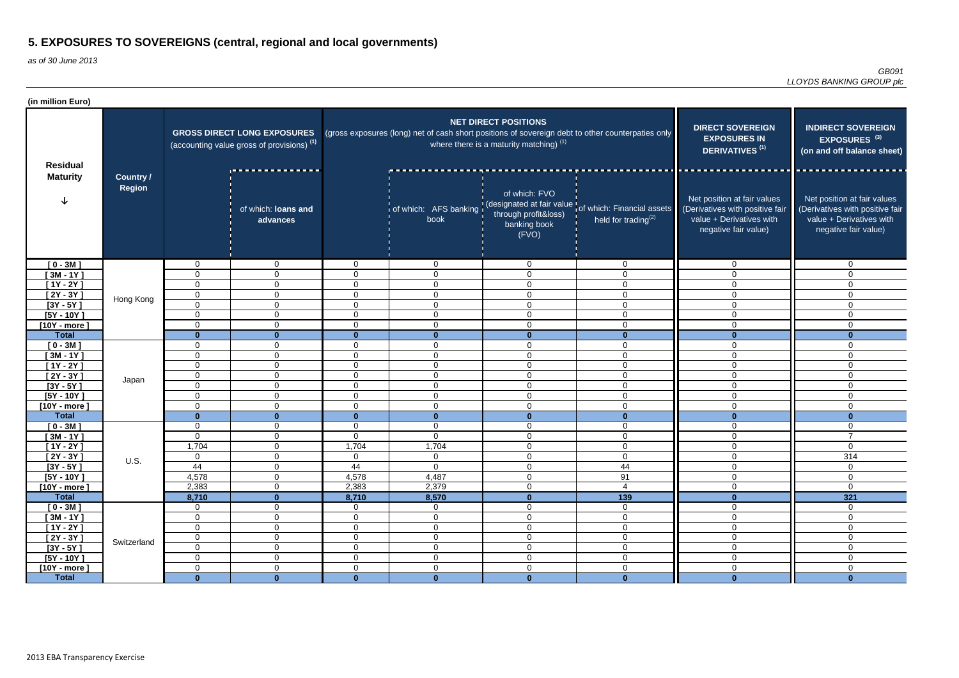| (in million Euro)                  |                            |                                                                                             |                                 |                |                                                                                                   |                                                                                   |                                                                                                       |                                                                                                                    |                                                                                                                    |
|------------------------------------|----------------------------|---------------------------------------------------------------------------------------------|---------------------------------|----------------|---------------------------------------------------------------------------------------------------|-----------------------------------------------------------------------------------|-------------------------------------------------------------------------------------------------------|--------------------------------------------------------------------------------------------------------------------|--------------------------------------------------------------------------------------------------------------------|
| <b>Residual</b><br><b>Maturity</b> | <b>Country /</b><br>Region | <b>GROSS DIRECT LONG EXPOSURES</b><br>(accounting value gross of provisions) <sup>(1)</sup> |                                 |                | (gross exposures (long) net of cash short positions of sovereign debt to other counterpaties only | <b>NET DIRECT POSITIONS</b><br>where there is a maturity matching) <sup>(1)</sup> | <b>DIRECT SOVEREIGN</b><br><b>EXPOSURES IN</b><br>DERIVATIVES <sup>(1)</sup>                          | <b>INDIRECT SOVEREIGN</b><br>EXPOSURES <sup>(3)</sup><br>(on and off balance sheet)                                |                                                                                                                    |
|                                    |                            |                                                                                             | of which: loans and<br>advances |                | book                                                                                              | of which: FVO<br>through profit&loss)<br>banking book<br>(FVO)                    | of which: AFS banking (designated at fair value) of which: Financial assets<br>held for trading $(2)$ | Net position at fair values<br>(Derivatives with positive fair<br>value + Derivatives with<br>negative fair value) | Net position at fair values<br>(Derivatives with positive fair<br>value + Derivatives with<br>negative fair value) |
| $[0 - 3M]$                         |                            | $\overline{0}$                                                                              | $\mathbf{0}$                    | $\overline{0}$ | $\overline{0}$                                                                                    | $\mathbf 0$                                                                       | $\mathbf 0$                                                                                           | $\Omega$                                                                                                           | $\mathbf{0}$                                                                                                       |
| $[3M - 1Y]$                        |                            | 0                                                                                           | $\mathbf{0}$                    | $\Omega$       | $\mathbf 0$                                                                                       | $\mathbf 0$                                                                       | $\mathbf 0$                                                                                           | $\Omega$                                                                                                           | $\Omega$                                                                                                           |
| $[1Y - 2Y]$                        | Hong Kong                  | $\mathbf 0$                                                                                 | $\overline{0}$                  | $\Omega$       | $\mathbf 0$                                                                                       | $\mathbf 0$                                                                       | $\mathbf 0$                                                                                           | $\Omega$                                                                                                           | $\Omega$                                                                                                           |
| $[2Y - 3Y]$                        |                            | $\mathbf 0$                                                                                 | $\overline{0}$                  | $\mathbf 0$    | $\mathbf 0$                                                                                       | $\mathbf 0$                                                                       | $\overline{0}$                                                                                        | $\Omega$                                                                                                           | $\Omega$                                                                                                           |
| $[3Y - 5Y]$                        |                            | 0                                                                                           | $\overline{0}$                  | $\mathbf 0$    | $\mathbf 0$                                                                                       | $\mathbf 0$                                                                       | $\mathbf 0$                                                                                           | $\Omega$                                                                                                           | 0                                                                                                                  |
| $[5Y - 10Y]$                       |                            | $\mathbf 0$                                                                                 | $\mathbf 0$                     | $\mathbf 0$    | $\mathbf 0$                                                                                       | $\mathbf 0$                                                                       | $\mathbf 0$                                                                                           | $\Omega$                                                                                                           | $\mathbf 0$                                                                                                        |
| $[10Y - more]$                     |                            | 0                                                                                           | $\mathbf{0}$                    | $\mathbf 0$    | $\mathbf 0$                                                                                       | $\mathbf 0$                                                                       | $\mathbf 0$                                                                                           | $\Omega$                                                                                                           | $\mathbf 0$                                                                                                        |
| <b>Total</b>                       |                            | $\mathbf{0}$                                                                                | $\mathbf{0}$                    | $\mathbf{0}$   | $\mathbf{0}$                                                                                      | $\mathbf{0}$                                                                      | $\mathbf{0}$                                                                                          | $\bf{0}$                                                                                                           | $\Omega$                                                                                                           |
| $[0 - 3M]$                         |                            | 0                                                                                           | $\mathbf 0$                     | $\mathbf{0}$   | $\overline{0}$                                                                                    | $\mathbf 0$                                                                       | $\overline{0}$                                                                                        | $\Omega$                                                                                                           | $\Omega$                                                                                                           |
| $[3M - 1Y]$                        |                            | 0                                                                                           | $\mathbf 0$                     | $\mathbf{0}$   | $\overline{0}$                                                                                    | $\mathbf 0$                                                                       | $\mathbf 0$                                                                                           | $\Omega$                                                                                                           | 0                                                                                                                  |
| $[1Y - 2Y]$                        |                            | $\mathbf 0$                                                                                 | $\overline{0}$                  | $\Omega$       | $\mathbf 0$                                                                                       | $\mathbf 0$                                                                       | $\mathbf 0$                                                                                           | $\Omega$                                                                                                           | $\overline{0}$                                                                                                     |
| $[2Y - 3Y]$                        | Japan                      | $\mathbf 0$                                                                                 | $\overline{0}$                  | $\mathbf 0$    | $\mathbf 0$                                                                                       | $\mathbf 0$                                                                       | $\overline{0}$                                                                                        | $\Omega$                                                                                                           | $\mathbf 0$                                                                                                        |
| $[3Y - 5Y]$                        |                            | $\mathbf 0$                                                                                 | $\mathbf 0$                     | $\mathbf 0$    | $\mathbf 0$                                                                                       | $\mathbf 0$                                                                       | $\mathbf 0$                                                                                           | $\overline{0}$                                                                                                     | $\Omega$                                                                                                           |
| $[5Y - 10Y]$                       |                            | 0                                                                                           | $\mathbf{0}$                    | $\Omega$       | $\mathbf 0$                                                                                       | $\mathbf 0$                                                                       | $\mathbf 0$                                                                                           | $\Omega$                                                                                                           | $\mathbf 0$                                                                                                        |
| $[10Y - more]$                     |                            | 0                                                                                           | $\mathbf{0}$                    | $\Omega$       | $\mathbf 0$                                                                                       | $\mathbf 0$                                                                       | $\mathbf 0$                                                                                           | $\mathbf 0$                                                                                                        | 0                                                                                                                  |
| <b>Total</b>                       |                            | $\mathbf{0}$                                                                                | $\Omega$                        | $\mathbf{0}$   | $\mathbf{0}$                                                                                      | $\bf{0}$                                                                          | $\mathbf{0}$                                                                                          | $\mathbf{0}$                                                                                                       | $\bf{0}$                                                                                                           |
| $[0 - 3M]$                         |                            | 0                                                                                           | $\mathbf 0$                     | $\Omega$       | $\mathbf 0$                                                                                       | $\mathbf 0$                                                                       | $\mathbf 0$                                                                                           | $\overline{0}$                                                                                                     | 0                                                                                                                  |
| $[3M - 1Y]$                        |                            | $\mathbf 0$                                                                                 | $\mathbf 0$                     | $\mathbf 0$    | $\mathbf 0$                                                                                       | $\mathbf 0$                                                                       | $\overline{0}$                                                                                        | $\Omega$                                                                                                           | $\overline{7}$                                                                                                     |
| $[1Y - 2Y]$                        |                            | 1,704                                                                                       | $\mathbf 0$                     | 1,704          | 1,704                                                                                             | $\mathbf 0$                                                                       | $\mathbf 0$                                                                                           | $\Omega$                                                                                                           | 0                                                                                                                  |
| $[2Y - 3Y]$                        | <b>U.S.</b>                | $\mathbf 0$                                                                                 | $\overline{0}$                  | $\overline{0}$ | $\overline{0}$                                                                                    | $\mathbf 0$                                                                       | $\overline{0}$                                                                                        | $\mathbf 0$                                                                                                        | 314                                                                                                                |
| $[3Y - 5Y]$                        |                            | 44                                                                                          | $\overline{0}$                  | 44             | $\mathbf 0$                                                                                       | $\mathbf 0$                                                                       | 44                                                                                                    | $\mathbf 0$                                                                                                        | 0                                                                                                                  |
| $[5Y - 10Y]$                       |                            | 4,578                                                                                       | $\overline{0}$                  | 4,578          | 4,487                                                                                             | $\mathbf 0$                                                                       | 91                                                                                                    | $\mathbf 0$                                                                                                        | $\mathbf 0$                                                                                                        |
| [10Y - more]                       |                            | 2,383                                                                                       | $\overline{0}$                  | 2,383          | 2,379                                                                                             | $\mathbf 0$                                                                       | 4                                                                                                     | $\mathbf 0$                                                                                                        | $\mathbf 0$                                                                                                        |
| <b>Total</b>                       |                            | 8,710                                                                                       | $\mathbf{0}$                    | 8,710          | 8,570                                                                                             | $\mathbf{0}$                                                                      | 139                                                                                                   | $\mathbf{0}$                                                                                                       | $\overline{321}$                                                                                                   |
| $[0 - 3M]$                         |                            | $\overline{0}$                                                                              | $\overline{0}$                  | $\mathbf 0$    | $\overline{0}$                                                                                    | $\mathbf 0$                                                                       | $\overline{0}$                                                                                        | $\overline{0}$                                                                                                     | $\overline{0}$                                                                                                     |
| $[3M - 1Y]$                        |                            | $\mathbf 0$                                                                                 | $\overline{0}$                  | $\overline{0}$ | $\boldsymbol{0}$                                                                                  | $\mathbf 0$                                                                       | $\mathbf 0$                                                                                           | $\mathbf 0$                                                                                                        | 0                                                                                                                  |
| $[1Y - 2Y]$                        | Switzerland                | $\mathbf 0$                                                                                 | $\overline{0}$                  | $\mathbf 0$    | $\overline{0}$                                                                                    | $\mathbf 0$                                                                       | $\mathbf 0$                                                                                           | $\mathbf 0$                                                                                                        | 0                                                                                                                  |
| $[2Y - 3Y]$                        |                            | $\boldsymbol{0}$                                                                            | $\mathsf{O}\xspace$             | $\mathbf 0$    | $\mathbf 0$                                                                                       | $\pmb{0}$                                                                         | $\mathbf 0$                                                                                           | $\mathbf 0$                                                                                                        | $\mathbf 0$                                                                                                        |
| $[3Y - 5Y]$                        |                            | $\overline{0}$                                                                              | $\overline{0}$                  | $\overline{0}$ | $\overline{0}$                                                                                    | $\mathbf 0$                                                                       | $\overline{0}$                                                                                        | $\overline{0}$                                                                                                     | $\mathbf 0$                                                                                                        |
| $[5Y - 10Y]$                       |                            | $\mathbf 0$                                                                                 | $\overline{0}$                  | $\mathbf 0$    | $\boldsymbol{0}$                                                                                  | $\mathbf 0$                                                                       | $\mathbf 0$                                                                                           | $\overline{0}$                                                                                                     | $\mathbf 0$                                                                                                        |
| $[10Y - more]$                     |                            | $\overline{0}$                                                                              | $\overline{0}$                  | $\mathbf 0$    | $\mathbf 0$                                                                                       | $\mathsf 0$                                                                       | $\mathbf 0$                                                                                           | $\mathbf 0$                                                                                                        | $\mathbf 0$                                                                                                        |
| <b>Total</b>                       |                            | $\mathbf{0}$                                                                                | $\mathbf{0}$                    | $\mathbf{0}$   | $\mathbf{0}$                                                                                      | $\mathbf{0}$                                                                      | $\mathbf{0}$                                                                                          | $\mathbf{0}$                                                                                                       | $\mathbf{0}$                                                                                                       |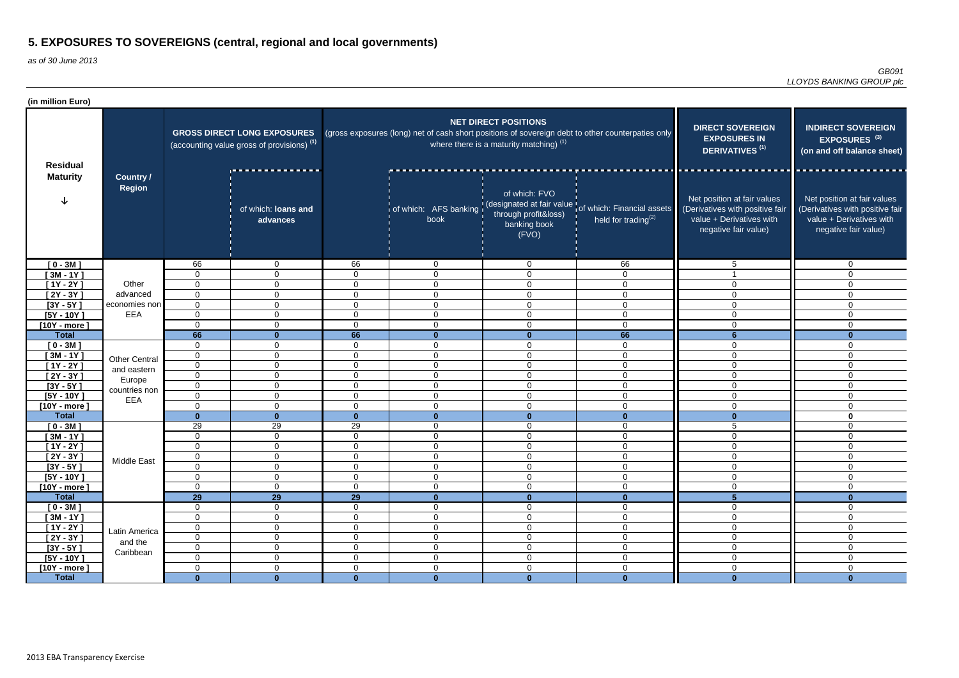| (in million Euro)              |                                   |                         |                                                                                             |                      |                         |                                                                                   |                                                                                                               |                                                                                                                    |                                                                                                                    |
|--------------------------------|-----------------------------------|-------------------------|---------------------------------------------------------------------------------------------|----------------------|-------------------------|-----------------------------------------------------------------------------------|---------------------------------------------------------------------------------------------------------------|--------------------------------------------------------------------------------------------------------------------|--------------------------------------------------------------------------------------------------------------------|
| <b>Residual</b>                |                                   |                         | <b>GROSS DIRECT LONG EXPOSURES</b><br>(accounting value gross of provisions) <sup>(1)</sup> |                      |                         | <b>NET DIRECT POSITIONS</b><br>where there is a maturity matching) <sup>(1)</sup> | (gross exposures (long) net of cash short positions of sovereign debt to other counterpaties only             | <b>DIRECT SOVEREIGN</b><br><b>EXPOSURES IN</b><br>DERIVATIVES <sup>(1)</sup>                                       | <b>INDIRECT SOVEREIGN</b><br>EXPOSURES <sup>(3)</sup><br>(on and off balance sheet)                                |
| <b>Maturity</b>                | <b>Country /</b><br><b>Region</b> |                         | of which: loans and<br>advances                                                             |                      | book                    | of which: FVO<br>through profit&loss)<br>banking book<br>(FVO)                    | of which: AFS banking (designated at fair value of which: Financial assets<br>held for trading <sup>(2)</sup> | Net position at fair values<br>(Derivatives with positive fair<br>value + Derivatives with<br>negative fair value) | Net position at fair values<br>(Derivatives with positive fair<br>value + Derivatives with<br>negative fair value) |
| $[0 - 3M]$                     |                                   | 66                      | $\mathbf 0$                                                                                 | 66                   | 0                       | $\overline{0}$                                                                    | 66                                                                                                            | 5                                                                                                                  | $\overline{0}$                                                                                                     |
| $[3M - 1Y]$                    |                                   | $\mathbf 0$             | $\overline{0}$                                                                              | $\Omega$             | $\mathbf 0$             | $\mathbf 0$                                                                       | $\mathbf 0$                                                                                                   |                                                                                                                    | $\Omega$                                                                                                           |
| $[1Y - 2Y]$                    | Other                             | $\mathbf 0$             | $\mathbf 0$                                                                                 | $\Omega$             | $\mathbf 0$             | $\mathbf 0$                                                                       | $\mathbf 0$                                                                                                   | $\Omega$                                                                                                           | $\mathbf 0$                                                                                                        |
| $[2Y - 3Y]$                    | advanced                          | $\overline{0}$          | $\mathbf 0$                                                                                 | $\Omega$             | $\mathbf 0$             | $\mathbf 0$                                                                       | $\mathbf 0$                                                                                                   | $\Omega$                                                                                                           | $\mathbf 0$                                                                                                        |
| $[3Y - 5Y]$                    | economies non                     | $\overline{0}$          | $\mathbf 0$                                                                                 | $\mathbf 0$          | $\mathbf 0$             | $\mathbf 0$                                                                       | $\mathbf 0$                                                                                                   | $\Omega$                                                                                                           | $\Omega$                                                                                                           |
| $[5Y - 10Y]$                   | EEA                               | $\mathbf 0$<br>$\Omega$ | $\overline{0}$<br>$\mathbf 0$                                                               | $\Omega$<br>$\Omega$ | $\overline{0}$          | $\mathbf 0$                                                                       | $\overline{0}$                                                                                                | $\Omega$<br>$\Omega$                                                                                               | $\mathbf 0$                                                                                                        |
| $[10Y - more]$<br><b>Total</b> |                                   | 66                      | $\mathbf{0}$                                                                                | 66                   | $\mathbf 0$<br>$\bf{0}$ | $\mathbf 0$<br>$\mathbf{0}$                                                       | $\mathbf 0$<br>66                                                                                             |                                                                                                                    | $\mathbf 0$<br>$\Omega$                                                                                            |
| $[0 - 3M]$                     |                                   | $\mathbf 0$             | $\overline{0}$                                                                              | 0                    | $\mathbf 0$             | $\mathbf 0$                                                                       | $\mathbf 0$                                                                                                   |                                                                                                                    | $\Omega$                                                                                                           |
| $[3M - 1Y]$                    |                                   | $\overline{0}$          | $\mathbf 0$                                                                                 | $\Omega$             | $\mathbf 0$             | $\mathbf 0$                                                                       | $\mathbf 0$                                                                                                   | $\Omega$                                                                                                           | $\overline{0}$                                                                                                     |
| $[1Y - 2Y]$                    | <b>Other Central</b>              | $\overline{0}$          | $\mathbf 0$                                                                                 | $\Omega$             | $\overline{0}$          | $\mathbf 0$                                                                       | $\overline{0}$                                                                                                | $\Omega$                                                                                                           | $\mathbf 0$                                                                                                        |
| $[2Y - 3Y]$                    | and eastern                       | $\overline{0}$          | $\mathbf 0$                                                                                 | $\Omega$             | $\overline{0}$          | $\mathbf 0$                                                                       | $\overline{0}$                                                                                                | $\Omega$                                                                                                           | $\mathbf 0$                                                                                                        |
| $[3Y - 5Y]$                    | Europe                            | $\mathbf 0$             | $\mathbf 0$                                                                                 | $\Omega$             | $\mathbf 0$             | $\mathbf 0$                                                                       | $\mathbf 0$                                                                                                   | $\Omega$                                                                                                           | $\mathbf 0$                                                                                                        |
| $[5Y - 10Y]$                   | countries non                     | $\mathbf 0$             | $\mathbf 0$                                                                                 | $\mathbf{0}$         | $\mathbf 0$             | $\mathbf 0$                                                                       | $\mathbf 0$                                                                                                   | $\mathbf{0}$                                                                                                       | $\mathbf 0$                                                                                                        |
| $[10Y - more]$                 | EEA                               | 0                       | $\mathbf 0$                                                                                 | $\Omega$             | $\mathbf 0$             | $\mathbf 0$                                                                       | $\mathbf 0$                                                                                                   | $\Omega$                                                                                                           | $\mathbf 0$                                                                                                        |
| <b>Total</b>                   |                                   | $\Omega$                | $\mathbf{0}$                                                                                | $\bf{0}$             | $\mathbf{0}$            | $\mathbf{0}$                                                                      | $\mathbf{0}$                                                                                                  | $\bf{0}$                                                                                                           | $\mathbf 0$                                                                                                        |
| $[0 - 3M]$                     |                                   | 29                      | 29                                                                                          | 29                   | $\mathbf 0$             | $\mathbf 0$                                                                       | $\mathbf 0$                                                                                                   | 5                                                                                                                  | $\mathbf 0$                                                                                                        |
| $[3M - 1Y]$                    |                                   | $\mathbf 0$             | $\mathbf 0$                                                                                 | $\Omega$             | $\mathbf 0$             | $\mathbf 0$                                                                       | $\mathbf 0$                                                                                                   | $\Omega$                                                                                                           | $\Omega$                                                                                                           |
| $[1Y - 2Y]$                    |                                   | $\Omega$                | $\overline{0}$                                                                              | 0                    | $\mathbf 0$             | 0                                                                                 | $\mathbf 0$                                                                                                   | $\Omega$                                                                                                           | $\Omega$                                                                                                           |
| $[2Y - 3Y]$                    |                                   | 0                       | $\overline{0}$                                                                              | $\mathbf 0$          | $\mathbf 0$             | $\mathbf 0$                                                                       | $\overline{0}$                                                                                                | $\mathbf 0$                                                                                                        | $\overline{0}$                                                                                                     |
| $[3Y - 5Y]$                    | Middle East                       | $\mathbf 0$             | $\mathbf 0$                                                                                 | $\mathbf 0$          | $\mathbf 0$             | $\mathbf 0$                                                                       | $\mathbf 0$                                                                                                   | $\mathbf 0$                                                                                                        | $\overline{0}$                                                                                                     |
| $[5Y - 10Y]$                   |                                   | $\overline{0}$          | $\mathbf 0$                                                                                 | $\mathbf 0$          | $\boldsymbol{0}$        | $\mathbf 0$                                                                       | $\mathbf 0$                                                                                                   | $\mathbf 0$                                                                                                        | $\mathbf 0$                                                                                                        |
| $[10Y - more]$                 |                                   | $\overline{0}$          | $\mathbf 0$                                                                                 | $\mathbf 0$          | $\boldsymbol{0}$        | $\mathbf 0$                                                                       | $\mathbf 0$                                                                                                   | $\mathbf 0$                                                                                                        | $\mathbf 0$                                                                                                        |
| <b>Total</b>                   |                                   | 29                      | <b>29</b>                                                                                   | $\overline{29}$      | $\mathbf{0}$            | $\mathbf{0}$                                                                      | $\mathbf{0}$                                                                                                  | $5\phantom{1}$                                                                                                     | $\bf{0}$                                                                                                           |
| $[0 - 3M]$                     |                                   | $\overline{0}$          | $\mathbf 0$                                                                                 | $\mathbf 0$          | $\mathbf 0$             | $\mathbf 0$                                                                       | $\mathbf 0$                                                                                                   | $\mathbf 0$                                                                                                        | $\overline{0}$                                                                                                     |
| $[3M - 1Y]$                    |                                   | $\mathbf 0$             | $\mathbf 0$                                                                                 | $\mathbf 0$          | $\boldsymbol{0}$        | $\mathbf 0$                                                                       | $\mathbf 0$                                                                                                   | $\mathbf 0$                                                                                                        | $\mathbf 0$                                                                                                        |
| $[1Y - 2Y]$                    | Latin America                     | $\overline{0}$          | $\overline{0}$                                                                              | 0                    | $\mathbf 0$             | $\mathbf 0$                                                                       | $\mathbf 0$                                                                                                   | $\mathbf 0$                                                                                                        | 0                                                                                                                  |
| $[2Y - 3Y]$                    | and the                           | $\mathbf 0$             | $\boldsymbol{0}$                                                                            | $\mathbf 0$          | $\boldsymbol{0}$        | $\boldsymbol{0}$                                                                  | $\pmb{0}$                                                                                                     | $\overline{0}$                                                                                                     | $\mathbf 0$                                                                                                        |
| $[3Y - 5Y]$                    | Caribbean                         | $\overline{0}$          | $\overline{0}$                                                                              | $\mathbf 0$          | $\overline{0}$          | $\overline{0}$                                                                    | $\overline{0}$                                                                                                | $\mathbf 0$                                                                                                        | $\overline{0}$                                                                                                     |
| $[5Y - 10Y]$                   |                                   | $\overline{0}$          | $\mathbf 0$                                                                                 | $\mathbf 0$          | $\overline{0}$          | $\mathbf 0$                                                                       | $\mathbf 0$                                                                                                   | $\mathbf 0$                                                                                                        | $\overline{0}$                                                                                                     |
| $[10Y - more]$                 |                                   | $\mathbf 0$             | $\mathbf 0$                                                                                 | $\mathbf 0$          | $\boldsymbol{0}$        | $\pmb{0}$                                                                         | $\mathbf 0$                                                                                                   | $\mathbf 0$                                                                                                        | $\mathbf 0$                                                                                                        |
| <b>Total</b>                   |                                   | $\bf{0}$                | $\mathbf{0}$                                                                                | $\mathbf{0}$         | $\mathbf{0}$            | $\mathbf{0}$                                                                      | $\mathbf{0}$                                                                                                  | $\mathbf{0}$                                                                                                       | $\mathbf{0}$                                                                                                       |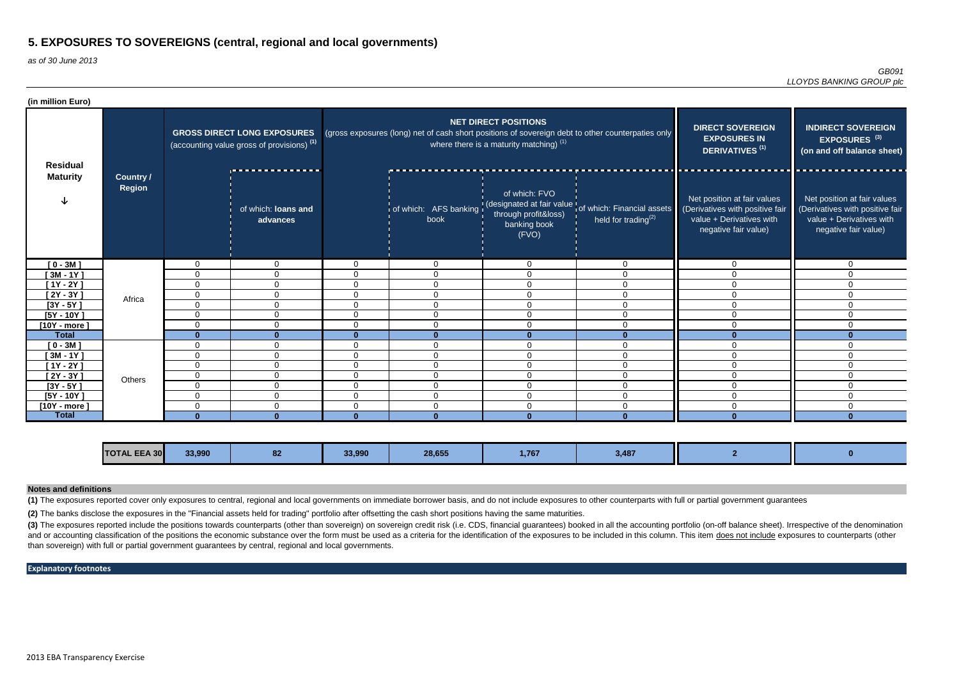as of 30 June 2013

| (in million Euro) |                            |                |                                                                                             |                |                |                                                                          |                                                                                                      |                                                                                                                    |                                                                                                                    |
|-------------------|----------------------------|----------------|---------------------------------------------------------------------------------------------|----------------|----------------|--------------------------------------------------------------------------|------------------------------------------------------------------------------------------------------|--------------------------------------------------------------------------------------------------------------------|--------------------------------------------------------------------------------------------------------------------|
| <b>Residual</b>   |                            |                | <b>GROSS DIRECT LONG EXPOSURES</b><br>(accounting value gross of provisions) <sup>(1)</sup> |                |                | <b>NET DIRECT POSITIONS</b><br>where there is a maturity matching) $(1)$ | (gross exposures (long) net of cash short positions of sovereign debt to other counterpaties only    | <b>DIRECT SOVEREIGN</b><br><b>EXPOSURES IN</b><br><b>DERIVATIVES<sup>(1)</sup></b>                                 | <b>INDIRECT SOVEREIGN</b><br>EXPOSURES <sup>(3)</sup><br>(on and off balance sheet)                                |
| <b>Maturity</b>   | Country /<br><b>Region</b> |                | of which: loans and<br>advances                                                             |                | book           | of which: FVO<br>through profit&loss)<br>banking book<br>(FVO)           | of which: AFS banking (designated at fair value of which: Financial assets<br>held for trading $(2)$ | Net position at fair values<br>(Derivatives with positive fair<br>value + Derivatives with<br>negative fair value) | Net position at fair values<br>(Derivatives with positive fair<br>value + Derivatives with<br>negative fair value) |
| $[0 - 3M]$        |                            | $\mathbf 0$    | $\mathbf 0$                                                                                 | $\Omega$       | $\overline{0}$ | $\overline{0}$                                                           | $\overline{0}$                                                                                       | $\mathbf{0}$                                                                                                       | 0                                                                                                                  |
| $[3M - 1Y]$       |                            | $\mathbf{0}$   | $\Omega$                                                                                    | $\overline{0}$ | $\Omega$       | $\mathbf 0$                                                              | $\overline{0}$                                                                                       | $\Omega$                                                                                                           | 0                                                                                                                  |
| $[1Y - 2Y]$       |                            | $\overline{0}$ | $\Omega$                                                                                    | $\Omega$       | $\Omega$       | $\mathbf 0$                                                              | $\Omega$                                                                                             | $\Omega$                                                                                                           | $\Omega$                                                                                                           |
| $[2Y - 3Y]$       | Africa                     | 0              | $\mathbf 0$                                                                                 | $\mathbf 0$    | $\mathbf 0$    | $\mathbf 0$                                                              | $\mathbf 0$                                                                                          | $\mathbf{0}$                                                                                                       | $\Omega$                                                                                                           |
| $[3Y - 5Y]$       |                            | $\overline{0}$ | 0                                                                                           | $\Omega$       | $\Omega$       | $\mathbf 0$                                                              | $\Omega$                                                                                             | $\Omega$                                                                                                           | 0                                                                                                                  |
| $[5Y - 10Y]$      |                            | $\overline{0}$ | $\Omega$                                                                                    | $\mathbf 0$    | $\Omega$       | $\mathbf 0$                                                              | $\overline{0}$                                                                                       | $\mathbf 0$                                                                                                        | 0                                                                                                                  |
| $[10Y - more]$    |                            | $\mathbf{0}$   | $\Omega$                                                                                    | $\Omega$       | $\Omega$       | $\Omega$                                                                 | $\Omega$                                                                                             | $\Omega$                                                                                                           | $\Omega$                                                                                                           |
| <b>Total</b>      |                            | $\mathbf{0}$   | $\mathbf{0}$                                                                                | $\Omega$       | $\mathbf{0}$   |                                                                          | $\Omega$                                                                                             |                                                                                                                    |                                                                                                                    |
| $[0 - 3M]$        |                            | $\mathbf{0}$   | $\Omega$                                                                                    | $\Omega$       | $\Omega$       | $\Omega$                                                                 | $\Omega$                                                                                             | $\Omega$                                                                                                           | $\Omega$                                                                                                           |
| $[3M - 1Y]$       |                            | $\mathbf 0$    | $\Omega$                                                                                    | 0              | $\mathbf{0}$   | $\mathbf 0$                                                              | $\mathbf 0$                                                                                          | $\mathbf{0}$                                                                                                       | 0                                                                                                                  |
| $[1Y - 2Y]$       |                            | $\mathbf{0}$   | $\Omega$                                                                                    | 0              | $\Omega$       | $\Omega$                                                                 | $\Omega$                                                                                             | $\Omega$                                                                                                           | $\Omega$                                                                                                           |
| $[2Y - 3Y]$       | Others                     | $\overline{0}$ | $\mathbf 0$                                                                                 | $\overline{0}$ | $\mathbf{0}$   | $\Omega$                                                                 | $\overline{0}$                                                                                       | $\Omega$                                                                                                           | $\Omega$                                                                                                           |
| $[3Y - 5Y]$       |                            | $\overline{0}$ | $\Omega$                                                                                    | $\overline{0}$ | $\Omega$       | $\mathbf 0$                                                              | $\Omega$                                                                                             | $\Omega$                                                                                                           | 0                                                                                                                  |
| $[5Y - 10Y]$      |                            | $\mathbf 0$    | 0                                                                                           | $\overline{0}$ | $\mathbf 0$    | $\mathbf 0$                                                              | $\overline{0}$                                                                                       | $\mathbf{0}$                                                                                                       | $\Omega$                                                                                                           |
| $[10Y - more]$    |                            | $\mathbf{0}$   | $\Omega$                                                                                    | 0              | $\Omega$       | $\Omega$                                                                 | $\Omega$                                                                                             | $\Omega$                                                                                                           | 0                                                                                                                  |
| <b>Total</b>      |                            | $\Omega$       | $\mathbf{0}$                                                                                | <sup>n</sup>   | $\Omega$       |                                                                          |                                                                                                      |                                                                                                                    |                                                                                                                    |

(3) The exposures reported include the positions towards counterparts (other than sovereign) on sovereign credit risk (i.e. CDS, financial guarantees) booked in all the accounting portfolio (on-off balance sheet). Irrespec and or accounting classification of the positions the economic substance over the form must be used as a criteria for the identification of the exposures to be included in this column. This item does not include exposures than sovereign) with full or partial government guarantees by central, regional and local governments.

| 33,990<br>חחח ככ<br><b>TOTAL EEA 30</b><br>$\sim$<br>3,487<br>28,655<br>.<br>1,767<br>OC<br>,,,,, |  |  |  |  |  |  |  |  |
|---------------------------------------------------------------------------------------------------|--|--|--|--|--|--|--|--|
|---------------------------------------------------------------------------------------------------|--|--|--|--|--|--|--|--|

**(1)** The exposures reported cover only exposures to central, regional and local governments on immediate borrower basis, and do not include exposures to other counterparts with full or partial government guarantees

#### **Notes and definitions**

#### **Explanatory footnotes**

**(2)** The banks disclose the exposures in the "Financial assets held for trading" portfolio after offsetting the cash short positions having the same maturities.